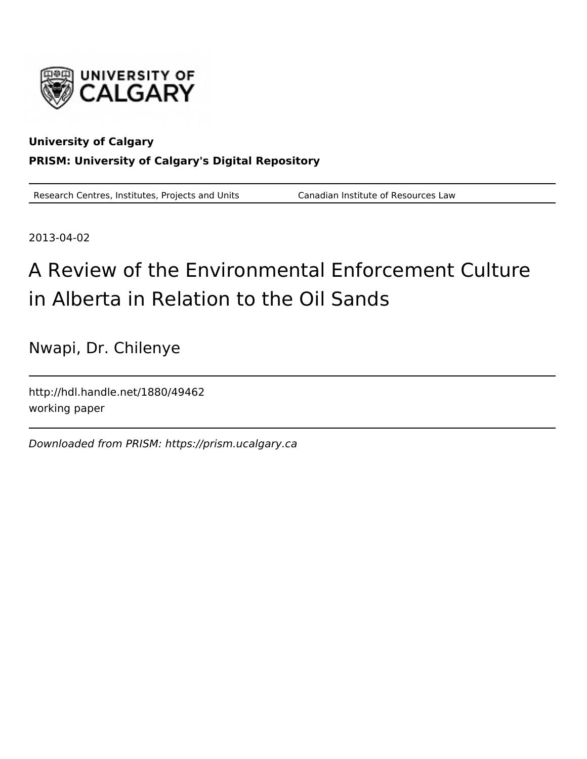

## **University of Calgary PRISM: University of Calgary's Digital Repository**

Research Centres, Institutes, Projects and Units Canadian Institute of Resources Law

2013-04-02

# A Review of the Environmental Enforcement Culture in Alberta in Relation to the Oil Sands

Nwapi, Dr. Chilenye

http://hdl.handle.net/1880/49462 working paper

Downloaded from PRISM: https://prism.ucalgary.ca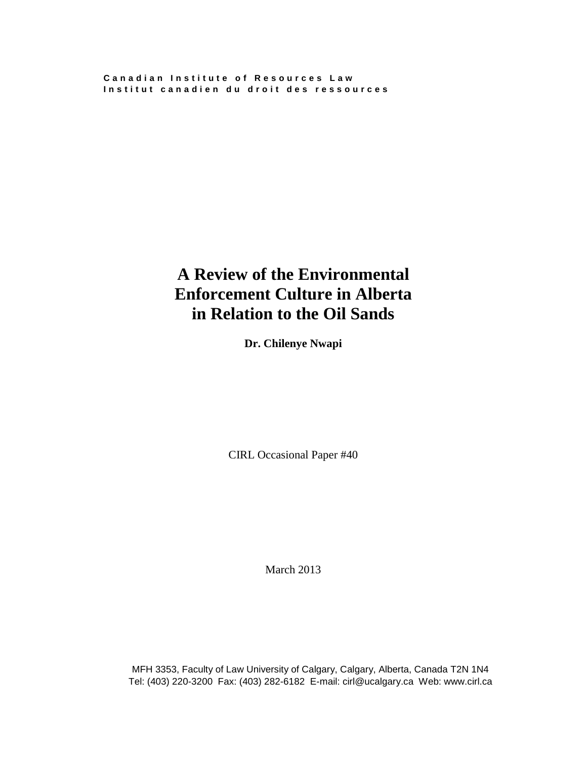**Canadian Institute of Resources Law Institut canadien du droit des ressources**

# **A Review of the Environmental Enforcement Culture in Alberta in Relation to the Oil Sands**

**Dr. Chilenye Nwapi**

CIRL Occasional Paper #40

March 2013

MFH 3353, Faculty of Law University of Calgary, Calgary, Alberta, Canada T2N 1N4 Tel: (403) 220-3200 Fax: (403) 282-6182 E-mail: cirl@ucalgary.ca Web: www.cirl.ca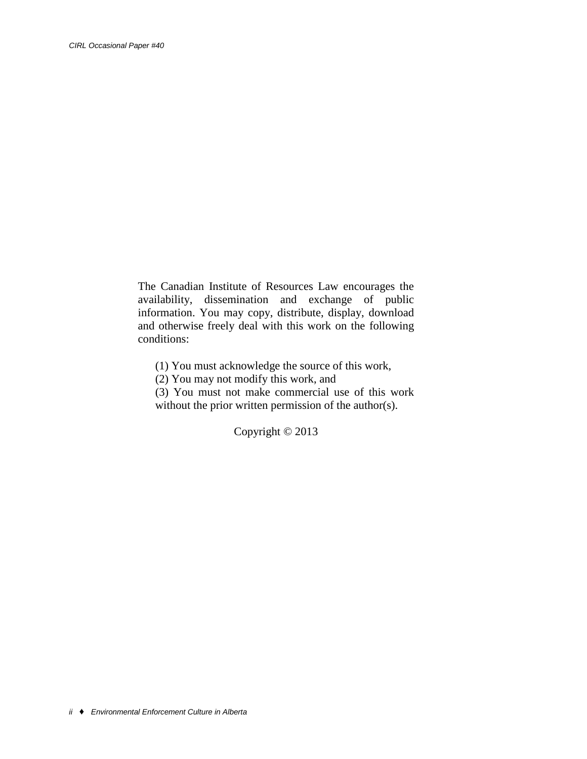The Canadian Institute of Resources Law encourages the availability, dissemination and exchange of public information. You may copy, distribute, display, download and otherwise freely deal with this work on the following conditions:

- (1) You must acknowledge the source of this work,
- (2) You may not modify this work, and

(3) You must not make commercial use of this work without the prior written permission of the author(s).

Copyright © 2013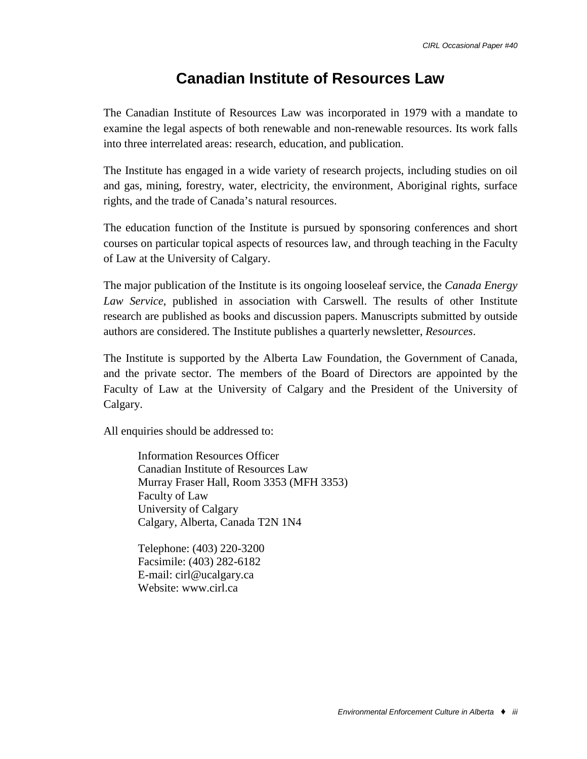## **Canadian Institute of Resources Law**

The Canadian Institute of Resources Law was incorporated in 1979 with a mandate to examine the legal aspects of both renewable and non-renewable resources. Its work falls into three interrelated areas: research, education, and publication.

The Institute has engaged in a wide variety of research projects, including studies on oil and gas, mining, forestry, water, electricity, the environment, Aboriginal rights, surface rights, and the trade of Canada's natural resources.

The education function of the Institute is pursued by sponsoring conferences and short courses on particular topical aspects of resources law, and through teaching in the Faculty of Law at the University of Calgary.

The major publication of the Institute is its ongoing looseleaf service, the *Canada Energy Law Service*, published in association with Carswell. The results of other Institute research are published as books and discussion papers. Manuscripts submitted by outside authors are considered. The Institute publishes a quarterly newsletter, *Resources*.

The Institute is supported by the Alberta Law Foundation, the Government of Canada, and the private sector. The members of the Board of Directors are appointed by the Faculty of Law at the University of Calgary and the President of the University of Calgary.

All enquiries should be addressed to:

Information Resources Officer Canadian Institute of Resources Law Murray Fraser Hall, Room 3353 (MFH 3353) Faculty of Law University of Calgary Calgary, Alberta, Canada T2N 1N4

Telephone: (403) 220-3200 Facsimile: (403) 282-6182 E-mail: cirl@ucalgary.ca Website: www.cirl.ca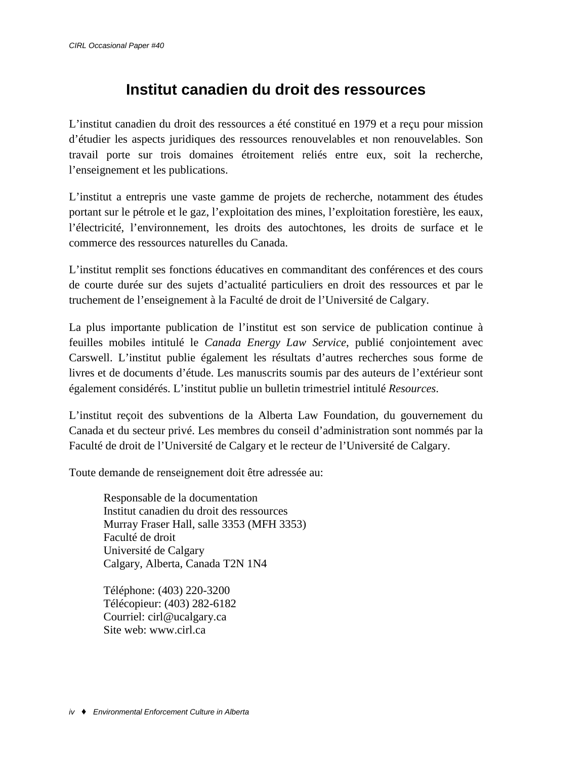# **Institut canadien du droit des ressources**

L'institut canadien du droit des ressources a été constitué en 1979 et a reçu pour mission d'étudier les aspects juridiques des ressources renouvelables et non renouvelables. Son travail porte sur trois domaines étroitement reliés entre eux, soit la recherche, l'enseignement et les publications.

L'institut a entrepris une vaste gamme de projets de recherche, notamment des études portant sur le pétrole et le gaz, l'exploitation des mines, l'exploitation forestière, les eaux, l'électricité, l'environnement, les droits des autochtones, les droits de surface et le commerce des ressources naturelles du Canada.

L'institut remplit ses fonctions éducatives en commanditant des conférences et des cours de courte durée sur des sujets d'actualité particuliers en droit des ressources et par le truchement de l'enseignement à la Faculté de droit de l'Université de Calgary.

La plus importante publication de l'institut est son service de publication continue à feuilles mobiles intitulé le *Canada Energy Law Service*, publié conjointement avec Carswell. L'institut publie également les résultats d'autres recherches sous forme de livres et de documents d'étude. Les manuscrits soumis par des auteurs de l'extérieur sont également considérés. L'institut publie un bulletin trimestriel intitulé *Resources*.

L'institut reçoit des subventions de la Alberta Law Foundation, du gouvernement du Canada et du secteur privé. Les membres du conseil d'administration sont nommés par la Faculté de droit de l'Université de Calgary et le recteur de l'Université de Calgary.

Toute demande de renseignement doit être adressée au:

Responsable de la documentation Institut canadien du droit des ressources Murray Fraser Hall, salle 3353 (MFH 3353) Faculté de droit Université de Calgary Calgary, Alberta, Canada T2N 1N4

Téléphone: (403) 220-3200 Télécopieur: (403) 282-6182 Courriel: cirl@ucalgary.ca Site web: www.cirl.ca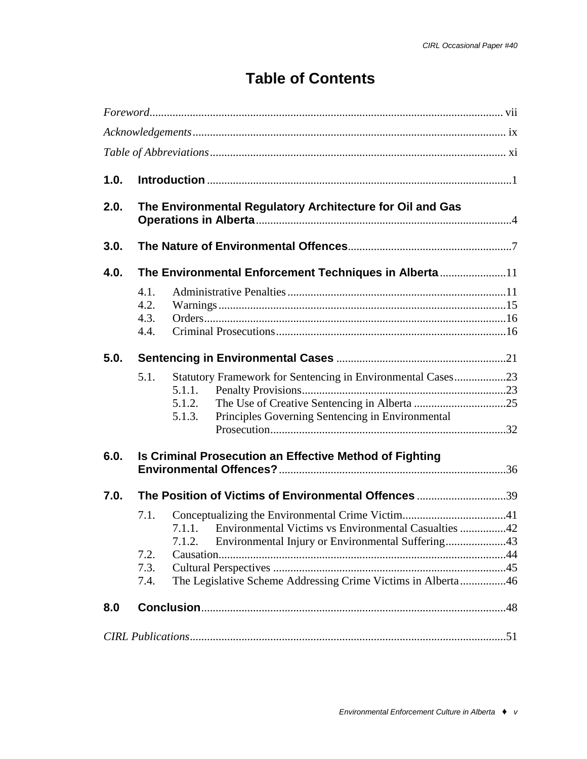# **Table of Contents**

| 1.0. |                                                           |                                                                                                                                               |  |  |  |
|------|-----------------------------------------------------------|-----------------------------------------------------------------------------------------------------------------------------------------------|--|--|--|
| 2.0. | The Environmental Regulatory Architecture for Oil and Gas |                                                                                                                                               |  |  |  |
| 3.0. |                                                           |                                                                                                                                               |  |  |  |
| 4.0. | The Environmental Enforcement Techniques in Alberta 11    |                                                                                                                                               |  |  |  |
|      | 4.1.<br>4.2.<br>4.3.<br>4.4.                              |                                                                                                                                               |  |  |  |
| 5.0. |                                                           |                                                                                                                                               |  |  |  |
|      | 5.1.                                                      | Statutory Framework for Sentencing in Environmental Cases23<br>5.1.1.<br>5.1.2.<br>Principles Governing Sentencing in Environmental<br>5.1.3. |  |  |  |
| 6.0. |                                                           | Is Criminal Prosecution an Effective Method of Fighting                                                                                       |  |  |  |
| 7.0. |                                                           | The Position of Victims of Environmental Offences 39                                                                                          |  |  |  |
|      | 7.1.<br>7.2.<br>7.3.<br>7.4.                              | 7.1.1. Environmental Victims vs Environmental Casualties 42<br>7.1.2.<br>The Legislative Scheme Addressing Crime Victims in Alberta46         |  |  |  |
| 8.0  |                                                           |                                                                                                                                               |  |  |  |
|      |                                                           |                                                                                                                                               |  |  |  |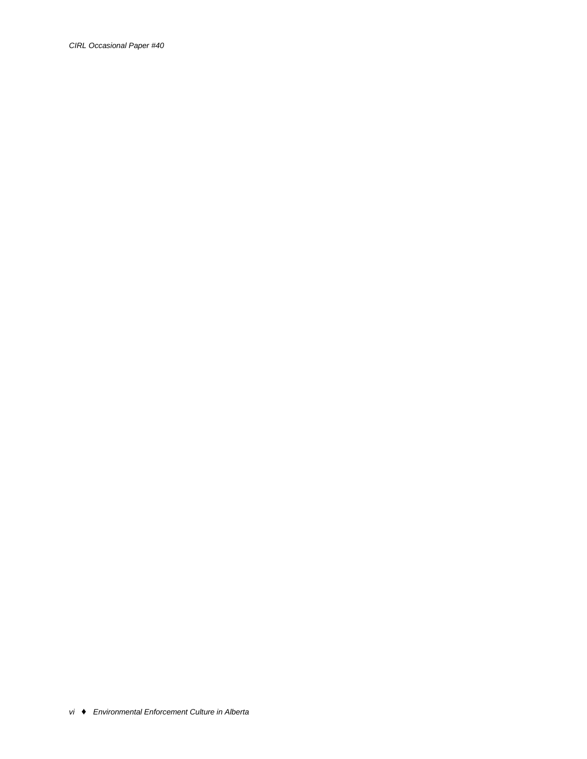*CIRL Occasional Paper #40*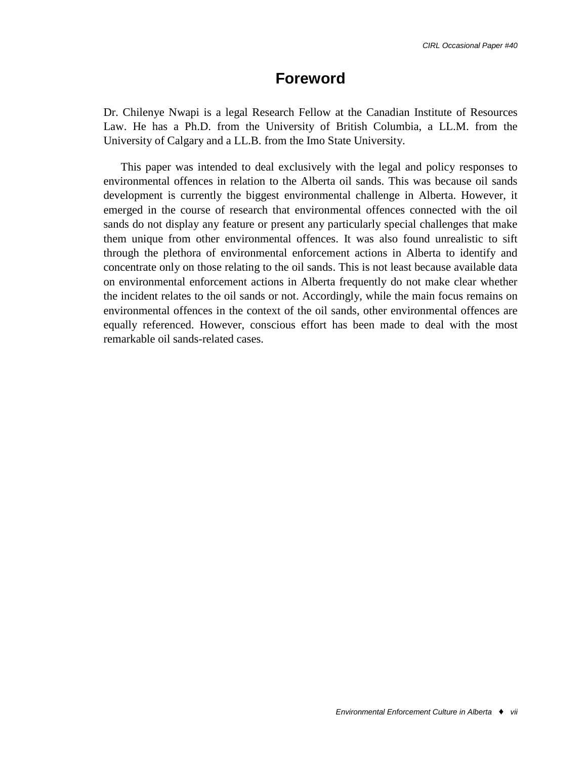## **Foreword**

Dr. Chilenye Nwapi is a legal Research Fellow at the Canadian Institute of Resources Law. He has a Ph.D. from the University of British Columbia, a LL.M. from the University of Calgary and a LL.B. from the Imo State University.

This paper was intended to deal exclusively with the legal and policy responses to environmental offences in relation to the Alberta oil sands. This was because oil sands development is currently the biggest environmental challenge in Alberta. However, it emerged in the course of research that environmental offences connected with the oil sands do not display any feature or present any particularly special challenges that make them unique from other environmental offences. It was also found unrealistic to sift through the plethora of environmental enforcement actions in Alberta to identify and concentrate only on those relating to the oil sands. This is not least because available data on environmental enforcement actions in Alberta frequently do not make clear whether the incident relates to the oil sands or not. Accordingly, while the main focus remains on environmental offences in the context of the oil sands, other environmental offences are equally referenced. However, conscious effort has been made to deal with the most remarkable oil sands-related cases.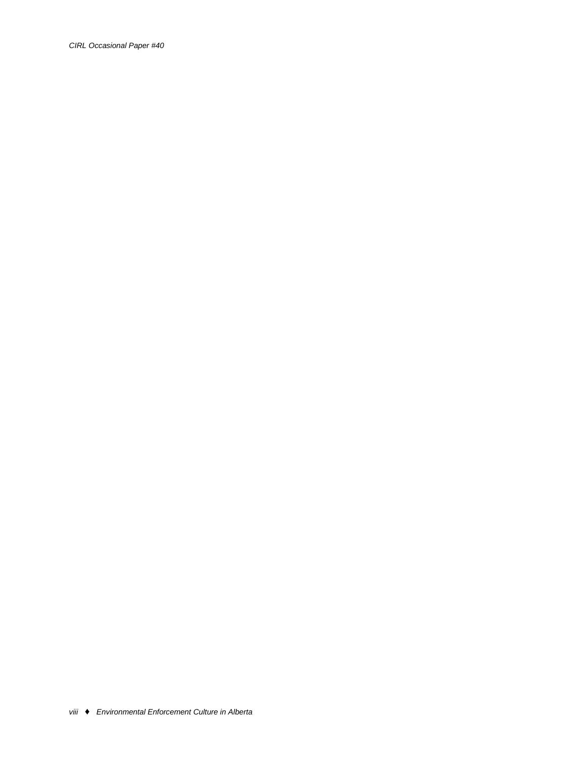*CIRL Occasional Paper #40*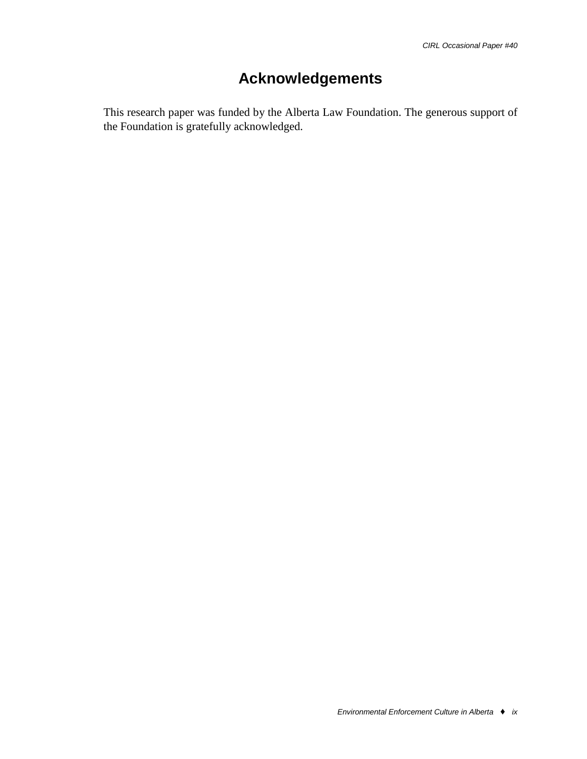# **Acknowledgements**

This research paper was funded by the Alberta Law Foundation. The generous support of the Foundation is gratefully acknowledged.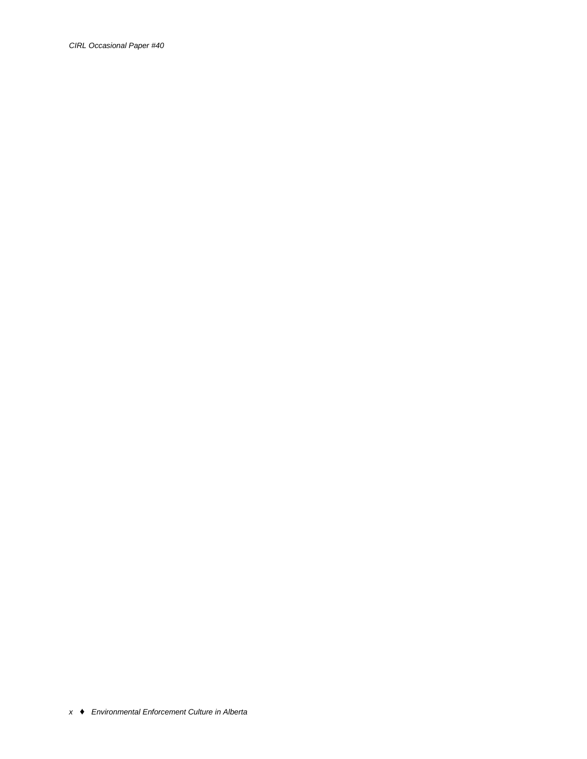*CIRL Occasional Paper #40*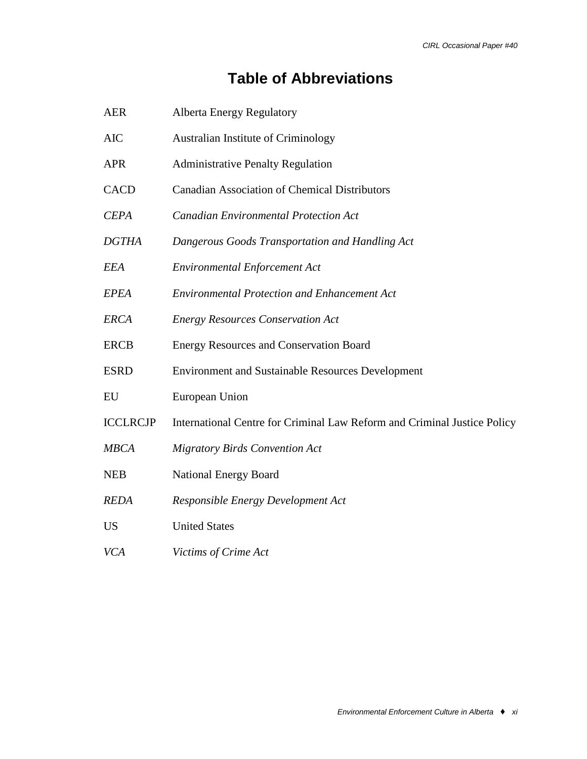# **Table of Abbreviations**

| <b>AER</b>      | <b>Alberta Energy Regulatory</b>                                         |
|-----------------|--------------------------------------------------------------------------|
| <b>AIC</b>      | Australian Institute of Criminology                                      |
| <b>APR</b>      | <b>Administrative Penalty Regulation</b>                                 |
| <b>CACD</b>     | <b>Canadian Association of Chemical Distributors</b>                     |
| <b>CEPA</b>     | <b>Canadian Environmental Protection Act</b>                             |
| <b>DGTHA</b>    | Dangerous Goods Transportation and Handling Act                          |
| <b>EEA</b>      | <b>Environmental Enforcement Act</b>                                     |
| <b>EPEA</b>     | <b>Environmental Protection and Enhancement Act</b>                      |
| <b>ERCA</b>     | <b>Energy Resources Conservation Act</b>                                 |
| <b>ERCB</b>     | <b>Energy Resources and Conservation Board</b>                           |
| <b>ESRD</b>     | <b>Environment and Sustainable Resources Development</b>                 |
| EU              | European Union                                                           |
| <b>ICCLRCJP</b> | International Centre for Criminal Law Reform and Criminal Justice Policy |
| <b>MBCA</b>     | <b>Migratory Birds Convention Act</b>                                    |
| <b>NEB</b>      | <b>National Energy Board</b>                                             |
| <b>REDA</b>     | Responsible Energy Development Act                                       |
| <b>US</b>       | <b>United States</b>                                                     |
| <b>VCA</b>      | Victims of Crime Act                                                     |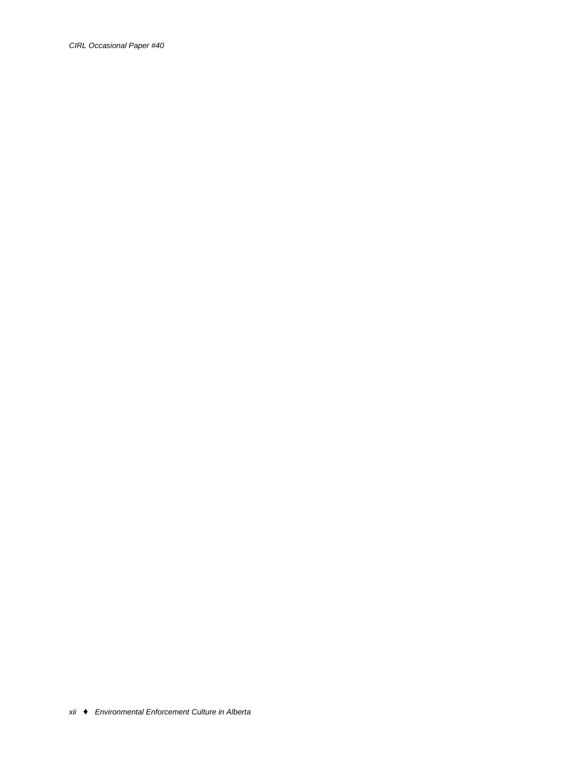*CIRL Occasional Paper #40*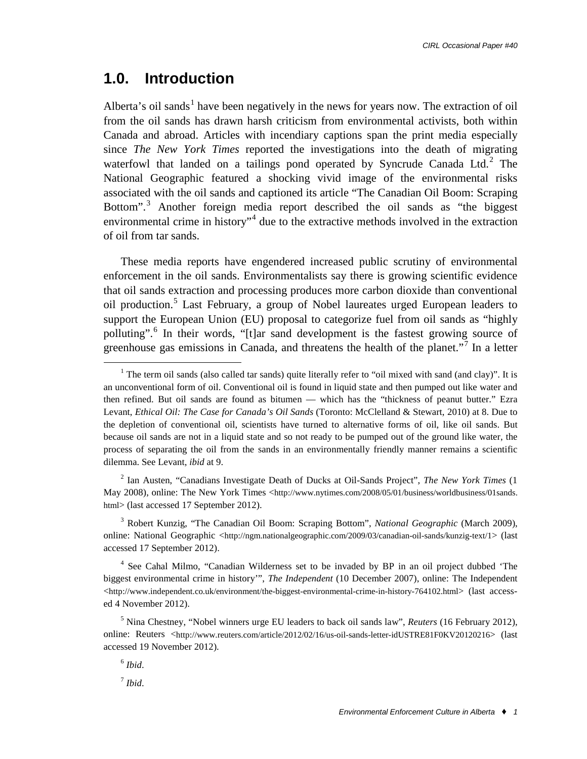## **1.0. Introduction**

Alberta's oil sands<sup>[1](#page-13-0)</sup> have been negatively in the news for years now. The extraction of oil from the oil sands has drawn harsh criticism from environmental activists, both within Canada and abroad. Articles with incendiary captions span the print media especially since *The New York Times* reported the investigations into the death of migrating waterfowl that landed on a tailings pond operated by Syncrude Canada Ltd.<sup>[2](#page-13-1)</sup> The National Geographic featured a shocking vivid image of the environmental risks associated with the oil sands and captioned its article "The Canadian Oil Boom: Scraping Bottom".<sup>[3](#page-13-2)</sup> Another foreign media report described the oil sands as "the biggest" environmental crime in history<sup>3[4](#page-13-3)</sup> due to the extractive methods involved in the extraction of oil from tar sands.

These media reports have engendered increased public scrutiny of environmental enforcement in the oil sands. Environmentalists say there is growing scientific evidence that oil sands extraction and processing produces more carbon dioxide than conventional oil production.<sup>[5](#page-13-4)</sup> Last February, a group of Nobel laureates urged European leaders to support the European Union (EU) proposal to categorize fuel from oil sands as "highly polluting".<sup>[6](#page-13-5)</sup> In their words, "[t]ar sand development is the fastest growing source of greenhouse gas emissions in Canada, and threatens the health of the planet. $\overline{N}$  In a letter

<span id="page-13-1"></span><sup>2</sup> Ian Austen, "Canadians Investigate Death of Ducks at Oil-Sands Project", *The New York Times* (1 May 2008), online: The New York Times <http://www.nytimes.com/2008/05/01/business/worldbusiness/01sands. html> (last accessed 17 September 2012).

<span id="page-13-2"></span><sup>3</sup> Robert Kunzig, "The Canadian Oil Boom: Scraping Bottom", *National Geographic* (March 2009), online: National Geographic <http://ngm.nationalgeographic.com/2009/03/canadian-oil-sands/kunzig-text/1> (last accessed 17 September 2012).

<span id="page-13-3"></span><sup>4</sup> See Cahal Milmo, "Canadian Wilderness set to be invaded by BP in an oil project dubbed 'The biggest environmental crime in history'", *The Independent* (10 December 2007), online: The Independent  $\langle$ http://www.independent.co.uk/environment/the-biggest-environmental-crime-in-history-764102.html> (last accessed 4 November 2012).

<span id="page-13-6"></span><span id="page-13-5"></span><span id="page-13-4"></span><sup>5</sup> Nina Chestney, "Nobel winners urge EU leaders to back oil sands law", *Reuters* (16 February 2012), online: Reuters <http://www.reuters.com/article/2012/02/16/us-oil-sands-letter-idUSTRE81F0KV20120216> (last accessed 19 November 2012).

<sup>6</sup> *Ibid*.

 $\overline{a}$ 

<sup>7</sup> *Ibid*.

<span id="page-13-0"></span><sup>&</sup>lt;sup>1</sup> The term oil sands (also called tar sands) quite literally refer to "oil mixed with sand (and clay)". It is an unconventional form of oil. Conventional oil is found in liquid state and then pumped out like water and then refined. But oil sands are found as bitumen — which has the "thickness of peanut butter." Ezra Levant, *Ethical Oil: The Case for Canada's Oil Sands* (Toronto: McClelland & Stewart, 2010) at 8. Due to the depletion of conventional oil, scientists have turned to alternative forms of oil, like oil sands. But because oil sands are not in a liquid state and so not ready to be pumped out of the ground like water, the process of separating the oil from the sands in an environmentally friendly manner remains a scientific dilemma. See Levant, *ibid* at 9.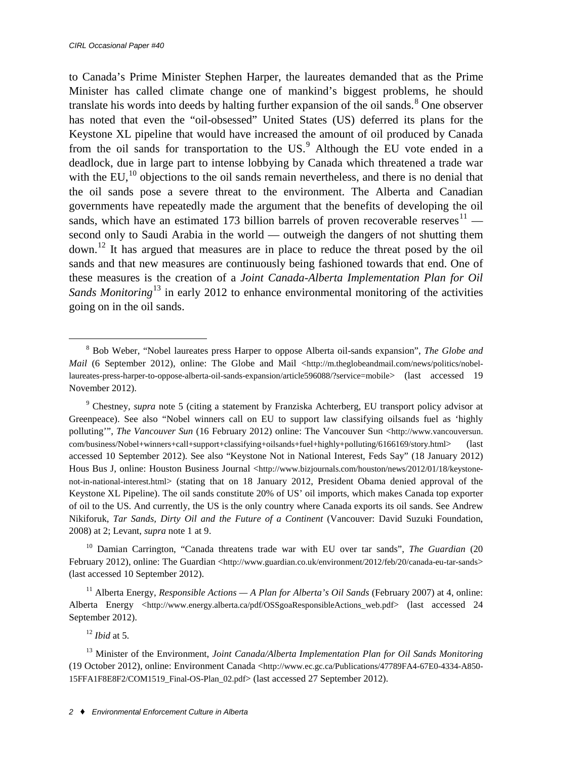to Canada's Prime Minister Stephen Harper, the laureates demanded that as the Prime Minister has called climate change one of mankind's biggest problems, he should translate his words into deeds by halting further expansion of the oil sands.<sup>[8](#page-14-0)</sup> One observer has noted that even the "oil-obsessed" United States (US) deferred its plans for the Keystone XL pipeline that would have increased the amount of oil produced by Canada from the oil sands for transportation to the  $US<sup>9</sup>$  $US<sup>9</sup>$  $US<sup>9</sup>$  Although the EU vote ended in a deadlock, due in large part to intense lobbying by Canada which threatened a trade war with the EU, $^{10}$  $^{10}$  $^{10}$  objections to the oil sands remain nevertheless, and there is no denial that the oil sands pose a severe threat to the environment. The Alberta and Canadian governments have repeatedly made the argument that the benefits of developing the oil sands, which have an estimated 173 billion barrels of proven recoverable reserves<sup>[11](#page-14-3)</sup> second only to Saudi Arabia in the world — outweigh the dangers of not shutting them down.<sup>[12](#page-14-4)</sup> It has argued that measures are in place to reduce the threat posed by the oil sands and that new measures are continuously being fashioned towards that end. One of these measures is the creation of a *Joint Canada-Alberta Implementation Plan for Oil Sands Monitoring*<sup>[13](#page-14-5)</sup> in early 2012 to enhance environmental monitoring of the activities going on in the oil sands.

<span id="page-14-3"></span><sup>11</sup> Alberta Energy, *Responsible Actions — A Plan for Alberta's Oil Sands* (February 2007) at 4, online: Alberta Energy <http://www.energy.alberta.ca/pdf/OSSgoaResponsibleActions\_web.pdf> (last accessed 24 September 2012).

<sup>12</sup> *Ibid* at 5.

 $\overline{a}$ 

<span id="page-14-5"></span><span id="page-14-4"></span><sup>13</sup> Minister of the Environment, *Joint Canada/Alberta Implementation Plan for Oil Sands Monitoring* (19 October 2012), online: Environment Canada <http://www.ec.gc.ca/Publications/47789FA4-67E0-4334-A850- 15FFA1F8E8F2/COM1519\_Final-OS-Plan\_02.pdf> (last accessed 27 September 2012).

<span id="page-14-0"></span><sup>8</sup> Bob Weber, "Nobel laureates press Harper to oppose Alberta oil-sands expansion", *The Globe and Mail* (6 September 2012), online: The Globe and Mail <http://m.theglobeandmail.com/news/politics/nobellaureates-press-harper-to-oppose-alberta-oil-sands-expansion/article596088/?service=mobile> (last accessed 19 November 2012).

<span id="page-14-1"></span><sup>9</sup> Chestney, *supra* note 5 (citing a statement by Franziska Achterberg, EU transport policy advisor at Greenpeace). See also "Nobel winners call on EU to support law classifying oilsands fuel as 'highly polluting", *The Vancouver Sun* (16 February 2012) online: The Vancouver Sun <http://www.vancouversun. com/business/Nobel+winners+call+support+classifying+oilsands+fuel+highly+polluting/6166169/story.html> (last accessed 10 September 2012). See also "Keystone Not in National Interest, Feds Say" (18 January 2012) Hous Bus J, online: Houston Business Journal <http://www.bizjournals.com/houston/news/2012/01/18/keystonenot-in-national-interest.html> (stating that on 18 January 2012, President Obama denied approval of the Keystone XL Pipeline). The oil sands constitute 20% of US' oil imports, which makes Canada top exporter of oil to the US. And currently, the US is the only country where Canada exports its oil sands. See Andrew Nikiforuk, *Tar Sands, Dirty Oil and the Future of a Continent* (Vancouver: David Suzuki Foundation, 2008) at 2; Levant, *supra* note 1 at 9.

<span id="page-14-2"></span><sup>10</sup> Damian Carrington, "Canada threatens trade war with EU over tar sands", *The Guardian* (20 February 2012), online: The Guardian <http://www.guardian.co.uk/environment/2012/feb/20/canada-eu-tar-sands> (last accessed 10 September 2012).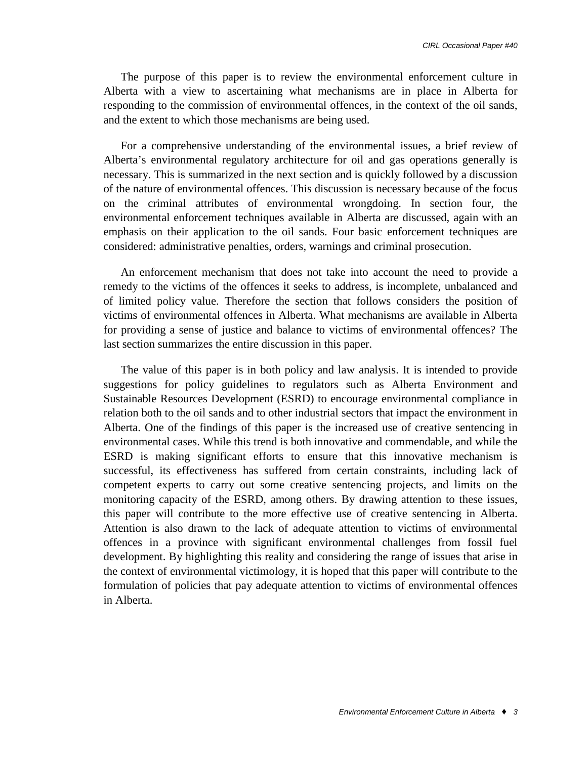The purpose of this paper is to review the environmental enforcement culture in Alberta with a view to ascertaining what mechanisms are in place in Alberta for responding to the commission of environmental offences, in the context of the oil sands, and the extent to which those mechanisms are being used.

For a comprehensive understanding of the environmental issues, a brief review of Alberta's environmental regulatory architecture for oil and gas operations generally is necessary. This is summarized in the next section and is quickly followed by a discussion of the nature of environmental offences. This discussion is necessary because of the focus on the criminal attributes of environmental wrongdoing. In section four, the environmental enforcement techniques available in Alberta are discussed, again with an emphasis on their application to the oil sands. Four basic enforcement techniques are considered: administrative penalties, orders, warnings and criminal prosecution.

An enforcement mechanism that does not take into account the need to provide a remedy to the victims of the offences it seeks to address, is incomplete, unbalanced and of limited policy value. Therefore the section that follows considers the position of victims of environmental offences in Alberta. What mechanisms are available in Alberta for providing a sense of justice and balance to victims of environmental offences? The last section summarizes the entire discussion in this paper.

The value of this paper is in both policy and law analysis. It is intended to provide suggestions for policy guidelines to regulators such as Alberta Environment and Sustainable Resources Development (ESRD) to encourage environmental compliance in relation both to the oil sands and to other industrial sectors that impact the environment in Alberta. One of the findings of this paper is the increased use of creative sentencing in environmental cases. While this trend is both innovative and commendable, and while the ESRD is making significant efforts to ensure that this innovative mechanism is successful, its effectiveness has suffered from certain constraints, including lack of competent experts to carry out some creative sentencing projects, and limits on the monitoring capacity of the ESRD, among others. By drawing attention to these issues, this paper will contribute to the more effective use of creative sentencing in Alberta. Attention is also drawn to the lack of adequate attention to victims of environmental offences in a province with significant environmental challenges from fossil fuel development. By highlighting this reality and considering the range of issues that arise in the context of environmental victimology, it is hoped that this paper will contribute to the formulation of policies that pay adequate attention to victims of environmental offences in Alberta.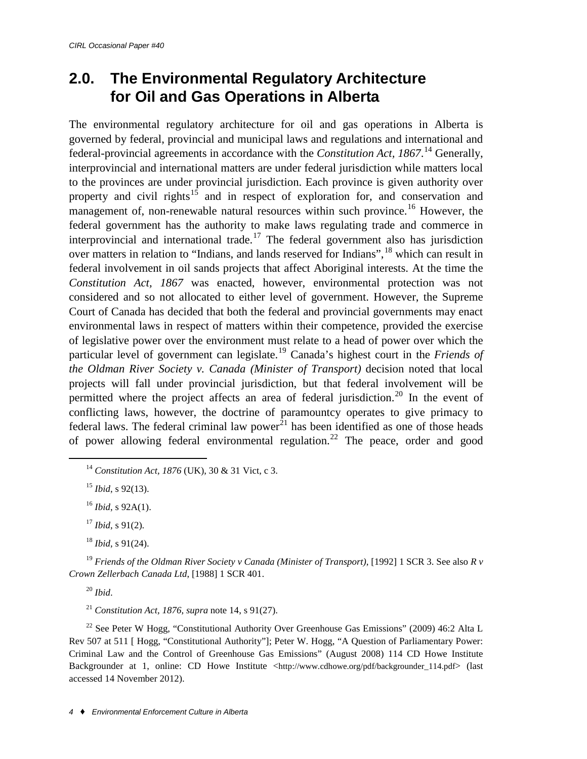# **2.0. The Environmental Regulatory Architecture for Oil and Gas Operations in Alberta**

The environmental regulatory architecture for oil and gas operations in Alberta is governed by federal, provincial and municipal laws and regulations and international and federal-provincial agreements in accordance with the *Constitution Act, 1867*. [14](#page-16-0) Generally, interprovincial and international matters are under federal jurisdiction while matters local to the provinces are under provincial jurisdiction. Each province is given authority over property and civil rights<sup>[15](#page-16-1)</sup> and in respect of exploration for, and conservation and management of, non-renewable natural resources within such province.<sup>[16](#page-16-2)</sup> However, the federal government has the authority to make laws regulating trade and commerce in interprovincial and international trade.<sup>[17](#page-16-3)</sup> The federal government also has jurisdiction over matters in relation to "Indians, and lands reserved for Indians",<sup>[18](#page-16-4)</sup> which can result in federal involvement in oil sands projects that affect Aboriginal interests. At the time the *Constitution Act, 1867* was enacted, however, environmental protection was not considered and so not allocated to either level of government. However, the Supreme Court of Canada has decided that both the federal and provincial governments may enact environmental laws in respect of matters within their competence, provided the exercise of legislative power over the environment must relate to a head of power over which the particular level of government can legislate.[19](#page-16-5) Canada's highest court in the *Friends of the Oldman River Society v. Canada (Minister of Transport)* decision noted that local projects will fall under provincial jurisdiction, but that federal involvement will be permitted where the project affects an area of federal jurisdiction.<sup>[20](#page-16-6)</sup> In the event of conflicting laws, however, the doctrine of paramountcy operates to give primacy to federal laws. The federal criminal law power $^{21}$  $^{21}$  $^{21}$  has been identified as one of those heads of power allowing federal environmental regulation.<sup>[22](#page-16-8)</sup> The peace, order and good

<span id="page-16-2"></span><span id="page-16-1"></span><span id="page-16-0"></span> $\overline{a}$ 

<sup>17</sup> *Ibid*, s 91(2).

<sup>18</sup> *Ibid*, s 91(24).

<span id="page-16-6"></span><span id="page-16-5"></span><span id="page-16-4"></span><span id="page-16-3"></span><sup>19</sup> *Friends of the Oldman River Society v Canada (Minister of Transport)*, [1992] 1 SCR 3. See also *R v Crown Zellerbach Canada Ltd*, [1988] 1 SCR 401.

<sup>20</sup> *Ibid*.

<sup>21</sup> *Constitution Act, 1876*, *supra* note 14, s 91(27).

<span id="page-16-8"></span><span id="page-16-7"></span><sup>22</sup> See Peter W Hogg, "Constitutional Authority Over Greenhouse Gas Emissions" (2009) 46:2 Alta L Rev 507 at 511 [ Hogg, "Constitutional Authority"]; Peter W. Hogg, "A Question of Parliamentary Power: Criminal Law and the Control of Greenhouse Gas Emissions" (August 2008) 114 CD Howe Institute Backgrounder at 1, online: CD Howe Institute <http://www.cdhowe.org/pdf/backgrounder\_114.pdf> (last accessed 14 November 2012).

<sup>14</sup> *Constitution Act, 1876* (UK), 30 & 31 Vict, c 3.

<sup>15</sup> *Ibid*, s 92(13).

<sup>16</sup> *Ibid*, s 92A(1).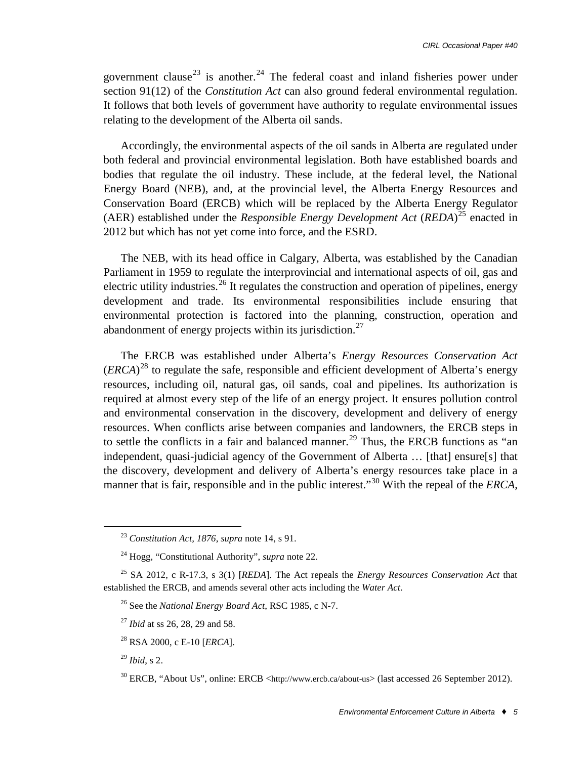government clause<sup>[23](#page-17-0)</sup> is another.<sup>[24](#page-17-1)</sup> The federal coast and inland fisheries power under section 91(12) of the *Constitution Act* can also ground federal environmental regulation. It follows that both levels of government have authority to regulate environmental issues relating to the development of the Alberta oil sands.

Accordingly, the environmental aspects of the oil sands in Alberta are regulated under both federal and provincial environmental legislation. Both have established boards and bodies that regulate the oil industry. These include, at the federal level, the National Energy Board (NEB), and, at the provincial level, the Alberta Energy Resources and Conservation Board (ERCB) which will be replaced by the Alberta Energy Regulator (AER) established under the *Responsible Energy Development Act* (*REDA*) [25](#page-17-2) enacted in 2012 but which has not yet come into force, and the ESRD.

The NEB, with its head office in Calgary, Alberta, was established by the Canadian Parliament in 1959 to regulate the interprovincial and international aspects of oil, gas and electric utility industries.<sup>[26](#page-17-3)</sup> It regulates the construction and operation of pipelines, energy development and trade. Its environmental responsibilities include ensuring that environmental protection is factored into the planning, construction, operation and abandonment of energy projects within its jurisdiction.<sup>[27](#page-17-4)</sup>

The ERCB was established under Alberta's *Energy Resources Conservation Act*  $(ERCA)^{28}$  $(ERCA)^{28}$  $(ERCA)^{28}$  to regulate the safe, responsible and efficient development of Alberta's energy resources, including oil, natural gas, oil sands, coal and pipelines. Its authorization is required at almost every step of the life of an energy project. It ensures pollution control and environmental conservation in the discovery, development and delivery of energy resources. When conflicts arise between companies and landowners, the ERCB steps in to settle the conflicts in a fair and balanced manner.<sup>[29](#page-17-6)</sup> Thus, the ERCB functions as "an independent, quasi-judicial agency of the Government of Alberta … [that] ensure[s] that the discovery, development and delivery of Alberta's energy resources take place in a manner that is fair, responsible and in the public interest."<sup>[30](#page-17-7)</sup> With the repeal of the *ERCA*,

<span id="page-17-6"></span><sup>29</sup> *Ibid*, s 2.

<sup>23</sup> *Constitution Act, 1876*, *supra* note 14, s 91.

<sup>24</sup> Hogg, "Constitutional Authority", *supra* note 22.

<span id="page-17-4"></span><span id="page-17-3"></span><span id="page-17-2"></span><span id="page-17-1"></span><span id="page-17-0"></span><sup>25</sup> SA 2012, c R-17.3, s 3(1) [*REDA*]. The Act repeals the *Energy Resources Conservation Act* that established the ERCB, and amends several other acts including the *Water Act*.

<sup>26</sup> See the *National Energy Board Act*, RSC 1985, c N-7.

<sup>27</sup> *Ibid* at ss 26, 28, 29 and 58.

<span id="page-17-5"></span><sup>28</sup> RSA 2000, c E-10 [*ERCA*].

<span id="page-17-7"></span><sup>&</sup>lt;sup>30</sup> ERCB, "About Us", online: ERCB <http://www.ercb.ca/about-us> (last accessed 26 September 2012).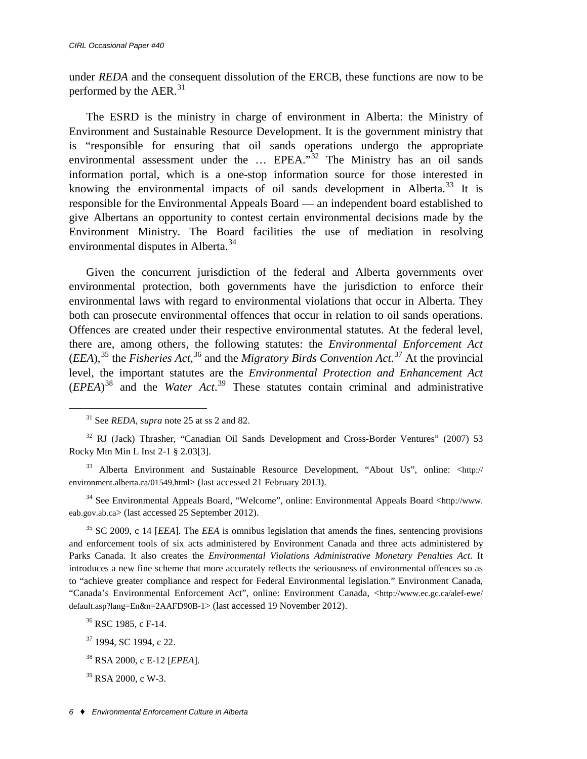under *REDA* and the consequent dissolution of the ERCB, these functions are now to be performed by the  $AER.<sup>31</sup>$  $AER.<sup>31</sup>$  $AER.<sup>31</sup>$ 

The ESRD is the ministry in charge of environment in Alberta: the Ministry of Environment and Sustainable Resource Development. It is the government ministry that is "responsible for ensuring that oil sands operations undergo the appropriate environmental assessment under the ... EPEA."<sup>[32](#page-18-1)</sup> The Ministry has an oil sands information portal, which is a one-stop information source for those interested in knowing the environmental impacts of oil sands development in Alberta.<sup>[33](#page-18-2)</sup> It is responsible for the Environmental Appeals Board — an independent board established to give Albertans an opportunity to contest certain environmental decisions made by the Environment Ministry. The Board facilities the use of mediation in resolving environmental disputes in Alberta.<sup>[34](#page-18-3)</sup>

Given the concurrent jurisdiction of the federal and Alberta governments over environmental protection, both governments have the jurisdiction to enforce their environmental laws with regard to environmental violations that occur in Alberta. They both can prosecute environmental offences that occur in relation to oil sands operations. Offences are created under their respective environmental statutes. At the federal level, there are, among others, the following statutes: the *Environmental Enforcement Act*  $(EEA)$ ,<sup>[35](#page-18-4)</sup> the *Fisheries Act*,<sup>[36](#page-18-5)</sup> and the *Migratory Birds Convention Act*.<sup>[37](#page-18-6)</sup> At the provincial level, the important statutes are the *Environmental Protection and Enhancement Act*  $(EPEA)^{38}$  $(EPEA)^{38}$  $(EPEA)^{38}$  and the *Water Act*.<sup>[39](#page-18-8)</sup> These statutes contain criminal and administrative

<span id="page-18-2"></span><sup>33</sup> Alberta Environment and Sustainable Resource Development, "About Us", online: <http:// environment.alberta.ca/01549.html> (last accessed 21 February 2013).

<span id="page-18-3"></span> $34$  See Environmental Appeals Board, "Welcome", online: Environmental Appeals Board <http://www. eab.gov.ab.ca> (last accessed 25 September 2012).

<span id="page-18-4"></span><sup>35</sup> SC 2009, c 14 [*EEA*]. The *EEA* is omnibus legislation that amends the fines, sentencing provisions and enforcement tools of six acts administered by Environment Canada and three acts administered by Parks Canada. It also creates the *Environmental Violations Administrative Monetary Penalties Act*. It introduces a new fine scheme that more accurately reflects the seriousness of environmental offences so as to "achieve greater compliance and respect for Federal Environmental legislation." Environment Canada, "Canada's Environmental Enforcement Act", online: Environment Canada, <http://www.ec.gc.ca/alef-ewe/ default.asp?lang=En&n=2AAFD90B-1> (last accessed 19 November 2012).

<span id="page-18-5"></span><sup>36</sup> RSC 1985, c F-14.

<span id="page-18-0"></span> $\overline{a}$ 

- <span id="page-18-6"></span><sup>37</sup> 1994, SC 1994, c 22.
- <span id="page-18-7"></span><sup>38</sup> RSA 2000, c E-12 [*EPEA*].

<span id="page-18-8"></span><sup>39</sup> RSA 2000, c W-3.

<sup>31</sup> See *REDA*, *supra* note 25 at ss 2 and 82.

<span id="page-18-1"></span><sup>&</sup>lt;sup>32</sup> RJ (Jack) Thrasher, "Canadian Oil Sands Development and Cross-Border Ventures" (2007) 53 Rocky Mtn Min L Inst 2-1 § 2.03[3].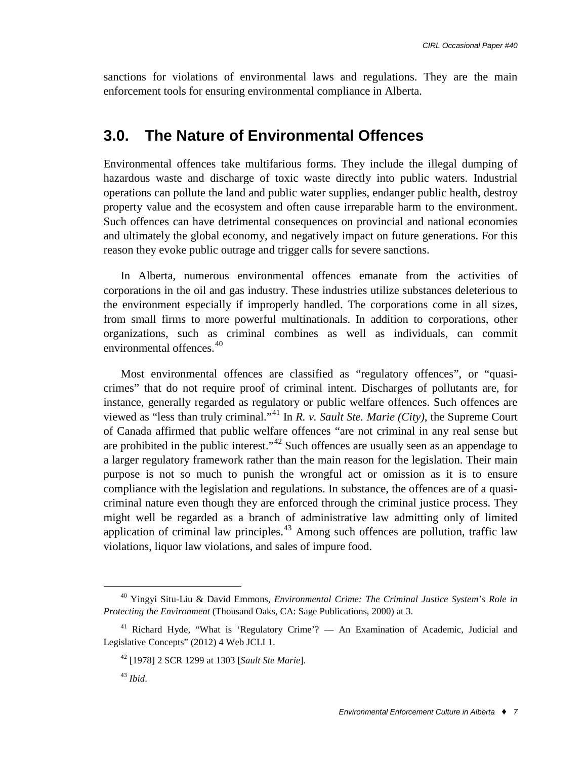sanctions for violations of environmental laws and regulations. They are the main enforcement tools for ensuring environmental compliance in Alberta.

## **3.0. The Nature of Environmental Offences**

Environmental offences take multifarious forms. They include the illegal dumping of hazardous waste and discharge of toxic waste directly into public waters. Industrial operations can pollute the land and public water supplies, endanger public health, destroy property value and the ecosystem and often cause irreparable harm to the environment. Such offences can have detrimental consequences on provincial and national economies and ultimately the global economy, and negatively impact on future generations. For this reason they evoke public outrage and trigger calls for severe sanctions.

In Alberta, numerous environmental offences emanate from the activities of corporations in the oil and gas industry. These industries utilize substances deleterious to the environment especially if improperly handled. The corporations come in all sizes, from small firms to more powerful multinationals. In addition to corporations, other organizations, such as criminal combines as well as individuals, can commit environmental offences.<sup>[40](#page-19-0)</sup>

Most environmental offences are classified as "regulatory offences", or "quasicrimes" that do not require proof of criminal intent. Discharges of pollutants are, for instance, generally regarded as regulatory or public welfare offences. Such offences are viewed as "less than truly criminal."[41](#page-19-1) In *R. v. Sault Ste. Marie (City)*, the Supreme Court of Canada affirmed that public welfare offences "are not criminal in any real sense but are prohibited in the public interest."<sup>[42](#page-19-2)</sup> Such offences are usually seen as an appendage to a larger regulatory framework rather than the main reason for the legislation. Their main purpose is not so much to punish the wrongful act or omission as it is to ensure compliance with the legislation and regulations. In substance, the offences are of a quasicriminal nature even though they are enforced through the criminal justice process. They might well be regarded as a branch of administrative law admitting only of limited application of criminal law principles. $43$  Among such offences are pollution, traffic law violations, liquor law violations, and sales of impure food.

<span id="page-19-0"></span><sup>40</sup> Yingyi Situ-Liu & David Emmons, *Environmental Crime: The Criminal Justice System's Role in Protecting the Environment* (Thousand Oaks, CA: Sage Publications, 2000) at 3.

<span id="page-19-3"></span><span id="page-19-2"></span><span id="page-19-1"></span><sup>&</sup>lt;sup>41</sup> Richard Hyde, "What is 'Regulatory Crime'? — An Examination of Academic, Judicial and Legislative Concepts" (2012) 4 Web JCLI 1.

<sup>42</sup> [1978] 2 SCR 1299 at 1303 [*Sault Ste Marie*].

<sup>43</sup> *Ibid*.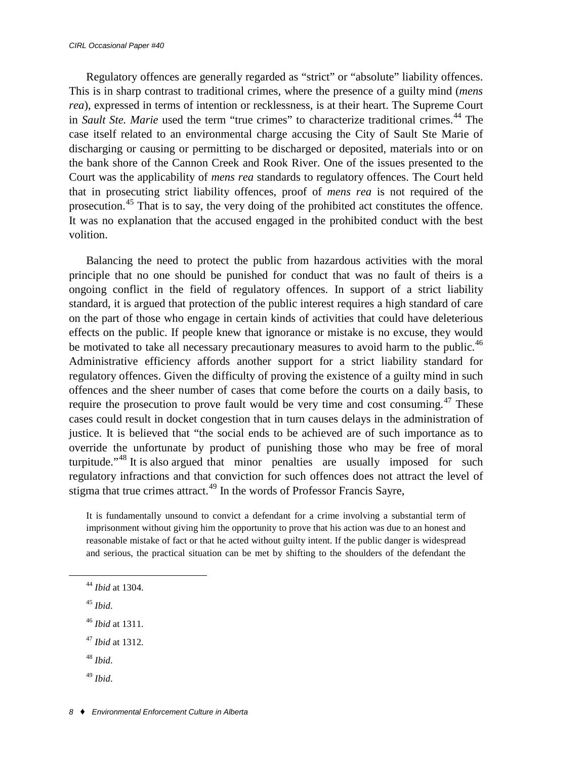Regulatory offences are generally regarded as "strict" or "absolute" liability offences. This is in sharp contrast to traditional crimes, where the presence of a guilty mind (*mens rea*), expressed in terms of intention or recklessness, is at their heart. The Supreme Court in *Sault Ste. Marie* used the term "true crimes" to characterize traditional crimes.<sup>[44](#page-20-0)</sup> The case itself related to an environmental charge accusing the City of Sault Ste Marie of discharging or causing or permitting to be discharged or deposited, materials into or on the bank shore of the Cannon Creek and Rook River. One of the issues presented to the Court was the applicability of *mens rea* standards to regulatory offences. The Court held that in prosecuting strict liability offences, proof of *mens rea* is not required of the prosecution.<sup>[45](#page-20-1)</sup> That is to say, the very doing of the prohibited act constitutes the offence. It was no explanation that the accused engaged in the prohibited conduct with the best volition.

Balancing the need to protect the public from hazardous activities with the moral principle that no one should be punished for conduct that was no fault of theirs is a ongoing conflict in the field of regulatory offences. In support of a strict liability standard, it is argued that protection of the public interest requires a high standard of care on the part of those who engage in certain kinds of activities that could have deleterious effects on the public. If people knew that ignorance or mistake is no excuse, they would be motivated to take all necessary precautionary measures to avoid harm to the public.<sup>[46](#page-20-2)</sup> Administrative efficiency affords another support for a strict liability standard for regulatory offences. Given the difficulty of proving the existence of a guilty mind in such offences and the sheer number of cases that come before the courts on a daily basis, to require the prosecution to prove fault would be very time and cost consuming. $47$  These cases could result in docket congestion that in turn causes delays in the administration of justice. It is believed that "the social ends to be achieved are of such importance as to override the unfortunate by product of punishing those who may be free of moral turpitude."<sup>[48](#page-20-4)</sup> It is also argued that minor penalties are usually imposed for such regulatory infractions and that conviction for such offences does not attract the level of stigma that true crimes attract.<sup>[49](#page-20-5)</sup> In the words of Professor Francis Sayre,

It is fundamentally unsound to convict a defendant for a crime involving a substantial term of imprisonment without giving him the opportunity to prove that his action was due to an honest and reasonable mistake of fact or that he acted without guilty intent. If the public danger is widespread and serious, the practical situation can be met by shifting to the shoulders of the defendant the

<span id="page-20-1"></span><sup>45</sup> *Ibid*.

- <span id="page-20-2"></span><sup>46</sup> *Ibid* at 1311.
- <span id="page-20-3"></span><sup>47</sup> *Ibid* at 1312.
- <span id="page-20-4"></span><sup>48</sup> *Ibid*.
- <span id="page-20-5"></span><sup>49</sup> *Ibid*.

<span id="page-20-0"></span><sup>44</sup> *Ibid* at 1304.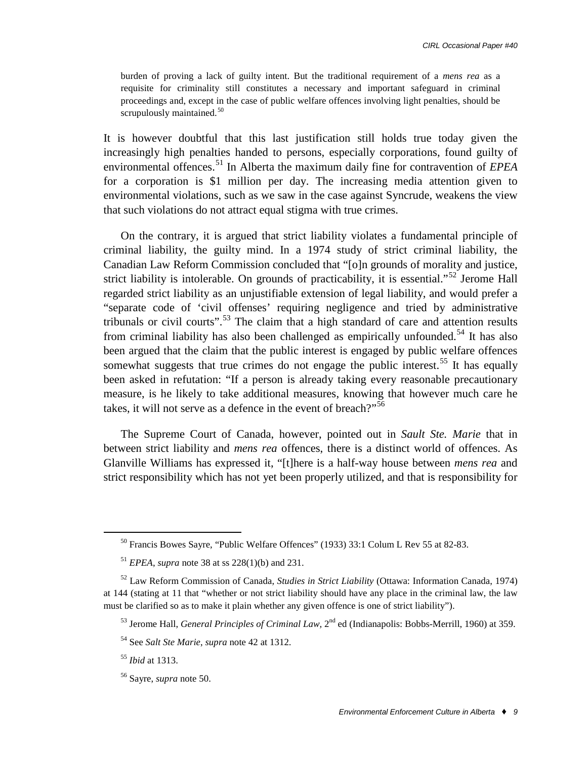burden of proving a lack of guilty intent. But the traditional requirement of a *mens rea* as a requisite for criminality still constitutes a necessary and important safeguard in criminal proceedings and, except in the case of public welfare offences involving light penalties, should be scrupulously maintained. $50$ 

It is however doubtful that this last justification still holds true today given the increasingly high penalties handed to persons, especially corporations, found guilty of environmental offences.<sup>[51](#page-21-1)</sup> In Alberta the maximum daily fine for contravention of *EPEA* for a corporation is \$1 million per day. The increasing media attention given to environmental violations, such as we saw in the case against Syncrude, weakens the view that such violations do not attract equal stigma with true crimes.

On the contrary, it is argued that strict liability violates a fundamental principle of criminal liability, the guilty mind. In a 1974 study of strict criminal liability, the Canadian Law Reform Commission concluded that "[o]n grounds of morality and justice, strict liability is intolerable. On grounds of practicability, it is essential."<sup>[52](#page-21-2)</sup> Jerome Hall regarded strict liability as an unjustifiable extension of legal liability, and would prefer a "separate code of 'civil offenses' requiring negligence and tried by administrative tribunals or civil courts".<sup>[53](#page-21-3)</sup> The claim that a high standard of care and attention results from criminal liability has also been challenged as empirically unfounded.<sup>[54](#page-21-4)</sup> It has also been argued that the claim that the public interest is engaged by public welfare offences somewhat suggests that true crimes do not engage the public interest.<sup>[55](#page-21-5)</sup> It has equally been asked in refutation: "If a person is already taking every reasonable precautionary measure, is he likely to take additional measures, knowing that however much care he takes, it will not serve as a defence in the event of breach?"<sup>[56](#page-21-6)</sup>

The Supreme Court of Canada, however, pointed out in *Sault Ste. Marie* that in between strict liability and *mens rea* offences, there is a distinct world of offences. As Glanville Williams has expressed it, "[t]here is a half-way house between *mens rea* and strict responsibility which has not yet been properly utilized, and that is responsibility for

<sup>50</sup> Francis Bowes Sayre, "Public Welfare Offences" (1933) 33:1 Colum L Rev 55 at 82-83.

<sup>51</sup> *EPEA*, *supra* note 38 at ss 228(1)(b) and 231.

<span id="page-21-4"></span><span id="page-21-3"></span><span id="page-21-2"></span><span id="page-21-1"></span><span id="page-21-0"></span><sup>52</sup> Law Reform Commission of Canada, *Studies in Strict Liability* (Ottawa: Information Canada, 1974) at 144 (stating at 11 that "whether or not strict liability should have any place in the criminal law, the law must be clarified so as to make it plain whether any given offence is one of strict liability").

<sup>53</sup> Jerome Hall, *General Principles of Criminal Law,* 2nd ed (Indianapolis: Bobbs-Merrill, 1960) at 359.

<sup>54</sup> See *Salt Ste Marie*, *supra* note 42 at 1312.

<span id="page-21-5"></span><sup>55</sup> *Ibid* at 1313.

<span id="page-21-6"></span><sup>56</sup> Sayre, *supra* note 50.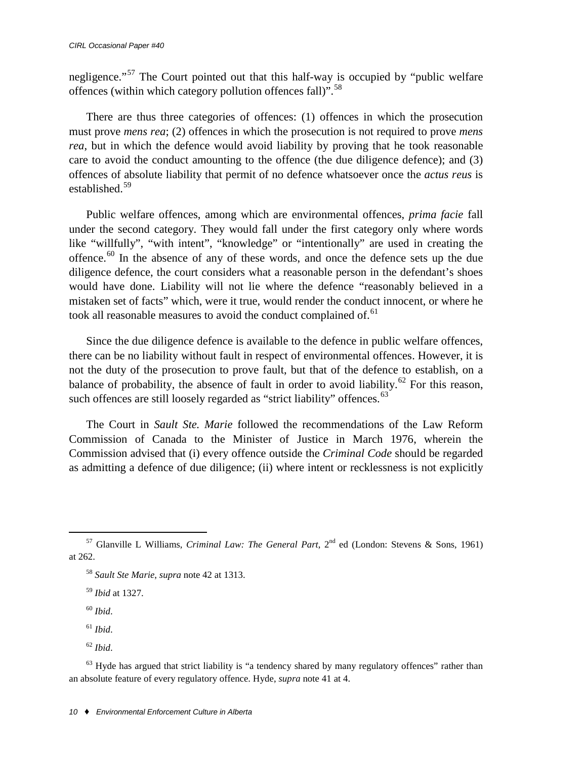negligence."<sup>[57](#page-22-0)</sup> The Court pointed out that this half-way is occupied by "public welfare offences (within which category pollution offences fall)".  $58$ 

There are thus three categories of offences: (1) offences in which the prosecution must prove *mens rea*; (2) offences in which the prosecution is not required to prove *mens rea*, but in which the defence would avoid liability by proving that he took reasonable care to avoid the conduct amounting to the offence (the due diligence defence); and (3) offences of absolute liability that permit of no defence whatsoever once the *actus reus* is established.<sup>[59](#page-22-2)</sup>

Public welfare offences, among which are environmental offences, *prima facie* fall under the second category. They would fall under the first category only where words like "willfully", "with intent", "knowledge" or "intentionally" are used in creating the offence.<sup>[60](#page-22-3)</sup> In the absence of any of these words, and once the defence sets up the due diligence defence, the court considers what a reasonable person in the defendant's shoes would have done. Liability will not lie where the defence "reasonably believed in a mistaken set of facts" which, were it true, would render the conduct innocent, or where he took all reasonable measures to avoid the conduct complained of.<sup>[61](#page-22-4)</sup>

Since the due diligence defence is available to the defence in public welfare offences, there can be no liability without fault in respect of environmental offences. However, it is not the duty of the prosecution to prove fault, but that of the defence to establish, on a balance of probability, the absence of fault in order to avoid liability.<sup>[62](#page-22-5)</sup> For this reason, such offences are still loosely regarded as "strict liability" offences.<sup>[63](#page-22-6)</sup>

The Court in *Sault Ste. Marie* followed the recommendations of the Law Reform Commission of Canada to the Minister of Justice in March 1976, wherein the Commission advised that (i) every offence outside the *Criminal Code* should be regarded as admitting a defence of due diligence; (ii) where intent or recklessness is not explicitly

<span id="page-22-3"></span><sup>60</sup> *Ibid*.

 $\overline{a}$ 

 $61$  *Ibid.* 

<sup>62</sup> *Ibid*.

<span id="page-22-6"></span><span id="page-22-5"></span><span id="page-22-4"></span> $63$  Hyde has argued that strict liability is "a tendency shared by many regulatory offences" rather than an absolute feature of every regulatory offence. Hyde, *supra* note 41 at 4.

<span id="page-22-2"></span><span id="page-22-1"></span><span id="page-22-0"></span><sup>57</sup> Glanville L Williams, *Criminal Law: The General Part*, 2nd ed (London: Stevens & Sons, 1961) at 262.

<sup>58</sup> *Sault Ste Marie*, *supra* note 42 at 1313.

<sup>59</sup> *Ibid* at 1327.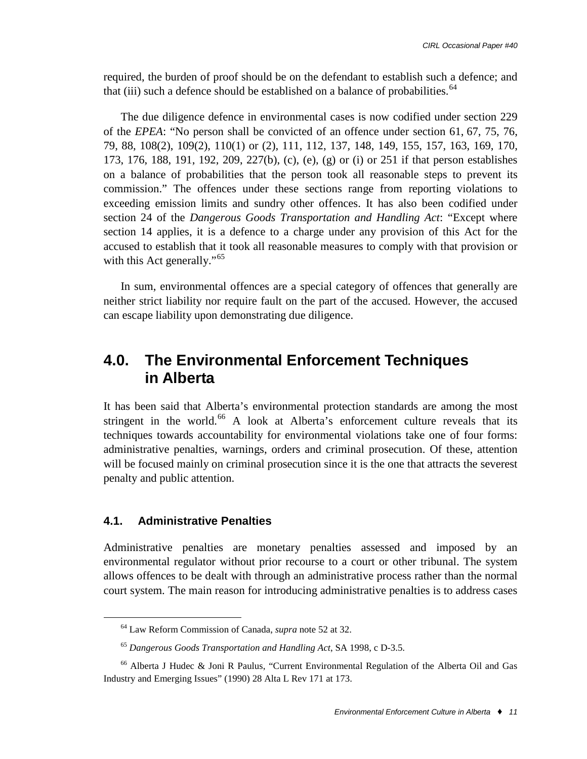required, the burden of proof should be on the defendant to establish such a defence; and that (iii) such a defence should be established on a balance of probabilities.  $64$ 

The due diligence defence in environmental cases is now codified under section 229 of the *EPEA*: "No person shall be convicted of an offence under section 61, 67, 75, 76, 79, 88, 108(2), 109(2), 110(1) or (2), 111, 112, 137, 148, 149, 155, 157, 163, 169, 170, 173, 176, 188, 191, 192, 209, 227(b), (c), (e), (g) or (i) or 251 if that person establishes on a balance of probabilities that the person took all reasonable steps to prevent its commission." The offences under these sections range from reporting violations to exceeding emission limits and sundry other offences. It has also been codified under section 24 of the *Dangerous Goods Transportation and Handling Act*: "Except where section 14 applies, it is a defence to a charge under any provision of this Act for the accused to establish that it took all reasonable measures to comply with that provision or with this Act generally."<sup>[65](#page-23-1)</sup>

In sum, environmental offences are a special category of offences that generally are neither strict liability nor require fault on the part of the accused. However, the accused can escape liability upon demonstrating due diligence.

## **4.0. The Environmental Enforcement Techniques in Alberta**

It has been said that Alberta's environmental protection standards are among the most stringent in the world.<sup>[66](#page-23-2)</sup> A look at Alberta's enforcement culture reveals that its techniques towards accountability for environmental violations take one of four forms: administrative penalties, warnings, orders and criminal prosecution. Of these, attention will be focused mainly on criminal prosecution since it is the one that attracts the severest penalty and public attention.

### **4.1. Administrative Penalties**

<span id="page-23-0"></span> $\overline{a}$ 

Administrative penalties are monetary penalties assessed and imposed by an environmental regulator without prior recourse to a court or other tribunal. The system allows offences to be dealt with through an administrative process rather than the normal court system. The main reason for introducing administrative penalties is to address cases

<sup>64</sup> Law Reform Commission of Canada, *supra* note 52 at 32.

<sup>65</sup> *Dangerous Goods Transportation and Handling Act*, SA 1998, c D-3.5.

<span id="page-23-2"></span><span id="page-23-1"></span><sup>66</sup> Alberta J Hudec & Joni R Paulus, "Current Environmental Regulation of the Alberta Oil and Gas Industry and Emerging Issues" (1990) 28 Alta L Rev 171 at 173.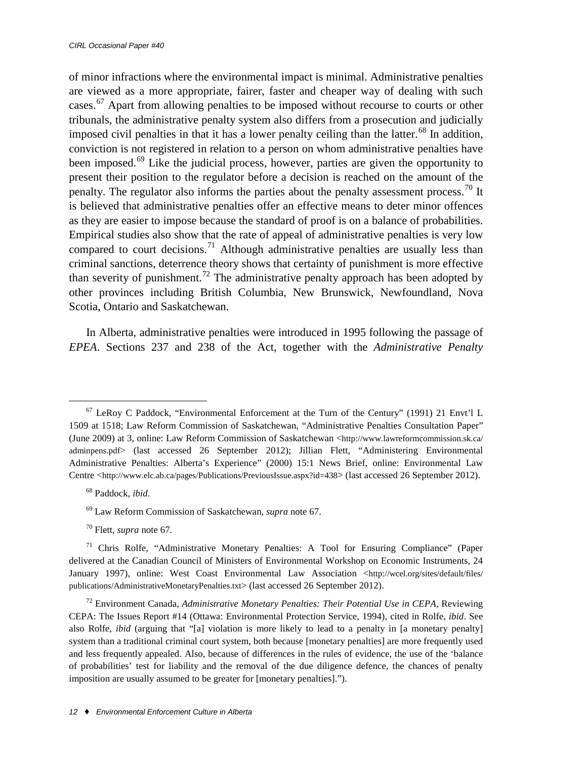of minor infractions where the environmental impact is minimal. Administrative penalties are viewed as a more appropriate, fairer, faster and cheaper way of dealing with such cases.<sup>[67](#page-24-0)</sup> Apart from allowing penalties to be imposed without recourse to courts or other tribunals, the administrative penalty system also differs from a prosecution and judicially imposed civil penalties in that it has a lower penalty ceiling than the latter.<sup>[68](#page-24-1)</sup> In addition, conviction is not registered in relation to a person on whom administrative penalties have been imposed.<sup>[69](#page-24-2)</sup> Like the judicial process, however, parties are given the opportunity to present their position to the regulator before a decision is reached on the amount of the penalty. The regulator also informs the parties about the penalty assessment process.<sup>[70](#page-24-3)</sup> It is believed that administrative penalties offer an effective means to deter minor offences as they are easier to impose because the standard of proof is on a balance of probabilities. Empirical studies also show that the rate of appeal of administrative penalties is very low compared to court decisions.<sup>[71](#page-24-4)</sup> Although administrative penalties are usually less than criminal sanctions, deterrence theory shows that certainty of punishment is more effective than severity of punishment.<sup>[72](#page-24-5)</sup> The administrative penalty approach has been adopted by other provinces including British Columbia, New Brunswick, Newfoundland, Nova Scotia, Ontario and Saskatchewan.

In Alberta, administrative penalties were introduced in 1995 following the passage of *EPEA*. Sections 237 and 238 of the Act, together with the *Administrative Penalty* 

 $\overline{a}$ 

<sup>70</sup> Flett, *supra* note 67.

<span id="page-24-0"></span> $67$  LeRoy C Paddock, "Environmental Enforcement at the Turn of the Century" (1991) 21 Envt'l L 1509 at 1518; Law Reform Commission of Saskatchewan, "Administrative Penalties Consultation Paper" (June 2009) at 3, online: Law Reform Commission of Saskatchewan <http://www.lawreformcommission.sk.ca/ adminpens.pdf> (last accessed 26 September 2012); Jillian Flett, "Administering Environmental Administrative Penalties: Alberta's Experience" (2000) 15:1 News Brief, online: Environmental Law Centre <http://www.elc.ab.ca/pages/Publications/PreviousIssue.aspx?id=438> (last accessed 26 September 2012).

<span id="page-24-1"></span><sup>68</sup> Paddock, *ibid*.

<sup>69</sup> Law Reform Commission of Saskatchewan, *supra* note 67.

<span id="page-24-4"></span><span id="page-24-3"></span><span id="page-24-2"></span><sup>&</sup>lt;sup>71</sup> Chris Rolfe, "Administrative Monetary Penalties: A Tool for Ensuring Compliance" (Paper delivered at the Canadian Council of Ministers of Environmental Workshop on Economic Instruments, 24 January 1997), online: West Coast Environmental Law Association <http://wcel.org/sites/default/files/ publications/AdministrativeMonetaryPenalties.txt> (last accessed 26 September 2012).

<span id="page-24-5"></span><sup>72</sup> Environment Canada, *Administrative Monetary Penalties: Their Potential Use in CEPA*, Reviewing CEPA: The Issues Report #14 (Ottawa: Environmental Protection Service, 1994), cited in Rolfe, *ibid*. See also Rolfe, *ibid* (arguing that "[a] violation is more likely to lead to a penalty in [a monetary penalty] system than a traditional criminal court system, both because [monetary penalties] are more frequently used and less frequently appealed. Also, because of differences in the rules of evidence, the use of the 'balance of probabilities' test for liability and the removal of the due diligence defence, the chances of penalty imposition are usually assumed to be greater for [monetary penalties].").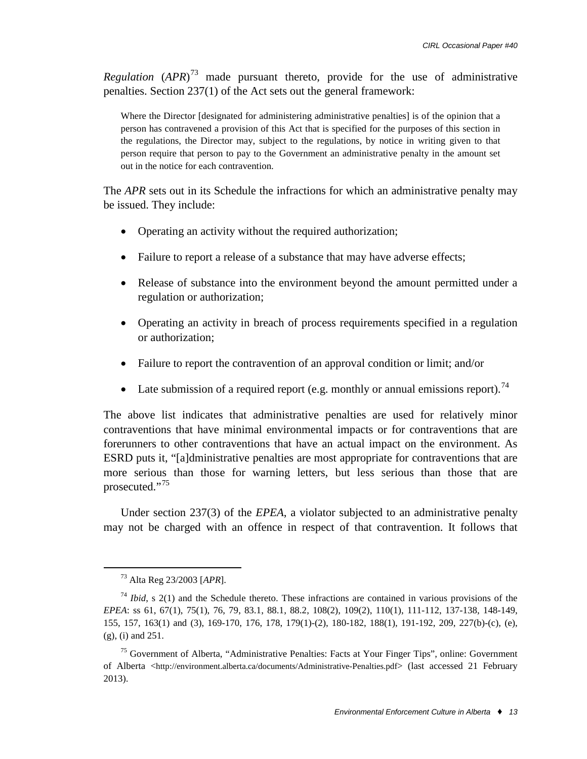*Regulation* (*APR*) [73](#page-25-0) made pursuant thereto, provide for the use of administrative penalties. Section 237(1) of the Act sets out the general framework:

Where the Director [designated for administering administrative penalties] is of the opinion that a person has contravened a provision of this Act that is specified for the purposes of this section in the regulations, the Director may, subject to the regulations, by notice in writing given to that person require that person to pay to the Government an administrative penalty in the amount set out in the notice for each contravention.

The *APR* sets out in its Schedule the infractions for which an administrative penalty may be issued. They include:

- Operating an activity without the required authorization;
- Failure to report a release of a substance that may have adverse effects;
- Release of substance into the environment beyond the amount permitted under a regulation or authorization;
- Operating an activity in breach of process requirements specified in a regulation or authorization;
- Failure to report the contravention of an approval condition or limit; and/or
- Late submission of a required report (e.g. monthly or annual emissions report).<sup>[74](#page-25-1)</sup>

The above list indicates that administrative penalties are used for relatively minor contraventions that have minimal environmental impacts or for contraventions that are forerunners to other contraventions that have an actual impact on the environment. As ESRD puts it, "[a]dministrative penalties are most appropriate for contraventions that are more serious than those for warning letters, but less serious than those that are prosecuted."<sup>[75](#page-25-2)</sup>

Under section 237(3) of the *EPEA*, a violator subjected to an administrative penalty may not be charged with an offence in respect of that contravention. It follows that

<sup>73</sup> Alta Reg 23/2003 [*APR*].

<span id="page-25-1"></span><span id="page-25-0"></span><sup>74</sup> *Ibid*, s 2(1) and the Schedule thereto. These infractions are contained in various provisions of the *EPEA*: ss 61, 67(1), 75(1), 76, 79, 83.1, 88.1, 88.2, 108(2), 109(2), 110(1), 111-112, 137-138, 148-149, 155, 157, 163(1) and (3), 169-170, 176, 178, 179(1)-(2), 180-182, 188(1), 191-192, 209, 227(b)-(c), (e), (g), (i) and 251.

<span id="page-25-2"></span><sup>&</sup>lt;sup>75</sup> Government of Alberta, "Administrative Penalties: Facts at Your Finger Tips", online: Government of Alberta <http://environment.alberta.ca/documents/Administrative-Penalties.pdf> (last accessed 21 February 2013).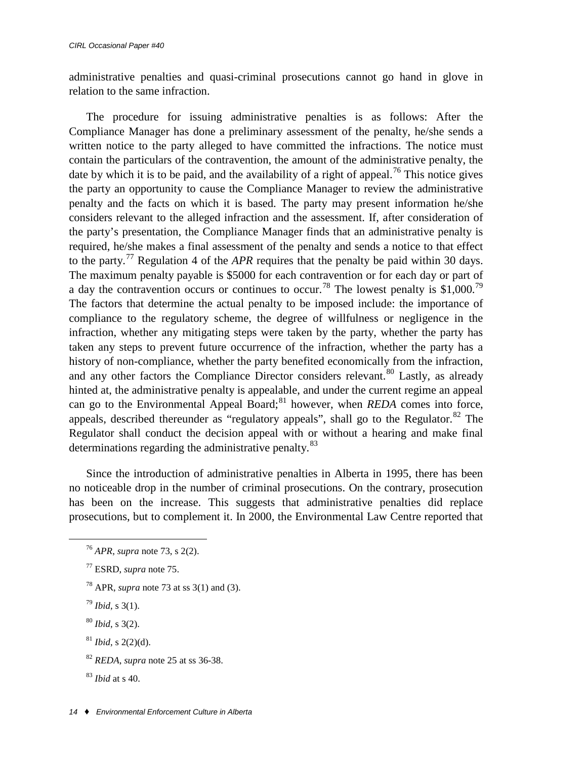administrative penalties and quasi-criminal prosecutions cannot go hand in glove in relation to the same infraction.

The procedure for issuing administrative penalties is as follows: After the Compliance Manager has done a preliminary assessment of the penalty, he/she sends a written notice to the party alleged to have committed the infractions. The notice must contain the particulars of the contravention, the amount of the administrative penalty, the date by which it is to be paid, and the availability of a right of appeal.<sup>[76](#page-26-0)</sup> This notice gives the party an opportunity to cause the Compliance Manager to review the administrative penalty and the facts on which it is based. The party may present information he/she considers relevant to the alleged infraction and the assessment. If, after consideration of the party's presentation, the Compliance Manager finds that an administrative penalty is required, he/she makes a final assessment of the penalty and sends a notice to that effect to the party.[77](#page-26-1) Regulation 4 of the *APR* requires that the penalty be paid within 30 days. The maximum penalty payable is \$5000 for each contravention or for each day or part of a day the contravention occurs or continues to occur.<sup>[78](#page-26-2)</sup> The lowest penalty is \$1,000.<sup>[79](#page-26-3)</sup> The factors that determine the actual penalty to be imposed include: the importance of compliance to the regulatory scheme, the degree of willfulness or negligence in the infraction, whether any mitigating steps were taken by the party, whether the party has taken any steps to prevent future occurrence of the infraction, whether the party has a history of non-compliance, whether the party benefited economically from the infraction, and any other factors the Compliance Director considers relevant.<sup>[80](#page-26-4)</sup> Lastly, as already hinted at, the administrative penalty is appealable, and under the current regime an appeal can go to the Environmental Appeal Board; [81](#page-26-5) however, when *REDA* comes into force, appeals, described thereunder as "regulatory appeals", shall go to the Regulator.<sup>[82](#page-26-6)</sup> The Regulator shall conduct the decision appeal with or without a hearing and make final determinations regarding the administrative penalty. $83$ 

Since the introduction of administrative penalties in Alberta in 1995, there has been no noticeable drop in the number of criminal prosecutions. On the contrary, prosecution has been on the increase. This suggests that administrative penalties did replace prosecutions, but to complement it. In 2000, the Environmental Law Centre reported that

- <span id="page-26-5"></span> $81$  *Ibid*, s 2(2)(d).
- <span id="page-26-6"></span><sup>82</sup> *REDA*, *supra* note 25 at ss 36-38.
- <span id="page-26-7"></span><sup>83</sup> *Ibid* at s 40.

<span id="page-26-0"></span><sup>76</sup> *APR*, *supra* note 73, s 2(2).

<span id="page-26-1"></span><sup>77</sup> ESRD, *supra* note 75.

<span id="page-26-2"></span><sup>78</sup> APR, *supra* note 73 at ss 3(1) and (3).

<span id="page-26-3"></span><sup>79</sup> *Ibid*, s 3(1).

<span id="page-26-4"></span><sup>80</sup> *Ibid*, s 3(2).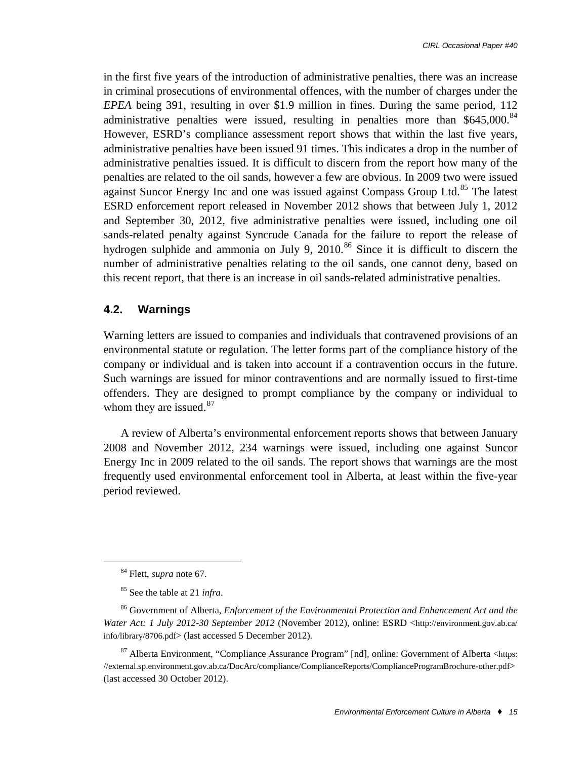in the first five years of the introduction of administrative penalties, there was an increase in criminal prosecutions of environmental offences, with the number of charges under the *EPEA* being 391, resulting in over \$1.9 million in fines. During the same period, 112 administrative penalties were issued, resulting in penalties more than  $$645,000.^{84}$  $$645,000.^{84}$  $$645,000.^{84}$ However, ESRD's compliance assessment report shows that within the last five years, administrative penalties have been issued 91 times. This indicates a drop in the number of administrative penalties issued. It is difficult to discern from the report how many of the penalties are related to the oil sands, however a few are obvious. In 2009 two were issued against Suncor Energy Inc and one was issued against Compass Group Ltd.<sup>[85](#page-27-1)</sup> The latest ESRD enforcement report released in November 2012 shows that between July 1, 2012 and September 30, 2012, five administrative penalties were issued, including one oil sands-related penalty against Syncrude Canada for the failure to report the release of hydrogen sulphide and ammonia on July 9,  $2010$ .<sup>[86](#page-27-2)</sup> Since it is difficult to discern the number of administrative penalties relating to the oil sands, one cannot deny, based on this recent report, that there is an increase in oil sands-related administrative penalties.

#### **4.2. Warnings**

Warning letters are issued to companies and individuals that contravened provisions of an environmental statute or regulation. The letter forms part of the compliance history of the company or individual and is taken into account if a contravention occurs in the future. Such warnings are issued for minor contraventions and are normally issued to first-time offenders. They are designed to prompt compliance by the company or individual to whom they are issued. $87$ 

A review of Alberta's environmental enforcement reports shows that between January 2008 and November 2012, 234 warnings were issued, including one against Suncor Energy Inc in 2009 related to the oil sands. The report shows that warnings are the most frequently used environmental enforcement tool in Alberta, at least within the five-year period reviewed.

<sup>84</sup> Flett, *supra* note 67.

<sup>85</sup> See the table at 21 *infra*.

<span id="page-27-2"></span><span id="page-27-1"></span><span id="page-27-0"></span><sup>86</sup> Government of Alberta, *Enforcement of the Environmental Protection and Enhancement Act and the Water Act: 1 July 2012-30 September 2012* (November 2012), online: ESRD <http://environment.gov.ab.ca/ info/library/8706.pdf> (last accessed 5 December 2012).

<span id="page-27-3"></span> $87$  Alberta Environment, "Compliance Assurance Program" [nd], online: Government of Alberta <https: //external.sp.environment.gov.ab.ca/DocArc/compliance/ComplianceReports/ComplianceProgramBrochure-other.pdf> (last accessed 30 October 2012).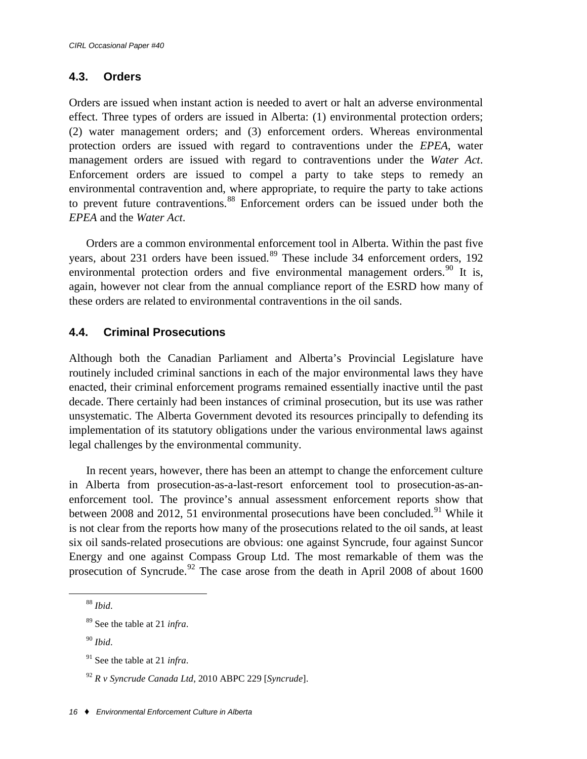### **4.3. Orders**

Orders are issued when instant action is needed to avert or halt an adverse environmental effect. Three types of orders are issued in Alberta: (1) environmental protection orders; (2) water management orders; and (3) enforcement orders. Whereas environmental protection orders are issued with regard to contraventions under the *EPEA*, water management orders are issued with regard to contraventions under the *Water Act*. Enforcement orders are issued to compel a party to take steps to remedy an environmental contravention and, where appropriate, to require the party to take actions to prevent future contraventions.<sup>[88](#page-28-0)</sup> Enforcement orders can be issued under both the *EPEA* and the *Water Act*.

Orders are a common environmental enforcement tool in Alberta. Within the past five years, about 231 orders have been issued.<sup>[89](#page-28-1)</sup> These include 34 enforcement orders, 192 environmental protection orders and five environmental management orders.<sup>[90](#page-28-2)</sup> It is, again, however not clear from the annual compliance report of the ESRD how many of these orders are related to environmental contraventions in the oil sands.

### **4.4. Criminal Prosecutions**

Although both the Canadian Parliament and Alberta's Provincial Legislature have routinely included criminal sanctions in each of the major environmental laws they have enacted, their criminal enforcement programs remained essentially inactive until the past decade. There certainly had been instances of criminal prosecution, but its use was rather unsystematic. The Alberta Government devoted its resources principally to defending its implementation of its statutory obligations under the various environmental laws against legal challenges by the environmental community.

In recent years, however, there has been an attempt to change the enforcement culture in Alberta from prosecution-as-a-last-resort enforcement tool to prosecution-as-anenforcement tool. The province's annual assessment enforcement reports show that between 2008 and 2012, 51 environmental prosecutions have been concluded.<sup>[91](#page-28-3)</sup> While it is not clear from the reports how many of the prosecutions related to the oil sands, at least six oil sands-related prosecutions are obvious: one against Syncrude, four against Suncor Energy and one against Compass Group Ltd. The most remarkable of them was the prosecution of Syncrude.<sup>[92](#page-28-4)</sup> The case arose from the death in April 2008 of about 1600

<span id="page-28-0"></span><sup>88</sup> *Ibid*.

<span id="page-28-1"></span><sup>89</sup> See the table at 21 *infra*.

<span id="page-28-2"></span><sup>90</sup> *Ibid*.

<span id="page-28-3"></span><sup>91</sup> See the table at 21 *infra*.

<span id="page-28-4"></span><sup>92</sup> *R v Syncrude Canada Ltd*, 2010 ABPC 229 [*Syncrude*].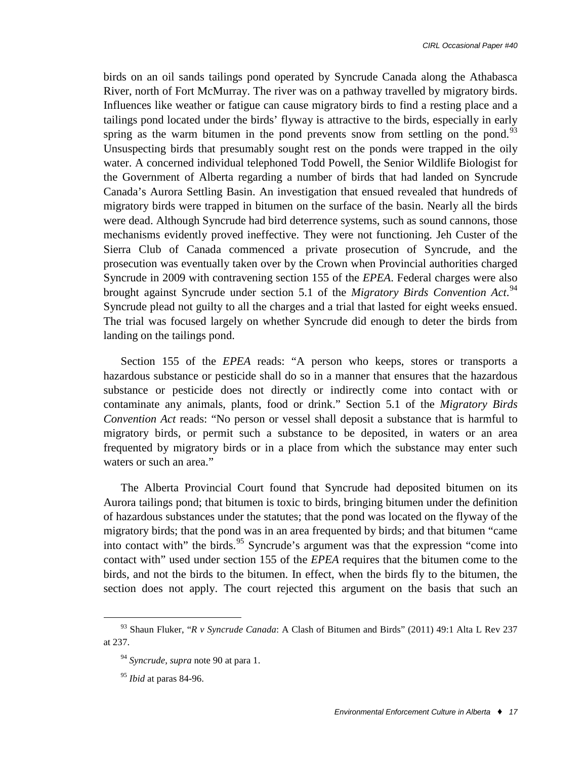birds on an oil sands tailings pond operated by Syncrude Canada along the Athabasca River, north of Fort McMurray. The river was on a pathway travelled by migratory birds. Influences like weather or fatigue can cause migratory birds to find a resting place and a tailings pond located under the birds' flyway is attractive to the birds, especially in early spring as the warm bitumen in the pond prevents snow from settling on the pond.<sup>[93](#page-29-0)</sup> Unsuspecting birds that presumably sought rest on the ponds were trapped in the oily water. A concerned individual telephoned Todd Powell, the Senior Wildlife Biologist for the Government of Alberta regarding a number of birds that had landed on Syncrude Canada's Aurora Settling Basin. An investigation that ensued revealed that hundreds of migratory birds were trapped in bitumen on the surface of the basin. Nearly all the birds were dead. Although Syncrude had bird deterrence systems, such as sound cannons, those mechanisms evidently proved ineffective. They were not functioning. Jeh Custer of the Sierra Club of Canada commenced a private prosecution of Syncrude, and the prosecution was eventually taken over by the Crown when Provincial authorities charged Syncrude in 2009 with contravening section 155 of the *EPEA*. Federal charges were also brought against Syncrude under section 5.1 of the *Migratory Birds Convention Act.*<sup>[94](#page-29-1)</sup> Syncrude plead not guilty to all the charges and a trial that lasted for eight weeks ensued. The trial was focused largely on whether Syncrude did enough to deter the birds from landing on the tailings pond.

Section 155 of the *EPEA* reads: "A person who keeps, stores or transports a hazardous substance or pesticide shall do so in a manner that ensures that the hazardous substance or pesticide does not directly or indirectly come into contact with or contaminate any animals, plants, food or drink." Section 5.1 of the *Migratory Birds Convention Act* reads: "No person or vessel shall deposit a substance that is harmful to migratory birds, or permit such a substance to be deposited, in waters or an area frequented by migratory birds or in a place from which the substance may enter such waters or such an area."

The Alberta Provincial Court found that Syncrude had deposited bitumen on its Aurora tailings pond; that bitumen is toxic to birds, bringing bitumen under the definition of hazardous substances under the statutes; that the pond was located on the flyway of the migratory birds; that the pond was in an area frequented by birds; and that bitumen "came into contact with" the birds.<sup>[95](#page-29-2)</sup> Syncrude's argument was that the expression "come into contact with" used under section 155 of the *EPEA* requires that the bitumen come to the birds, and not the birds to the bitumen. In effect, when the birds fly to the bitumen, the section does not apply. The court rejected this argument on the basis that such an

<span id="page-29-2"></span><span id="page-29-1"></span><span id="page-29-0"></span><sup>93</sup> Shaun Fluker, "*R v Syncrude Canada*: A Clash of Bitumen and Birds" (2011) 49:1 Alta L Rev 237 at 237.

<sup>94</sup> *Syncrude*, *supra* note 90 at para 1.

<sup>95</sup> *Ibid* at paras 84-96.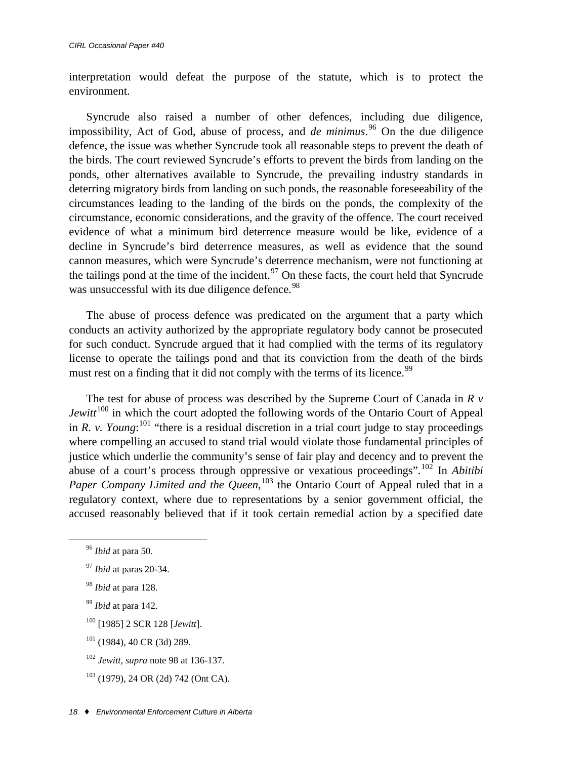interpretation would defeat the purpose of the statute, which is to protect the environment.

Syncrude also raised a number of other defences, including due diligence, impossibility, Act of God, abuse of process, and *de minimus*. [96](#page-30-0) On the due diligence defence, the issue was whether Syncrude took all reasonable steps to prevent the death of the birds. The court reviewed Syncrude's efforts to prevent the birds from landing on the ponds, other alternatives available to Syncrude, the prevailing industry standards in deterring migratory birds from landing on such ponds, the reasonable foreseeability of the circumstances leading to the landing of the birds on the ponds, the complexity of the circumstance, economic considerations, and the gravity of the offence. The court received evidence of what a minimum bird deterrence measure would be like, evidence of a decline in Syncrude's bird deterrence measures, as well as evidence that the sound cannon measures, which were Syncrude's deterrence mechanism, were not functioning at the tailings pond at the time of the incident.<sup>[97](#page-30-1)</sup> On these facts, the court held that Syncrude was unsuccessful with its due diligence defence.<sup>[98](#page-30-2)</sup>

The abuse of process defence was predicated on the argument that a party which conducts an activity authorized by the appropriate regulatory body cannot be prosecuted for such conduct. Syncrude argued that it had complied with the terms of its regulatory license to operate the tailings pond and that its conviction from the death of the birds must rest on a finding that it did not comply with the terms of its licence.<sup>[99](#page-30-3)</sup>

The test for abuse of process was described by the Supreme Court of Canada in *R v Jewitt*<sup>[100](#page-30-4)</sup> in which the court adopted the following words of the Ontario Court of Appeal in *R. v. Young*:<sup>[101](#page-30-5)</sup> "there is a residual discretion in a trial court judge to stay proceedings where compelling an accused to stand trial would violate those fundamental principles of justice which underlie the community's sense of fair play and decency and to prevent the abuse of a court's process through oppressive or vexatious proceedings".[102](#page-30-6) In *Abitibi*  Paper Company Limited and the Queen,<sup>[103](#page-30-7)</sup> the Ontario Court of Appeal ruled that in a regulatory context, where due to representations by a senior government official, the accused reasonably believed that if it took certain remedial action by a specified date

<span id="page-30-0"></span><sup>96</sup> *Ibid* at para 50.

<span id="page-30-1"></span><sup>97</sup> *Ibid* at paras 20-34.

<span id="page-30-2"></span><sup>98</sup> *Ibid* at para 128.

<span id="page-30-3"></span><sup>99</sup> *Ibid* at para 142.

<span id="page-30-4"></span><sup>100</sup> [1985] 2 SCR 128 [*Jewitt*].

<span id="page-30-5"></span> $101$  (1984), 40 CR (3d) 289.

<span id="page-30-6"></span><sup>102</sup> *Jewitt*, *supra* note 98 at 136-137.

<span id="page-30-7"></span><sup>103</sup> (1979), 24 OR (2d) 742 (Ont CA).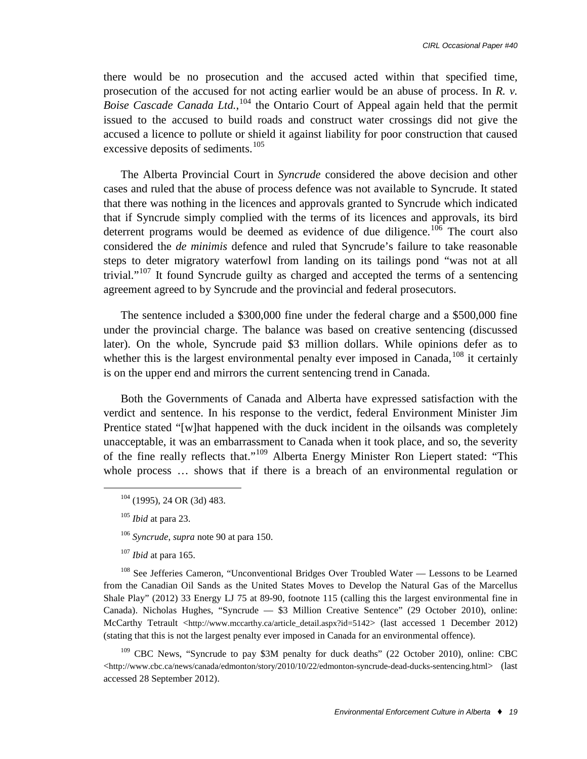there would be no prosecution and the accused acted within that specified time, prosecution of the accused for not acting earlier would be an abuse of process. In *R. v.*  Boise Cascade Canada Ltd.,<sup>[104](#page-31-0)</sup> the Ontario Court of Appeal again held that the permit issued to the accused to build roads and construct water crossings did not give the accused a licence to pollute or shield it against liability for poor construction that caused excessive deposits of sediments.<sup>[105](#page-31-1)</sup>

The Alberta Provincial Court in *Syncrude* considered the above decision and other cases and ruled that the abuse of process defence was not available to Syncrude. It stated that there was nothing in the licences and approvals granted to Syncrude which indicated that if Syncrude simply complied with the terms of its licences and approvals, its bird deterrent programs would be deemed as evidence of due diligence.<sup>[106](#page-31-2)</sup> The court also considered the *de minimis* defence and ruled that Syncrude's failure to take reasonable steps to deter migratory waterfowl from landing on its tailings pond "was not at all trivial."<sup>[107](#page-31-3)</sup> It found Syncrude guilty as charged and accepted the terms of a sentencing agreement agreed to by Syncrude and the provincial and federal prosecutors.

The sentence included a \$300,000 fine under the federal charge and a \$500,000 fine under the provincial charge. The balance was based on creative sentencing (discussed later). On the whole, Syncrude paid \$3 million dollars. While opinions defer as to whether this is the largest environmental penalty ever imposed in Canada,  $^{108}$  $^{108}$  $^{108}$  it certainly is on the upper end and mirrors the current sentencing trend in Canada.

Both the Governments of Canada and Alberta have expressed satisfaction with the verdict and sentence. In his response to the verdict, federal Environment Minister Jim Prentice stated "[w]hat happened with the duck incident in the oilsands was completely unacceptable, it was an embarrassment to Canada when it took place, and so, the severity of the fine really reflects that."[109](#page-31-5) Alberta Energy Minister Ron Liepert stated: "This whole process … shows that if there is a breach of an environmental regulation or

<sup>105</sup> *Ibid* at para 23.

<span id="page-31-1"></span><span id="page-31-0"></span> $\overline{a}$ 

<span id="page-31-4"></span><span id="page-31-3"></span><span id="page-31-2"></span><sup>108</sup> See Jefferies Cameron, "Unconventional Bridges Over Troubled Water — Lessons to be Learned from the Canadian Oil Sands as the United States Moves to Develop the Natural Gas of the Marcellus Shale Play" (2012) 33 Energy LJ 75 at 89-90, footnote 115 (calling this the largest environmental fine in Canada). Nicholas Hughes, "Syncrude — \$3 Million Creative Sentence" (29 October 2010), online: McCarthy Tetrault <http://www.mccarthy.ca/article\_detail.aspx?id=5142> (last accessed 1 December 2012) (stating that this is not the largest penalty ever imposed in Canada for an environmental offence).

<span id="page-31-5"></span><sup>109</sup> CBC News, "Syncrude to pay \$3M penalty for duck deaths" (22 October 2010), online: CBC <http://www.cbc.ca/news/canada/edmonton/story/2010/10/22/edmonton-syncrude-dead-ducks-sentencing.html> (last accessed 28 September 2012).

 $104$  (1995), 24 OR (3d) 483.

<sup>106</sup> *Syncrude*, *supra* note 90 at para 150.

<sup>107</sup> *Ibid* at para 165.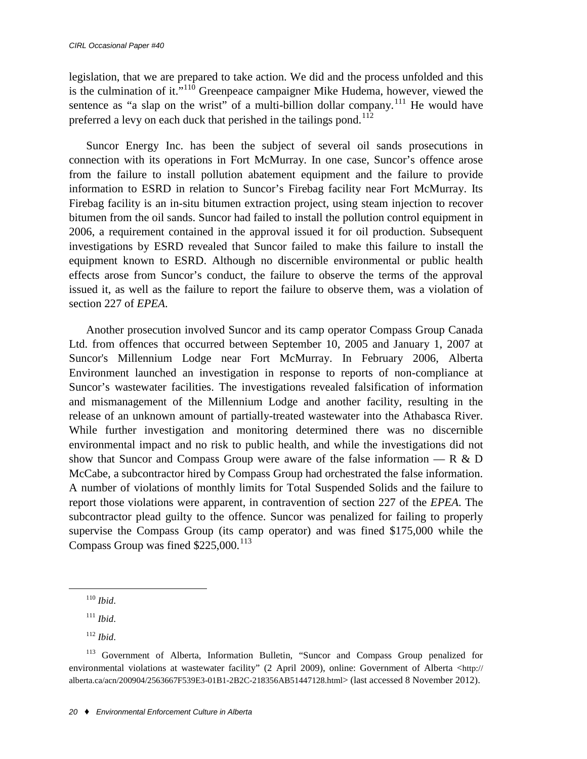legislation, that we are prepared to take action. We did and the process unfolded and this is the culmination of it."<sup>[110](#page-32-0)</sup> Greenpeace campaigner Mike Hudema, however, viewed the sentence as "a slap on the wrist" of a multi-billion dollar company.<sup>[111](#page-32-1)</sup> He would have preferred a levy on each duck that perished in the tailings pond.<sup>[112](#page-32-2)</sup>

Suncor Energy Inc. has been the subject of several oil sands prosecutions in connection with its operations in Fort McMurray. In one case, Suncor's offence arose from the failure to install pollution abatement equipment and the failure to provide information to ESRD in relation to Suncor's Firebag facility near Fort McMurray. Its Firebag facility is an in-situ bitumen extraction project, using steam injection to recover bitumen from the oil sands. Suncor had failed to install the pollution control equipment in 2006, a requirement contained in the approval issued it for oil production. Subsequent investigations by ESRD revealed that Suncor failed to make this failure to install the equipment known to ESRD. Although no discernible environmental or public health effects arose from Suncor's conduct, the failure to observe the terms of the approval issued it, as well as the failure to report the failure to observe them, was a violation of section 227 of *EPEA*.

Another prosecution involved Suncor and its camp operator Compass Group Canada Ltd. from offences that occurred between September 10, 2005 and January 1, 2007 at Suncor's Millennium Lodge near Fort McMurray. In February 2006, Alberta Environment launched an investigation in response to reports of non-compliance at Suncor's wastewater facilities. The investigations revealed falsification of information and mismanagement of the Millennium Lodge and another facility, resulting in the release of an unknown amount of partially-treated wastewater into the Athabasca River. While further investigation and monitoring determined there was no discernible environmental impact and no risk to public health, and while the investigations did not show that Suncor and Compass Group were aware of the false information  $- R \& D$ McCabe, a subcontractor hired by Compass Group had orchestrated the false information. A number of violations of monthly limits for Total Suspended Solids and the failure to report those violations were apparent, in contravention of section 227 of the *EPEA*. The subcontractor plead guilty to the offence. Suncor was penalized for failing to properly supervise the Compass Group (its camp operator) and was fined \$175,000 while the Compass Group was fined  $$225,000$ .<sup>[113](#page-32-3)</sup>

<span id="page-32-1"></span><span id="page-32-0"></span> $\overline{a}$ 

<sup>111</sup> *Ibid*.

<sup>112</sup> *Ibid*.

<sup>110</sup> *Ibid*.

<span id="page-32-3"></span><span id="page-32-2"></span><sup>&</sup>lt;sup>113</sup> Government of Alberta, Information Bulletin, "Suncor and Compass Group penalized for environmental violations at wastewater facility" (2 April 2009), online: Government of Alberta <http:// alberta.ca/acn/200904/2563667F539E3-01B1-2B2C-218356AB51447128.html> (last accessed 8 November 2012).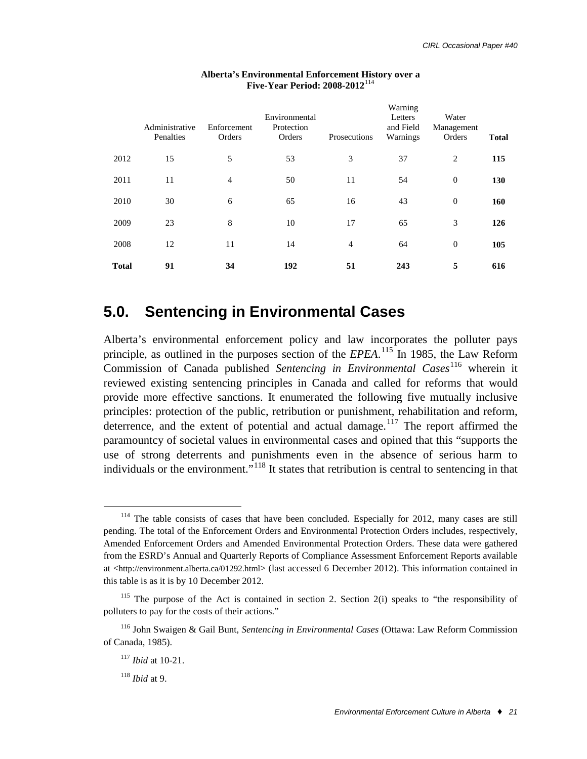|              | Administrative<br>Penalties | Enforcement<br>Orders | Environmental<br>Protection<br>Orders | Prosecutions   | Warning<br>Letters<br>and Field<br>Warnings | Water<br>Management<br>Orders | <b>Total</b> |
|--------------|-----------------------------|-----------------------|---------------------------------------|----------------|---------------------------------------------|-------------------------------|--------------|
| 2012         | 15                          | 5                     | 53                                    | 3              | 37                                          | $\overline{2}$                | 115          |
| 2011         | 11                          | 4                     | 50                                    | 11             | 54                                          | $\boldsymbol{0}$              | 130          |
| 2010         | 30                          | 6                     | 65                                    | 16             | 43                                          | $\boldsymbol{0}$              | 160          |
| 2009         | 23                          | 8                     | 10                                    | 17             | 65                                          | 3                             | 126          |
| 2008         | 12                          | 11                    | 14                                    | $\overline{4}$ | 64                                          | $\boldsymbol{0}$              | 105          |
| <b>Total</b> | 91                          | 34                    | 192                                   | 51             | 243                                         | 5                             | 616          |

#### **Alberta's Environmental Enforcement History over a Five-Year Period: 2008-2012**[114](#page-33-0)

# **5.0. Sentencing in Environmental Cases**

Alberta's environmental enforcement policy and law incorporates the polluter pays principle, as outlined in the purposes section of the *EPEA*. [115](#page-33-1) In 1985, the Law Reform Commission of Canada published *Sentencing in Environmental Cases*<sup>[116](#page-33-2)</sup> wherein it reviewed existing sentencing principles in Canada and called for reforms that would provide more effective sanctions. It enumerated the following five mutually inclusive principles: protection of the public, retribution or punishment, rehabilitation and reform, deterrence, and the extent of potential and actual damage.<sup>[117](#page-33-3)</sup> The report affirmed the paramountcy of societal values in environmental cases and opined that this "supports the use of strong deterrents and punishments even in the absence of serious harm to individuals or the environment."<sup>[118](#page-33-4)</sup> It states that retribution is central to sentencing in that

<span id="page-33-0"></span> $114$  The table consists of cases that have been concluded. Especially for 2012, many cases are still pending. The total of the Enforcement Orders and Environmental Protection Orders includes, respectively, Amended Enforcement Orders and Amended Environmental Protection Orders. These data were gathered from the ESRD's Annual and Quarterly Reports of Compliance Assessment Enforcement Reports available at <http://environment.alberta.ca/01292.html> (last accessed 6 December 2012). This information contained in this table is as it is by 10 December 2012.

<span id="page-33-1"></span><sup>&</sup>lt;sup>115</sup> The purpose of the Act is contained in section 2. Section 2(i) speaks to "the responsibility of polluters to pay for the costs of their actions."

<span id="page-33-4"></span><span id="page-33-3"></span><span id="page-33-2"></span><sup>116</sup> John Swaigen & Gail Bunt, *Sentencing in Environmental Cases* (Ottawa: Law Reform Commission of Canada, 1985).

<sup>117</sup> *Ibid* at 10-21.

<sup>118</sup> *Ibid* at 9.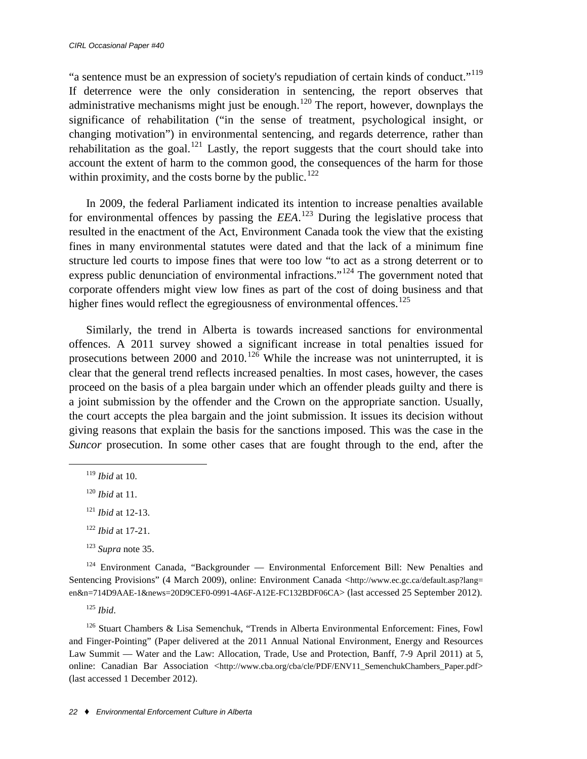"a sentence must be an expression of society's repudiation of certain kinds of conduct."<sup>[119](#page-34-0)</sup> If deterrence were the only consideration in sentencing, the report observes that administrative mechanisms might just be enough.<sup>[120](#page-34-1)</sup> The report, however, downplays the significance of rehabilitation ("in the sense of treatment, psychological insight, or changing motivation") in environmental sentencing, and regards deterrence, rather than rehabilitation as the goal.<sup>[121](#page-34-2)</sup> Lastly, the report suggests that the court should take into account the extent of harm to the common good, the consequences of the harm for those within proximity, and the costs borne by the public.<sup>[122](#page-34-3)</sup>

In 2009, the federal Parliament indicated its intention to increase penalties available for environmental offences by passing the *EEA*. [123](#page-34-4) During the legislative process that resulted in the enactment of the Act, Environment Canada took the view that the existing fines in many environmental statutes were dated and that the lack of a minimum fine structure led courts to impose fines that were too low "to act as a strong deterrent or to express public denunciation of environmental infractions."<sup>[124](#page-34-5)</sup> The government noted that corporate offenders might view low fines as part of the cost of doing business and that higher fines would reflect the egregiousness of environmental offences.<sup>[125](#page-34-6)</sup>

Similarly, the trend in Alberta is towards increased sanctions for environmental offences. A 2011 survey showed a significant increase in total penalties issued for prosecutions between 2000 and 2010.<sup>[126](#page-34-7)</sup> While the increase was not uninterrupted, it is clear that the general trend reflects increased penalties. In most cases, however, the cases proceed on the basis of a plea bargain under which an offender pleads guilty and there is a joint submission by the offender and the Crown on the appropriate sanction. Usually, the court accepts the plea bargain and the joint submission. It issues its decision without giving reasons that explain the basis for the sanctions imposed. This was the case in the *Suncor* prosecution. In some other cases that are fought through to the end, after the

<span id="page-34-2"></span><span id="page-34-1"></span><span id="page-34-0"></span> $\overline{a}$ 

<sup>123</sup> *Supra* note 35.

<span id="page-34-5"></span><span id="page-34-4"></span><span id="page-34-3"></span><sup>124</sup> Environment Canada, "Backgrounder — Environmental Enforcement Bill: New Penalties and Sentencing Provisions" (4 March 2009), online: Environment Canada <http://www.ec.gc.ca/default.asp?lang= en&n=714D9AAE-1&news=20D9CEF0-0991-4A6F-A12E-FC132BDF06CA> (last accessed 25 September 2012).

<sup>125</sup> *Ibid*.

<span id="page-34-7"></span><span id="page-34-6"></span><sup>126</sup> Stuart Chambers & Lisa Semenchuk, "Trends in Alberta Environmental Enforcement: Fines, Fowl and Finger-Pointing" (Paper delivered at the 2011 Annual National Environment, Energy and Resources Law Summit — Water and the Law: Allocation, Trade, Use and Protection, Banff, 7-9 April 2011) at 5, online: Canadian Bar Association <http://www.cba.org/cba/cle/PDF/ENV11\_SemenchukChambers\_Paper.pdf> (last accessed 1 December 2012).

<sup>119</sup> *Ibid* at 10.

<sup>120</sup> *Ibid* at 11.

<sup>121</sup> *Ibid* at 12-13.

<sup>122</sup> *Ibid* at 17-21.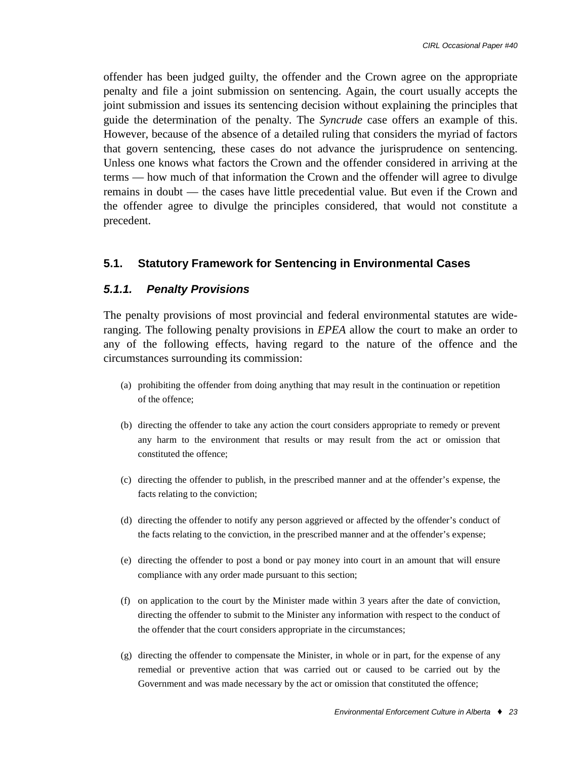offender has been judged guilty, the offender and the Crown agree on the appropriate penalty and file a joint submission on sentencing. Again, the court usually accepts the joint submission and issues its sentencing decision without explaining the principles that guide the determination of the penalty. The *Syncrude* case offers an example of this. However, because of the absence of a detailed ruling that considers the myriad of factors that govern sentencing, these cases do not advance the jurisprudence on sentencing. Unless one knows what factors the Crown and the offender considered in arriving at the terms — how much of that information the Crown and the offender will agree to divulge remains in doubt — the cases have little precedential value. But even if the Crown and the offender agree to divulge the principles considered, that would not constitute a precedent.

### **5.1. Statutory Framework for Sentencing in Environmental Cases**

#### *5.1.1. Penalty Provisions*

The penalty provisions of most provincial and federal environmental statutes are wideranging. The following penalty provisions in *EPEA* allow the court to make an order to any of the following effects, having regard to the nature of the offence and the circumstances surrounding its commission:

- (a) prohibiting the offender from doing anything that may result in the continuation or repetition of the offence;
- (b) directing the offender to take any action the court considers appropriate to remedy or prevent any harm to the environment that results or may result from the act or omission that constituted the offence;
- (c) directing the offender to publish, in the prescribed manner and at the offender's expense, the facts relating to the conviction;
- (d) directing the offender to notify any person aggrieved or affected by the offender's conduct of the facts relating to the conviction, in the prescribed manner and at the offender's expense;
- (e) directing the offender to post a bond or pay money into court in an amount that will ensure compliance with any order made pursuant to this section;
- (f) on application to the court by the Minister made within 3 years after the date of conviction, directing the offender to submit to the Minister any information with respect to the conduct of the offender that the court considers appropriate in the circumstances;
- (g) directing the offender to compensate the Minister, in whole or in part, for the expense of any remedial or preventive action that was carried out or caused to be carried out by the Government and was made necessary by the act or omission that constituted the offence;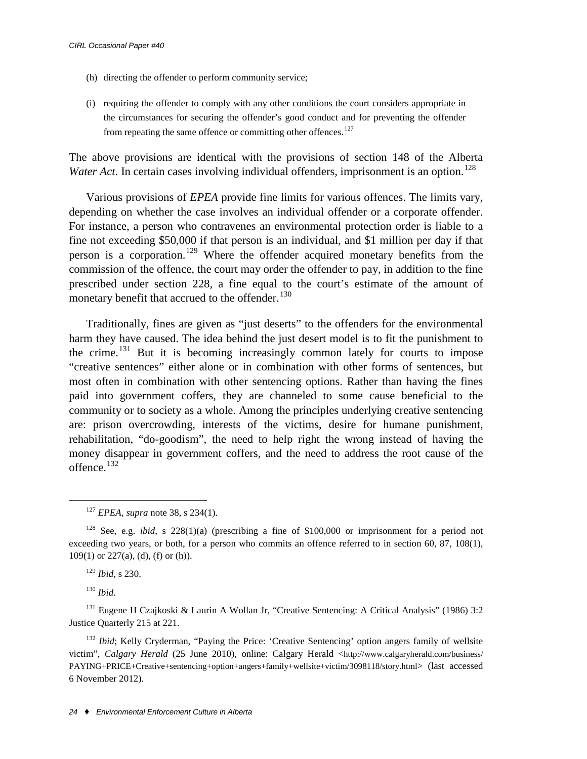- (h) directing the offender to perform community service;
- (i) requiring the offender to comply with any other conditions the court considers appropriate in the circumstances for securing the offender's good conduct and for preventing the offender from repeating the same offence or committing other offences.<sup>[127](#page-36-0)</sup>

The above provisions are identical with the provisions of section 148 of the Alberta *Water Act*. In certain cases involving individual offenders, imprisonment is an option.<sup>[128](#page-36-1)</sup>

Various provisions of *EPEA* provide fine limits for various offences. The limits vary, depending on whether the case involves an individual offender or a corporate offender. For instance, a person who contravenes an environmental protection order is liable to a fine not exceeding \$50,000 if that person is an individual, and \$1 million per day if that person is a corporation.<sup>[129](#page-36-2)</sup> Where the offender acquired monetary benefits from the commission of the offence, the court may order the offender to pay, in addition to the fine prescribed under section 228, a fine equal to the court's estimate of the amount of monetary benefit that accrued to the offender.<sup>[130](#page-36-3)</sup>

Traditionally, fines are given as "just deserts" to the offenders for the environmental harm they have caused. The idea behind the just desert model is to fit the punishment to the crime.<sup>[131](#page-36-4)</sup> But it is becoming increasingly common lately for courts to impose "creative sentences" either alone or in combination with other forms of sentences, but most often in combination with other sentencing options. Rather than having the fines paid into government coffers, they are channeled to some cause beneficial to the community or to society as a whole. Among the principles underlying creative sentencing are: prison overcrowding, interests of the victims, desire for humane punishment, rehabilitation, "do-goodism", the need to help right the wrong instead of having the money disappear in government coffers, and the need to address the root cause of the offence.[132](#page-36-5)

<sup>129</sup> *Ibid*, s 230.

<sup>130</sup> *Ibid*.

<span id="page-36-0"></span> $\overline{a}$ 

<span id="page-36-4"></span><span id="page-36-3"></span><span id="page-36-2"></span><sup>131</sup> Eugene H Czajkoski & Laurin A Wollan Jr, "Creative Sentencing: A Critical Analysis" (1986) 3:2 Justice Quarterly 215 at 221.

<span id="page-36-5"></span><sup>132</sup> *Ibid*; Kelly Cryderman, "Paying the Price: 'Creative Sentencing' option angers family of wellsite victim", *Calgary Herald* (25 June 2010), online: Calgary Herald <http://www.calgaryherald.com/business/ PAYING+PRICE+Creative+sentencing+option+angers+family+wellsite+victim/3098118/story.html> (last accessed 6 November 2012).

<sup>127</sup> *EPEA*, *supra* note 38, s 234(1).

<span id="page-36-1"></span><sup>128</sup> See, e.g. *ibid*, s 228(1)(a) (prescribing a fine of \$100,000 or imprisonment for a period not exceeding two years, or both, for a person who commits an offence referred to in section 60, 87, 108(1), 109(1) or 227(a), (d), (f) or (h)).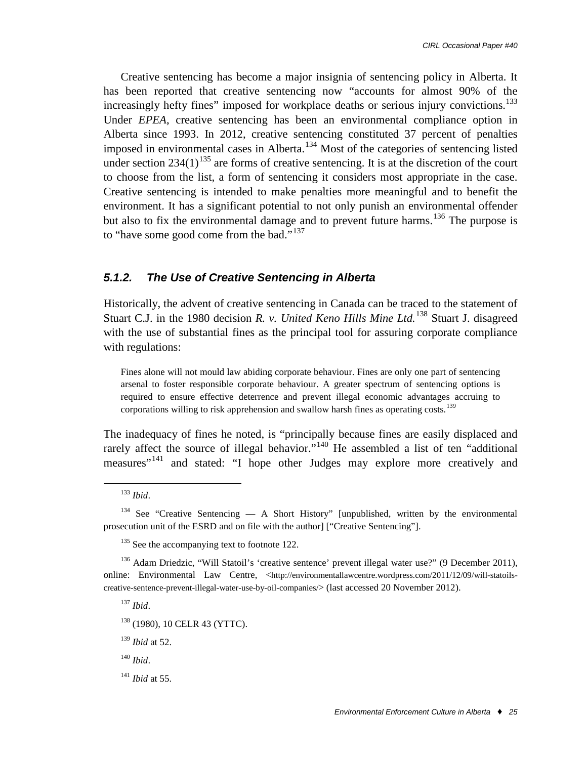Creative sentencing has become a major insignia of sentencing policy in Alberta. It has been reported that creative sentencing now "accounts for almost 90% of the increasingly hefty fines" imposed for workplace deaths or serious injury convictions.<sup>[133](#page-37-0)</sup> Under *EPEA*, creative sentencing has been an environmental compliance option in Alberta since 1993. In 2012, creative sentencing constituted 37 percent of penalties imposed in environmental cases in Alberta.<sup>[134](#page-37-1)</sup> Most of the categories of sentencing listed under section  $234(1)^{135}$  $234(1)^{135}$  $234(1)^{135}$  are forms of creative sentencing. It is at the discretion of the court to choose from the list, a form of sentencing it considers most appropriate in the case. Creative sentencing is intended to make penalties more meaningful and to benefit the environment. It has a significant potential to not only punish an environmental offender but also to fix the environmental damage and to prevent future harms.<sup>[136](#page-37-3)</sup> The purpose is to "have some good come from the bad."<sup>[137](#page-37-4)</sup>

#### *5.1.2. The Use of Creative Sentencing in Alberta*

Historically, the advent of creative sentencing in Canada can be traced to the statement of Stuart C.J. in the 1980 decision *R. v. United Keno Hills Mine Ltd.*<sup>[138](#page-37-5)</sup> Stuart J. disagreed with the use of substantial fines as the principal tool for assuring corporate compliance with regulations:

Fines alone will not mould law abiding corporate behaviour. Fines are only one part of sentencing arsenal to foster responsible corporate behaviour. A greater spectrum of sentencing options is required to ensure effective deterrence and prevent illegal economic advantages accruing to corporations willing to risk apprehension and swallow harsh fines as operating costs.<sup>[139](#page-37-6)</sup>

The inadequacy of fines he noted, is "principally because fines are easily displaced and rarely affect the source of illegal behavior."<sup>[140](#page-37-7)</sup> He assembled a list of ten "additional" measures<sup>"[141](#page-37-8)</sup> and stated: "I hope other Judges may explore more creatively and

 $\overline{a}$ 

<sup>137</sup> *Ibid*.

<span id="page-37-6"></span><sup>139</sup> *Ibid* at 52.

<span id="page-37-7"></span><sup>140</sup> *Ibid*.

<span id="page-37-8"></span><sup>141</sup> *Ibid* at 55.

<sup>133</sup> *Ibid*.

<span id="page-37-1"></span><span id="page-37-0"></span><sup>&</sup>lt;sup>134</sup> See "Creative Sentencing — A Short History" [unpublished, written by the environmental prosecution unit of the ESRD and on file with the author] ["Creative Sentencing"].

<sup>&</sup>lt;sup>135</sup> See the accompanying text to footnote 122.

<span id="page-37-5"></span><span id="page-37-4"></span><span id="page-37-3"></span><span id="page-37-2"></span><sup>&</sup>lt;sup>136</sup> Adam Driedzic, "Will Statoil's 'creative sentence' prevent illegal water use?" (9 December 2011), online: Environmental Law Centre, <http://environmentallawcentre.wordpress.com/2011/12/09/will-statoilscreative-sentence-prevent-illegal-water-use-by-oil-companies/> (last accessed 20 November 2012).

<sup>138</sup> (1980), 10 CELR 43 (YTTC).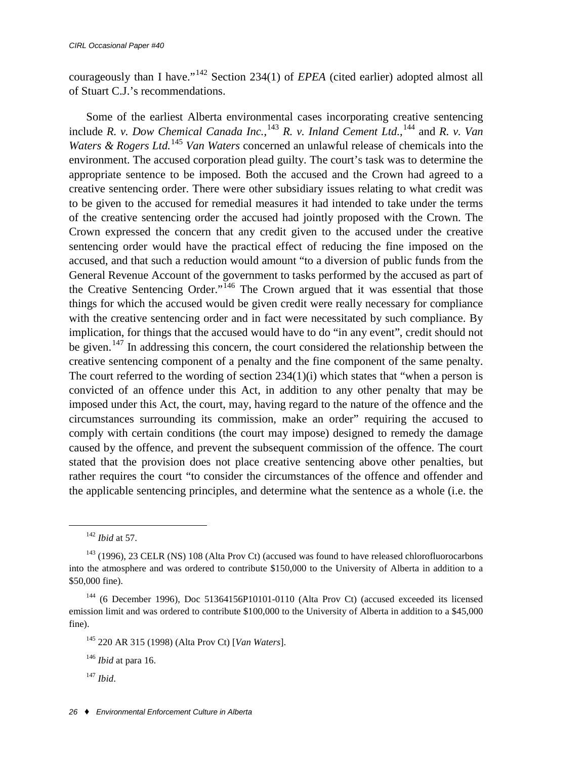courageously than I have."[142](#page-38-0) Section 234(1) of *EPEA* (cited earlier) adopted almost all of Stuart C.J.'s recommendations.

Some of the earliest Alberta environmental cases incorporating creative sentencing include *R. v. Dow Chemical Canada Inc.*, <sup>[143](#page-38-1)</sup> *R. v. Inland Cement Ltd.*, <sup>[144](#page-38-2)</sup> and *R. v. Van Waters & Rogers Ltd.*<sup>[145](#page-38-3)</sup> *Van Waters* concerned an unlawful release of chemicals into the environment. The accused corporation plead guilty. The court's task was to determine the appropriate sentence to be imposed. Both the accused and the Crown had agreed to a creative sentencing order. There were other subsidiary issues relating to what credit was to be given to the accused for remedial measures it had intended to take under the terms of the creative sentencing order the accused had jointly proposed with the Crown. The Crown expressed the concern that any credit given to the accused under the creative sentencing order would have the practical effect of reducing the fine imposed on the accused, and that such a reduction would amount "to a diversion of public funds from the General Revenue Account of the government to tasks performed by the accused as part of the Creative Sentencing Order."<sup>[146](#page-38-4)</sup> The Crown argued that it was essential that those things for which the accused would be given credit were really necessary for compliance with the creative sentencing order and in fact were necessitated by such compliance. By implication, for things that the accused would have to do "in any event", credit should not be given.<sup>[147](#page-38-5)</sup> In addressing this concern, the court considered the relationship between the creative sentencing component of a penalty and the fine component of the same penalty. The court referred to the wording of section  $234(1)(i)$  which states that "when a person is convicted of an offence under this Act, in addition to any other penalty that may be imposed under this Act, the court, may, having regard to the nature of the offence and the circumstances surrounding its commission, make an order" requiring the accused to comply with certain conditions (the court may impose) designed to remedy the damage caused by the offence, and prevent the subsequent commission of the offence. The court stated that the provision does not place creative sentencing above other penalties, but rather requires the court "to consider the circumstances of the offence and offender and the applicable sentencing principles, and determine what the sentence as a whole (i.e. the

<sup>142</sup> *Ibid* at 57.

<span id="page-38-1"></span><span id="page-38-0"></span> $143$  (1996), 23 CELR (NS) 108 (Alta Prov Ct) (accused was found to have released chlorofluorocarbons into the atmosphere and was ordered to contribute \$150,000 to the University of Alberta in addition to a \$50,000 fine).

<span id="page-38-3"></span><span id="page-38-2"></span> $144$  (6 December 1996), Doc 51364156P10101-0110 (Alta Prov Ct) (accused exceeded its licensed emission limit and was ordered to contribute \$100,000 to the University of Alberta in addition to a \$45,000 fine).

<sup>145</sup> 220 AR 315 (1998) (Alta Prov Ct) [*Van Waters*].

<span id="page-38-4"></span><sup>146</sup> *Ibid* at para 16.

<span id="page-38-5"></span><sup>147</sup> *Ibid*.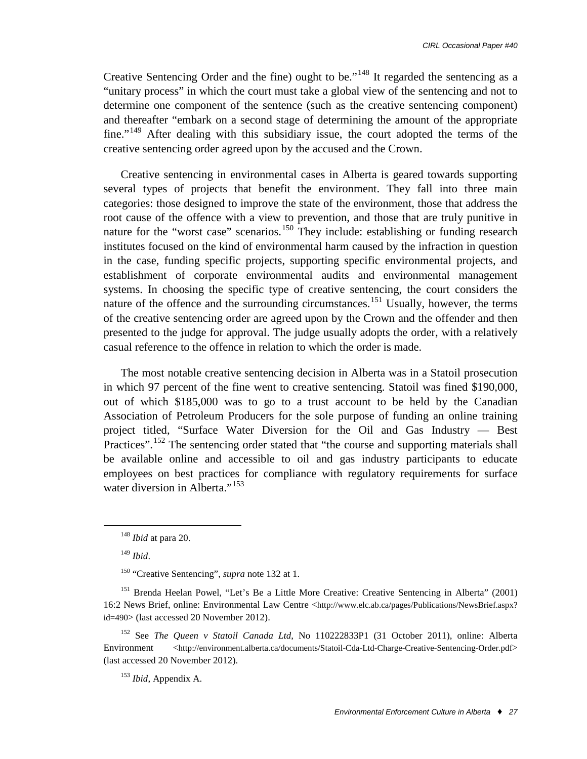Creative Sentencing Order and the fine) ought to be."<sup>[148](#page-39-0)</sup> It regarded the sentencing as a "unitary process" in which the court must take a global view of the sentencing and not to determine one component of the sentence (such as the creative sentencing component) and thereafter "embark on a second stage of determining the amount of the appropriate fine."<sup>[149](#page-39-1)</sup> After dealing with this subsidiary issue, the court adopted the terms of the creative sentencing order agreed upon by the accused and the Crown.

Creative sentencing in environmental cases in Alberta is geared towards supporting several types of projects that benefit the environment. They fall into three main categories: those designed to improve the state of the environment, those that address the root cause of the offence with a view to prevention, and those that are truly punitive in nature for the "worst case" scenarios.<sup>[150](#page-39-2)</sup> They include: establishing or funding research institutes focused on the kind of environmental harm caused by the infraction in question in the case, funding specific projects, supporting specific environmental projects, and establishment of corporate environmental audits and environmental management systems. In choosing the specific type of creative sentencing, the court considers the nature of the offence and the surrounding circumstances.<sup>[151](#page-39-3)</sup> Usually, however, the terms of the creative sentencing order are agreed upon by the Crown and the offender and then presented to the judge for approval. The judge usually adopts the order, with a relatively casual reference to the offence in relation to which the order is made.

The most notable creative sentencing decision in Alberta was in a Statoil prosecution in which 97 percent of the fine went to creative sentencing. Statoil was fined \$190,000, out of which \$185,000 was to go to a trust account to be held by the Canadian Association of Petroleum Producers for the sole purpose of funding an online training project titled, "Surface Water Diversion for the Oil and Gas Industry — Best Practices".<sup>[152](#page-39-4)</sup> The sentencing order stated that "the course and supporting materials shall be available online and accessible to oil and gas industry participants to educate employees on best practices for compliance with regulatory requirements for surface water diversion in Alberta."<sup>[153](#page-39-5)</sup>

<sup>149</sup> *Ibid*.

<span id="page-39-1"></span><span id="page-39-0"></span> $\overline{a}$ 

<sup>153</sup> *Ibid*, Appendix A.

<sup>148</sup> *Ibid* at para 20.

<sup>150</sup> "Creative Sentencing", *supra* note 132 at 1.

<span id="page-39-3"></span><span id="page-39-2"></span><sup>&</sup>lt;sup>151</sup> Brenda Heelan Powel, "Let's Be a Little More Creative: Creative Sentencing in Alberta" (2001) 16:2 News Brief, online: Environmental Law Centre <http://www.elc.ab.ca/pages/Publications/NewsBrief.aspx? id=490> (last accessed 20 November 2012).

<span id="page-39-5"></span><span id="page-39-4"></span><sup>152</sup> See *The Queen v Statoil Canada Ltd*, No 110222833P1 (31 October 2011), online: Alberta Environment <http://environment.alberta.ca/documents/Statoil-Cda-Ltd-Charge-Creative-Sentencing-Order.pdf> (last accessed 20 November 2012).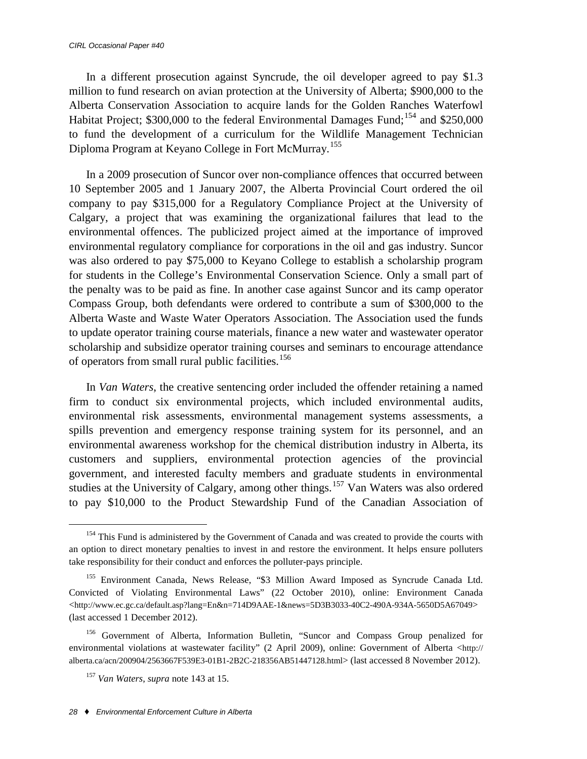In a different prosecution against Syncrude, the oil developer agreed to pay \$1.3 million to fund research on avian protection at the University of Alberta; \$900,000 to the Alberta Conservation Association to acquire lands for the Golden Ranches Waterfowl Habitat Project; \$300,000 to the federal Environmental Damages Fund;  $^{154}$  $^{154}$  $^{154}$  and \$250,000 to fund the development of a curriculum for the Wildlife Management Technician Diploma Program at Keyano College in Fort McMurray.<sup>[155](#page-40-1)</sup>

In a 2009 prosecution of Suncor over non-compliance offences that occurred between 10 September 2005 and 1 January 2007, the Alberta Provincial Court ordered the oil company to pay \$315,000 for a Regulatory Compliance Project at the University of Calgary, a project that was examining the organizational failures that lead to the environmental offences. The publicized project aimed at the importance of improved environmental regulatory compliance for corporations in the oil and gas industry. Suncor was also ordered to pay \$75,000 to Keyano College to establish a scholarship program for students in the College's Environmental Conservation Science. Only a small part of the penalty was to be paid as fine. In another case against Suncor and its camp operator Compass Group, both defendants were ordered to contribute a sum of \$300,000 to the Alberta Waste and Waste Water Operators Association. The Association used the funds to update operator training course materials, finance a new water and wastewater operator scholarship and subsidize operator training courses and seminars to encourage attendance of operators from small rural public facilities.<sup>[156](#page-40-2)</sup>

In *Van Waters*, the creative sentencing order included the offender retaining a named firm to conduct six environmental projects, which included environmental audits, environmental risk assessments, environmental management systems assessments, a spills prevention and emergency response training system for its personnel, and an environmental awareness workshop for the chemical distribution industry in Alberta, its customers and suppliers, environmental protection agencies of the provincial government, and interested faculty members and graduate students in environmental studies at the University of Calgary, among other things.<sup>[157](#page-40-3)</sup> Van Waters was also ordered to pay \$10,000 to the Product Stewardship Fund of the Canadian Association of

<span id="page-40-0"></span><sup>&</sup>lt;sup>154</sup> This Fund is administered by the Government of Canada and was created to provide the courts with an option to direct monetary penalties to invest in and restore the environment. It helps ensure polluters take responsibility for their conduct and enforces the polluter-pays principle.

<span id="page-40-1"></span><sup>&</sup>lt;sup>155</sup> Environment Canada, News Release, "\$3 Million Award Imposed as Syncrude Canada Ltd. Convicted of Violating Environmental Laws" (22 October 2010), online: Environment Canada <http://www.ec.gc.ca/default.asp?lang=En&n=714D9AAE-1&news=5D3B3033-40C2-490A-934A-5650D5A67049> (last accessed 1 December 2012).

<span id="page-40-3"></span><span id="page-40-2"></span><sup>156</sup> Government of Alberta, Information Bulletin, "Suncor and Compass Group penalized for environmental violations at wastewater facility" (2 April 2009), online: Government of Alberta <http:// alberta.ca/acn/200904/2563667F539E3-01B1-2B2C-218356AB51447128.html> (last accessed 8 November 2012).

<sup>157</sup> *Van Waters*, *supra* note 143 at 15.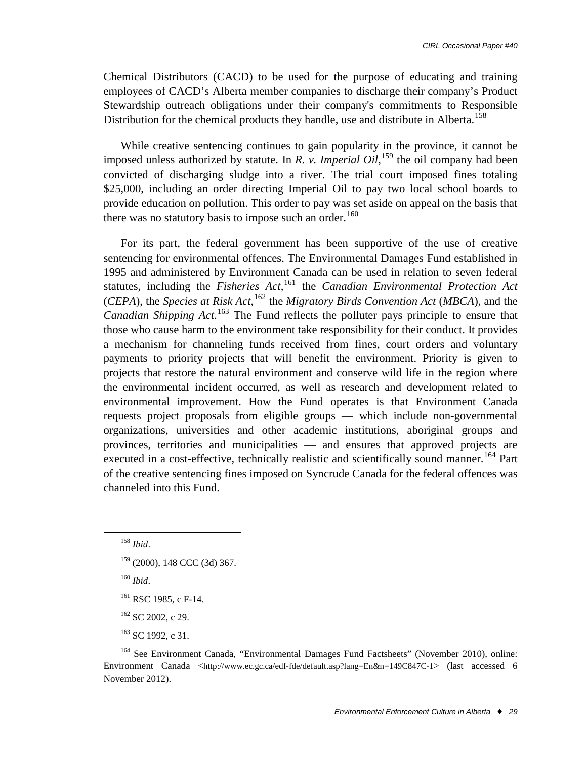Chemical Distributors (CACD) to be used for the purpose of educating and training employees of CACD's Alberta member companies to discharge their company's Product Stewardship outreach obligations under their company's commitments to Responsible Distribution for the chemical products they handle, use and distribute in Alberta.<sup>[158](#page-41-0)</sup>

While creative sentencing continues to gain popularity in the province, it cannot be imposed unless authorized by statute. In *R. v. Imperial Oil*, [159](#page-41-1) the oil company had been convicted of discharging sludge into a river. The trial court imposed fines totaling \$25,000, including an order directing Imperial Oil to pay two local school boards to provide education on pollution. This order to pay was set aside on appeal on the basis that there was no statutory basis to impose such an order.<sup>[160](#page-41-2)</sup>

For its part, the federal government has been supportive of the use of creative sentencing for environmental offences. The Environmental Damages Fund established in 1995 and administered by Environment Canada can be used in relation to seven federal statutes, including the *Fisheries Act*, [161](#page-41-3) the *Canadian Environmental Protection Act* (*CEPA*), the *Species at Risk Act*, <sup>[162](#page-41-4)</sup> the *Migratory Birds Convention Act* (*MBCA*), and the *Canadian Shipping Act*. [163](#page-41-5) The Fund reflects the polluter pays principle to ensure that those who cause harm to the environment take responsibility for their conduct. It provides a mechanism for channeling funds received from fines, court orders and voluntary payments to priority projects that will benefit the environment. Priority is given to projects that restore the natural environment and conserve wild life in the region where the environmental incident occurred, as well as research and development related to environmental improvement. How the Fund operates is that Environment Canada requests project proposals from eligible groups — which include non-governmental organizations, universities and other academic institutions, aboriginal groups and provinces, territories and municipalities — and ensures that approved projects are executed in a cost-effective, technically realistic and scientifically sound manner.<sup>[164](#page-41-6)</sup> Part of the creative sentencing fines imposed on Syncrude Canada for the federal offences was channeled into this Fund.

<sup>158</sup> *Ibid*.

<span id="page-41-2"></span><span id="page-41-1"></span><span id="page-41-0"></span> $\overline{a}$ 

<sup>160</sup> *Ibid*.

<sup>162</sup> SC 2002, c 29.

<sup>163</sup> SC 1992, c 31.

<span id="page-41-6"></span><span id="page-41-5"></span><span id="page-41-4"></span><span id="page-41-3"></span><sup>164</sup> See Environment Canada, "Environmental Damages Fund Factsheets" (November 2010), online: Environment Canada <http://www.ec.gc.ca/edf-fde/default.asp?lang=En&n=149C847C-1> (last accessed 6 November 2012).

<sup>159</sup> (2000), 148 CCC (3d) 367.

<sup>&</sup>lt;sup>161</sup> RSC 1985, c F-14.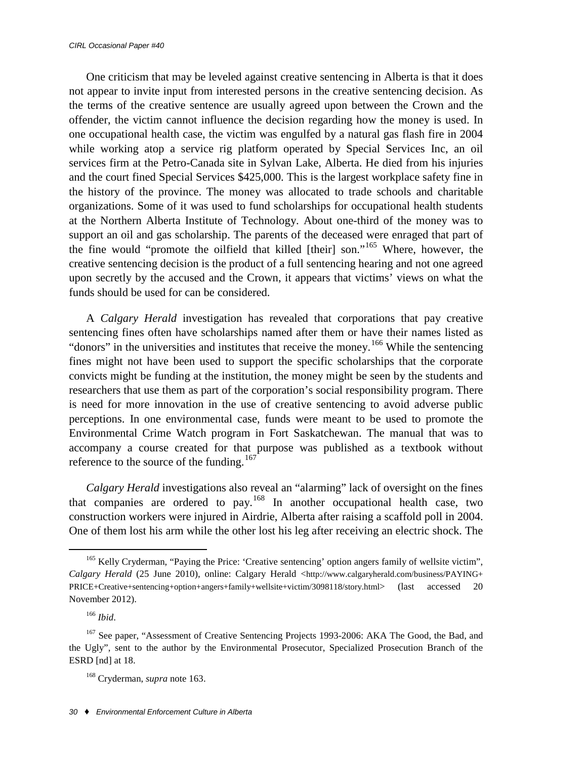One criticism that may be leveled against creative sentencing in Alberta is that it does not appear to invite input from interested persons in the creative sentencing decision. As the terms of the creative sentence are usually agreed upon between the Crown and the offender, the victim cannot influence the decision regarding how the money is used. In one occupational health case, the victim was engulfed by a natural gas flash fire in 2004 while working atop a service rig platform operated by Special Services Inc, an oil services firm at the Petro-Canada site in Sylvan Lake, Alberta. He died from his injuries and the court fined Special Services \$425,000. This is the largest workplace safety fine in the history of the province. The money was allocated to trade schools and charitable organizations. Some of it was used to fund scholarships for occupational health students at the Northern Alberta Institute of Technology. About one-third of the money was to support an oil and gas scholarship. The parents of the deceased were enraged that part of the fine would "promote the oilfield that killed [their] son."[165](#page-42-0) Where, however, the creative sentencing decision is the product of a full sentencing hearing and not one agreed upon secretly by the accused and the Crown, it appears that victims' views on what the funds should be used for can be considered.

A *Calgary Herald* investigation has revealed that corporations that pay creative sentencing fines often have scholarships named after them or have their names listed as "donors" in the universities and institutes that receive the money.<sup>[166](#page-42-1)</sup> While the sentencing fines might not have been used to support the specific scholarships that the corporate convicts might be funding at the institution, the money might be seen by the students and researchers that use them as part of the corporation's social responsibility program. There is need for more innovation in the use of creative sentencing to avoid adverse public perceptions. In one environmental case, funds were meant to be used to promote the Environmental Crime Watch program in Fort Saskatchewan. The manual that was to accompany a course created for that purpose was published as a textbook without reference to the source of the funding.<sup>[167](#page-42-2)</sup>

*Calgary Herald* investigations also reveal an "alarming" lack of oversight on the fines that companies are ordered to  $pay.168$  $pay.168$  In another occupational health case, two construction workers were injured in Airdrie, Alberta after raising a scaffold poll in 2004. One of them lost his arm while the other lost his leg after receiving an electric shock. The

<span id="page-42-0"></span><sup>&</sup>lt;sup>165</sup> Kelly Cryderman, "Paying the Price: 'Creative sentencing' option angers family of wellsite victim", *Calgary Herald* (25 June 2010), online: Calgary Herald <http://www.calgaryherald.com/business/PAYING+ PRICE+Creative+sentencing+option+angers+family+wellsite+victim/3098118/story.html> (last accessed 20 November 2012).

<sup>166</sup> *Ibid*.

<span id="page-42-3"></span><span id="page-42-2"></span><span id="page-42-1"></span><sup>&</sup>lt;sup>167</sup> See paper, "Assessment of Creative Sentencing Projects 1993-2006: AKA The Good, the Bad, and the Ugly", sent to the author by the Environmental Prosecutor, Specialized Prosecution Branch of the ESRD [nd] at 18.

<sup>168</sup> Cryderman, *supra* note 163.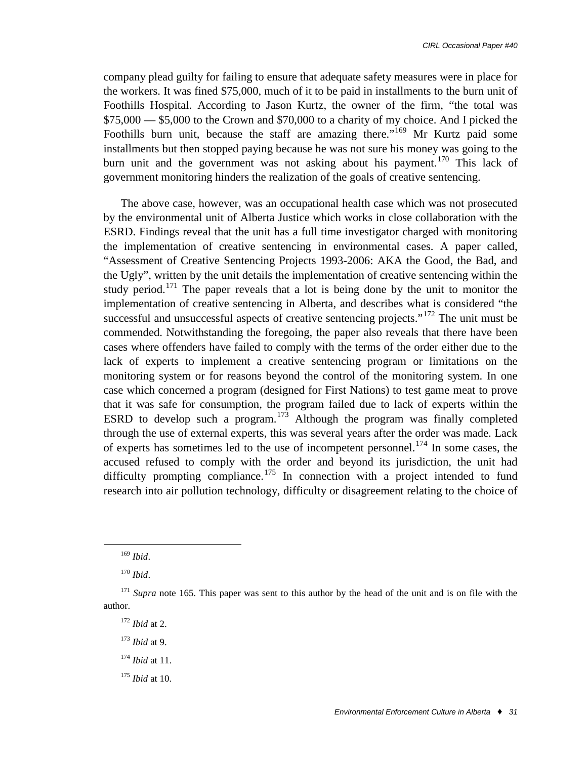company plead guilty for failing to ensure that adequate safety measures were in place for the workers. It was fined \$75,000, much of it to be paid in installments to the burn unit of Foothills Hospital. According to Jason Kurtz, the owner of the firm, "the total was \$75,000 — \$5,000 to the Crown and \$70,000 to a charity of my choice. And I picked the Foothills burn unit, because the staff are amazing there."<sup>[169](#page-43-0)</sup> Mr Kurtz paid some installments but then stopped paying because he was not sure his money was going to the burn unit and the government was not asking about his payment.<sup>[170](#page-43-1)</sup> This lack of government monitoring hinders the realization of the goals of creative sentencing.

The above case, however, was an occupational health case which was not prosecuted by the environmental unit of Alberta Justice which works in close collaboration with the ESRD. Findings reveal that the unit has a full time investigator charged with monitoring the implementation of creative sentencing in environmental cases. A paper called, "Assessment of Creative Sentencing Projects 1993-2006: AKA the Good, the Bad, and the Ugly", written by the unit details the implementation of creative sentencing within the study period.<sup>[171](#page-43-2)</sup> The paper reveals that a lot is being done by the unit to monitor the implementation of creative sentencing in Alberta, and describes what is considered "the successful and unsuccessful aspects of creative sentencing projects."<sup>[172](#page-43-3)</sup> The unit must be commended. Notwithstanding the foregoing, the paper also reveals that there have been cases where offenders have failed to comply with the terms of the order either due to the lack of experts to implement a creative sentencing program or limitations on the monitoring system or for reasons beyond the control of the monitoring system. In one case which concerned a program (designed for First Nations) to test game meat to prove that it was safe for consumption, the program failed due to lack of experts within the ESRD to develop such a program.<sup>[173](#page-43-4)</sup> Although the program was finally completed through the use of external experts, this was several years after the order was made. Lack of experts has sometimes led to the use of incompetent personnel.<sup>[174](#page-43-5)</sup> In some cases, the accused refused to comply with the order and beyond its jurisdiction, the unit had difficulty prompting compliance.<sup>[175](#page-43-6)</sup> In connection with a project intended to fund research into air pollution technology, difficulty or disagreement relating to the choice of

<sup>169</sup> *Ibid*.

<sup>170</sup> *Ibid*.

<span id="page-43-4"></span><span id="page-43-3"></span><span id="page-43-2"></span><span id="page-43-1"></span><span id="page-43-0"></span><sup>&</sup>lt;sup>171</sup> *Supra* note 165. This paper was sent to this author by the head of the unit and is on file with the author.

<sup>172</sup> *Ibid* at 2.

<sup>173</sup> *Ibid* at 9.

<span id="page-43-5"></span><sup>174</sup> *Ibid* at 11.

<span id="page-43-6"></span><sup>175</sup> *Ibid* at 10.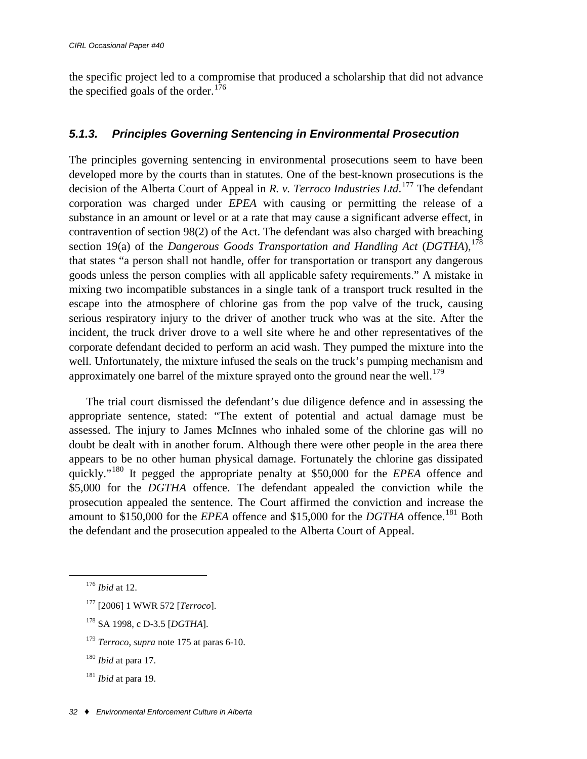the specific project led to a compromise that produced a scholarship that did not advance the specified goals of the order.<sup>[176](#page-44-0)</sup>

## *5.1.3. Principles Governing Sentencing in Environmental Prosecution*

The principles governing sentencing in environmental prosecutions seem to have been developed more by the courts than in statutes. One of the best-known prosecutions is the decision of the Alberta Court of Appeal in *R. v. Terroco Industries Ltd*. [177](#page-44-1) The defendant corporation was charged under *EPEA* with causing or permitting the release of a substance in an amount or level or at a rate that may cause a significant adverse effect, in contravention of section 98(2) of the Act. The defendant was also charged with breaching section 19(a) of the *Dangerous Goods Transportation and Handling Act* (*DGTHA*),<sup>[178](#page-44-2)</sup> that states "a person shall not handle, offer for transportation or transport any dangerous goods unless the person complies with all applicable safety requirements." A mistake in mixing two incompatible substances in a single tank of a transport truck resulted in the escape into the atmosphere of chlorine gas from the pop valve of the truck, causing serious respiratory injury to the driver of another truck who was at the site. After the incident, the truck driver drove to a well site where he and other representatives of the corporate defendant decided to perform an acid wash. They pumped the mixture into the well. Unfortunately, the mixture infused the seals on the truck's pumping mechanism and approximately one barrel of the mixture sprayed onto the ground near the well.<sup>[179](#page-44-3)</sup>

The trial court dismissed the defendant's due diligence defence and in assessing the appropriate sentence, stated: "The extent of potential and actual damage must be assessed. The injury to James McInnes who inhaled some of the chlorine gas will no doubt be dealt with in another forum. Although there were other people in the area there appears to be no other human physical damage. Fortunately the chlorine gas dissipated quickly."[180](#page-44-4) It pegged the appropriate penalty at \$50,000 for the *EPEA* offence and \$5,000 for the *DGTHA* offence. The defendant appealed the conviction while the prosecution appealed the sentence. The Court affirmed the conviction and increase the amount to \$150,000 for the *EPEA* offence and \$15,000 for the *DGTHA* offence.<sup>[181](#page-44-5)</sup> Both the defendant and the prosecution appealed to the Alberta Court of Appeal.

- <span id="page-44-2"></span><sup>178</sup> SA 1998, c D-3.5 [*DGTHA*].
- <span id="page-44-3"></span><sup>179</sup> *Terroco*, *supra* note 175 at paras 6-10.

<span id="page-44-0"></span><sup>176</sup> *Ibid* at 12.

<span id="page-44-1"></span><sup>177</sup> [2006] 1 WWR 572 [*Terroco*].

<span id="page-44-4"></span><sup>180</sup> *Ibid* at para 17.

<span id="page-44-5"></span><sup>181</sup> *Ibid* at para 19.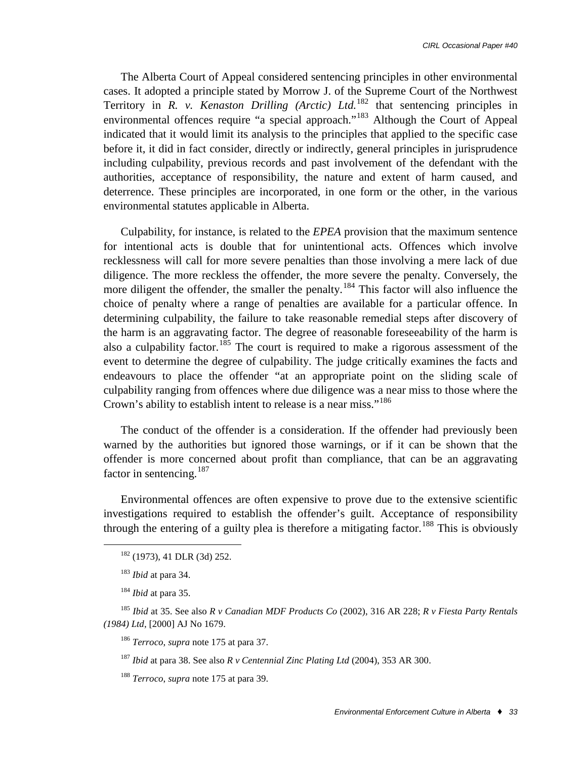The Alberta Court of Appeal considered sentencing principles in other environmental cases. It adopted a principle stated by Morrow J. of the Supreme Court of the Northwest Territory in *R. v. Kenaston Drilling (Arctic) Ltd.*[182](#page-45-0) that sentencing principles in environmental offences require "a special approach."[183](#page-45-1) Although the Court of Appeal indicated that it would limit its analysis to the principles that applied to the specific case before it, it did in fact consider, directly or indirectly, general principles in jurisprudence including culpability, previous records and past involvement of the defendant with the authorities, acceptance of responsibility, the nature and extent of harm caused, and deterrence. These principles are incorporated, in one form or the other, in the various environmental statutes applicable in Alberta.

Culpability, for instance, is related to the *EPEA* provision that the maximum sentence for intentional acts is double that for unintentional acts. Offences which involve recklessness will call for more severe penalties than those involving a mere lack of due diligence. The more reckless the offender, the more severe the penalty. Conversely, the more diligent the offender, the smaller the penalty.<sup>[184](#page-45-2)</sup> This factor will also influence the choice of penalty where a range of penalties are available for a particular offence. In determining culpability, the failure to take reasonable remedial steps after discovery of the harm is an aggravating factor. The degree of reasonable foreseeability of the harm is also a culpability factor.<sup>[185](#page-45-3)</sup> The court is required to make a rigorous assessment of the event to determine the degree of culpability. The judge critically examines the facts and endeavours to place the offender "at an appropriate point on the sliding scale of culpability ranging from offences where due diligence was a near miss to those where the Crown's ability to establish intent to release is a near miss."<sup>[186](#page-45-4)</sup>

The conduct of the offender is a consideration. If the offender had previously been warned by the authorities but ignored those warnings, or if it can be shown that the offender is more concerned about profit than compliance, that can be an aggravating factor in sentencing. $187$ 

Environmental offences are often expensive to prove due to the extensive scientific investigations required to establish the offender's guilt. Acceptance of responsibility through the entering of a guilty plea is therefore a mitigating factor.<sup>[188](#page-45-6)</sup> This is obviously

<sup>182</sup> (1973), 41 DLR (3d) 252.

<sup>183</sup> *Ibid* at para 34.

<sup>184</sup> *Ibid* at para 35.

<span id="page-45-5"></span><span id="page-45-4"></span><span id="page-45-3"></span><span id="page-45-2"></span><span id="page-45-1"></span><span id="page-45-0"></span><sup>185</sup> *Ibid* at 35. See also *R v Canadian MDF Products Co* (2002), 316 AR 228; *R v Fiesta Party Rentals (1984) Ltd*, [2000] AJ No 1679.

<sup>186</sup> *Terroco*, *supra* note 175 at para 37.

<sup>187</sup> *Ibid* at para 38. See also *R v Centennial Zinc Plating Ltd* (2004), 353 AR 300.

<span id="page-45-6"></span><sup>188</sup> *Terroco*, *supra* note 175 at para 39.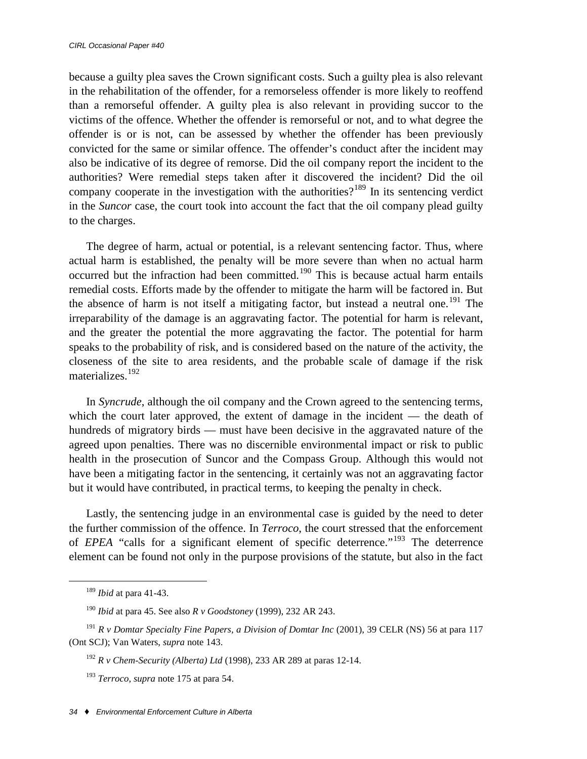because a guilty plea saves the Crown significant costs. Such a guilty plea is also relevant in the rehabilitation of the offender, for a remorseless offender is more likely to reoffend than a remorseful offender. A guilty plea is also relevant in providing succor to the victims of the offence. Whether the offender is remorseful or not, and to what degree the offender is or is not, can be assessed by whether the offender has been previously convicted for the same or similar offence. The offender's conduct after the incident may also be indicative of its degree of remorse. Did the oil company report the incident to the authorities? Were remedial steps taken after it discovered the incident? Did the oil company cooperate in the investigation with the authorities?<sup>[189](#page-46-0)</sup> In its sentencing verdict in the *Suncor* case, the court took into account the fact that the oil company plead guilty to the charges.

The degree of harm, actual or potential, is a relevant sentencing factor. Thus, where actual harm is established, the penalty will be more severe than when no actual harm occurred but the infraction had been committed.<sup>[190](#page-46-1)</sup> This is because actual harm entails remedial costs. Efforts made by the offender to mitigate the harm will be factored in. But the absence of harm is not itself a mitigating factor, but instead a neutral one.<sup>[191](#page-46-2)</sup> The irreparability of the damage is an aggravating factor. The potential for harm is relevant, and the greater the potential the more aggravating the factor. The potential for harm speaks to the probability of risk, and is considered based on the nature of the activity, the closeness of the site to area residents, and the probable scale of damage if the risk materializes.[192](#page-46-3)

In *Syncrude*, although the oil company and the Crown agreed to the sentencing terms, which the court later approved, the extent of damage in the incident — the death of hundreds of migratory birds — must have been decisive in the aggravated nature of the agreed upon penalties. There was no discernible environmental impact or risk to public health in the prosecution of Suncor and the Compass Group. Although this would not have been a mitigating factor in the sentencing, it certainly was not an aggravating factor but it would have contributed, in practical terms, to keeping the penalty in check.

Lastly, the sentencing judge in an environmental case is guided by the need to deter the further commission of the offence. In *Terroco*, the court stressed that the enforcement of *EPEA* "calls for a significant element of specific deterrence."[193](#page-46-4) The deterrence element can be found not only in the purpose provisions of the statute, but also in the fact

<sup>189</sup> *Ibid* at para 41-43.

<sup>190</sup> *Ibid* at para 45. See also *R v Goodstoney* (1999), 232 AR 243.

<span id="page-46-4"></span><span id="page-46-3"></span><span id="page-46-2"></span><span id="page-46-1"></span><span id="page-46-0"></span><sup>191</sup> *R v Domtar Specialty Fine Papers, a Division of Domtar Inc* (2001), 39 CELR (NS) 56 at para 117 (Ont SCJ); Van Waters, *supra* note 143.

<sup>192</sup> *R v Chem-Security (Alberta) Ltd* (1998), 233 AR 289 at paras 12-14.

<sup>193</sup> *Terroco*, *supra* note 175 at para 54.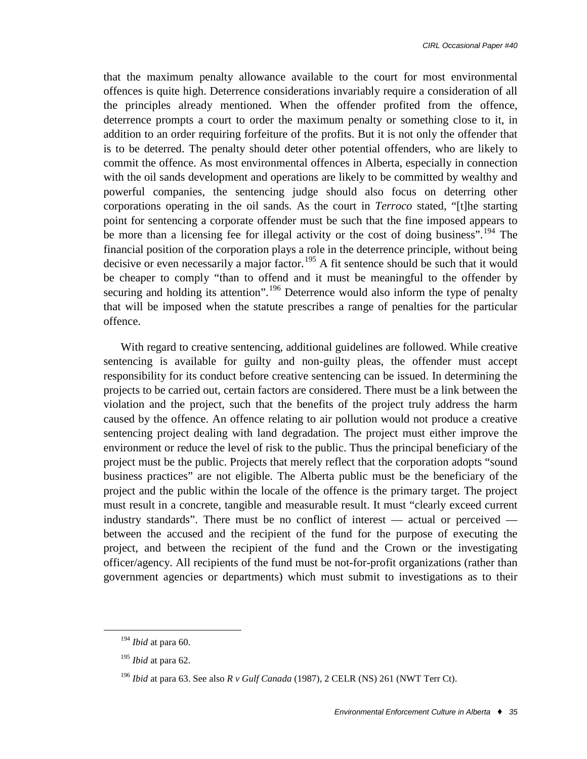that the maximum penalty allowance available to the court for most environmental offences is quite high. Deterrence considerations invariably require a consideration of all the principles already mentioned. When the offender profited from the offence, deterrence prompts a court to order the maximum penalty or something close to it, in addition to an order requiring forfeiture of the profits. But it is not only the offender that is to be deterred. The penalty should deter other potential offenders, who are likely to commit the offence. As most environmental offences in Alberta, especially in connection with the oil sands development and operations are likely to be committed by wealthy and powerful companies, the sentencing judge should also focus on deterring other corporations operating in the oil sands. As the court in *Terroco* stated, "[t]he starting point for sentencing a corporate offender must be such that the fine imposed appears to be more than a licensing fee for illegal activity or the cost of doing business".<sup>[194](#page-47-0)</sup> The financial position of the corporation plays a role in the deterrence principle, without being decisive or even necessarily a major factor.<sup>[195](#page-47-1)</sup> A fit sentence should be such that it would be cheaper to comply "than to offend and it must be meaningful to the offender by securing and holding its attention".<sup>[196](#page-47-2)</sup> Deterrence would also inform the type of penalty that will be imposed when the statute prescribes a range of penalties for the particular offence.

With regard to creative sentencing, additional guidelines are followed. While creative sentencing is available for guilty and non-guilty pleas, the offender must accept responsibility for its conduct before creative sentencing can be issued. In determining the projects to be carried out, certain factors are considered. There must be a link between the violation and the project, such that the benefits of the project truly address the harm caused by the offence. An offence relating to air pollution would not produce a creative sentencing project dealing with land degradation. The project must either improve the environment or reduce the level of risk to the public. Thus the principal beneficiary of the project must be the public. Projects that merely reflect that the corporation adopts "sound business practices" are not eligible. The Alberta public must be the beneficiary of the project and the public within the locale of the offence is the primary target. The project must result in a concrete, tangible and measurable result. It must "clearly exceed current industry standards". There must be no conflict of interest — actual or perceived between the accused and the recipient of the fund for the purpose of executing the project, and between the recipient of the fund and the Crown or the investigating officer/agency. All recipients of the fund must be not-for-profit organizations (rather than government agencies or departments) which must submit to investigations as to their

<span id="page-47-0"></span><sup>194</sup> *Ibid* at para 60.

<span id="page-47-1"></span><sup>195</sup> *Ibid* at para 62.

<span id="page-47-2"></span><sup>196</sup> *Ibid* at para 63. See also *R v Gulf Canada* (1987), 2 CELR (NS) 261 (NWT Terr Ct).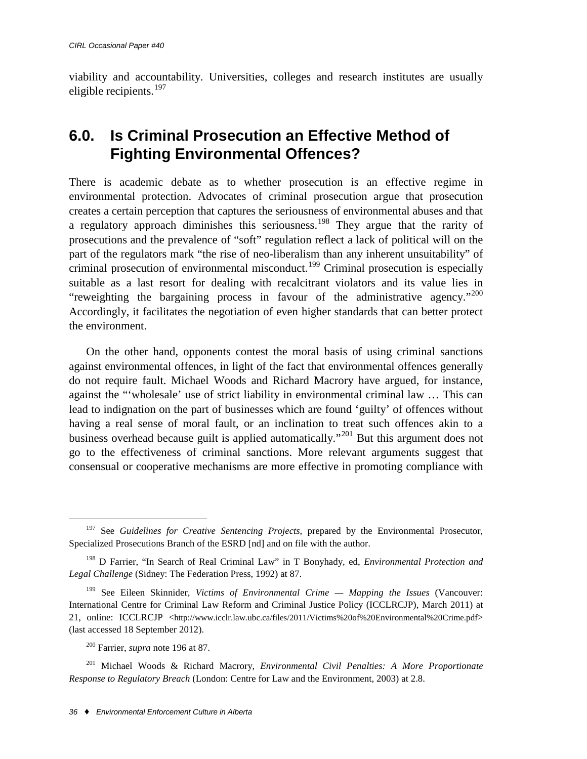viability and accountability. Universities, colleges and research institutes are usually eligible recipients. $197$ 

# **6.0. Is Criminal Prosecution an Effective Method of Fighting Environmental Offences?**

There is academic debate as to whether prosecution is an effective regime in environmental protection. Advocates of criminal prosecution argue that prosecution creates a certain perception that captures the seriousness of environmental abuses and that a regulatory approach diminishes this seriousness.<sup>[198](#page-48-1)</sup> They argue that the rarity of prosecutions and the prevalence of "soft" regulation reflect a lack of political will on the part of the regulators mark "the rise of neo-liberalism than any inherent unsuitability" of criminal prosecution of environmental misconduct.<sup>[199](#page-48-2)</sup> Criminal prosecution is especially suitable as a last resort for dealing with recalcitrant violators and its value lies in "reweighting the bargaining process in favour of the administrative agency."<sup>[200](#page-48-3)</sup> Accordingly, it facilitates the negotiation of even higher standards that can better protect the environment.

On the other hand, opponents contest the moral basis of using criminal sanctions against environmental offences, in light of the fact that environmental offences generally do not require fault. Michael Woods and Richard Macrory have argued, for instance, against the "'wholesale' use of strict liability in environmental criminal law … This can lead to indignation on the part of businesses which are found 'guilty' of offences without having a real sense of moral fault, or an inclination to treat such offences akin to a business overhead because guilt is applied automatically."[201](#page-48-4) But this argument does not go to the effectiveness of criminal sanctions. More relevant arguments suggest that consensual or cooperative mechanisms are more effective in promoting compliance with

<span id="page-48-0"></span><sup>197</sup> See *Guidelines for Creative Sentencing Projects*, prepared by the Environmental Prosecutor, Specialized Prosecutions Branch of the ESRD [nd] and on file with the author.

<span id="page-48-1"></span><sup>198</sup> D Farrier, "In Search of Real Criminal Law" in T Bonyhady, ed, *Environmental Protection and Legal Challenge* (Sidney: The Federation Press, 1992) at 87.

<span id="page-48-2"></span><sup>199</sup> See Eileen Skinnider, *Victims of Environmental Crime — Mapping the Issues* (Vancouver: International Centre for Criminal Law Reform and Criminal Justice Policy (ICCLRCJP), March 2011) at 21, online: ICCLRCJP <http://www.icclr.law.ubc.ca/files/2011/Victims%20of%20Environmental%20Crime.pdf> (last accessed 18 September 2012).

<sup>200</sup> Farrier, *supra* note 196 at 87.

<span id="page-48-4"></span><span id="page-48-3"></span><sup>201</sup> Michael Woods & Richard Macrory, *Environmental Civil Penalties: A More Proportionate Response to Regulatory Breach* (London: Centre for Law and the Environment, 2003) at 2.8.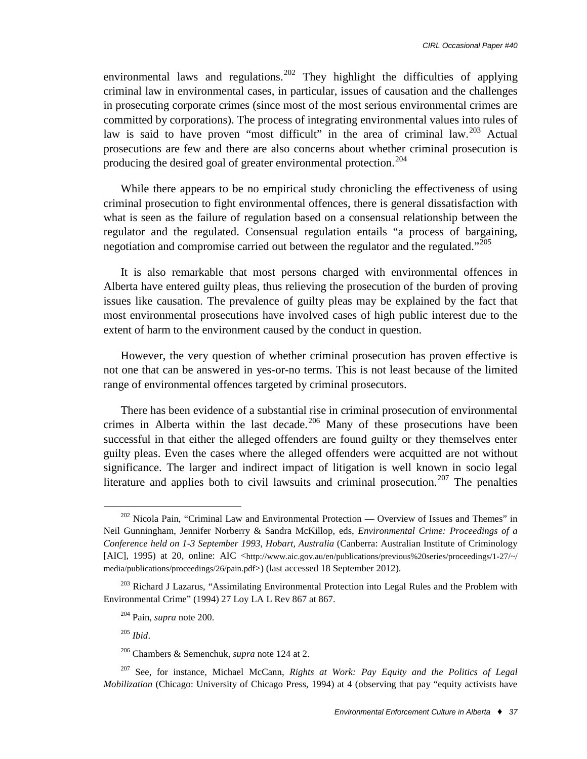environmental laws and regulations.<sup>[202](#page-49-0)</sup> They highlight the difficulties of applying criminal law in environmental cases, in particular, issues of causation and the challenges in prosecuting corporate crimes (since most of the most serious environmental crimes are committed by corporations). The process of integrating environmental values into rules of law is said to have proven "most difficult" in the area of criminal law.<sup>[203](#page-49-1)</sup> Actual prosecutions are few and there are also concerns about whether criminal prosecution is producing the desired goal of greater environmental protection.<sup>[204](#page-49-2)</sup>

While there appears to be no empirical study chronicling the effectiveness of using criminal prosecution to fight environmental offences, there is general dissatisfaction with what is seen as the failure of regulation based on a consensual relationship between the regulator and the regulated. Consensual regulation entails "a process of bargaining, negotiation and compromise carried out between the regulator and the regulated."<sup>[205](#page-49-3)</sup>

It is also remarkable that most persons charged with environmental offences in Alberta have entered guilty pleas, thus relieving the prosecution of the burden of proving issues like causation. The prevalence of guilty pleas may be explained by the fact that most environmental prosecutions have involved cases of high public interest due to the extent of harm to the environment caused by the conduct in question.

However, the very question of whether criminal prosecution has proven effective is not one that can be answered in yes-or-no terms. This is not least because of the limited range of environmental offences targeted by criminal prosecutors.

There has been evidence of a substantial rise in criminal prosecution of environmental crimes in Alberta within the last decade.<sup>[206](#page-49-4)</sup> Many of these prosecutions have been successful in that either the alleged offenders are found guilty or they themselves enter guilty pleas. Even the cases where the alleged offenders were acquitted are not without significance. The larger and indirect impact of litigation is well known in socio legal literature and applies both to civil lawsuits and criminal prosecution.<sup>[207](#page-49-5)</sup> The penalties

<sup>205</sup> *Ibid*.

<span id="page-49-0"></span> $202$  Nicola Pain, "Criminal Law and Environmental Protection — Overview of Issues and Themes" in Neil Gunningham, Jennifer Norberry & Sandra McKillop, eds, *Environmental Crime: Proceedings of a Conference held on 1-3 September 1993, Hobart, Australia* (Canberra: Australian Institute of Criminology [AIC], 1995) at 20, online: AIC <http://www.aic.gov.au/en/publications/previous%20series/proceedings/1-27/ $\sim$ / media/publications/proceedings/26/pain.pdf>) (last accessed 18 September 2012).

<span id="page-49-2"></span><span id="page-49-1"></span><sup>&</sup>lt;sup>203</sup> Richard J Lazarus, "Assimilating Environmental Protection into Legal Rules and the Problem with Environmental Crime" (1994) 27 Loy LA L Rev 867 at 867.

<sup>204</sup> Pain, *supra* note 200.

<sup>206</sup> Chambers & Semenchuk, *supra* note 124 at 2.

<span id="page-49-5"></span><span id="page-49-4"></span><span id="page-49-3"></span><sup>207</sup> See, for instance, Michael McCann, *Rights at Work: Pay Equity and the Politics of Legal Mobilization* (Chicago: University of Chicago Press, 1994) at 4 (observing that pay "equity activists have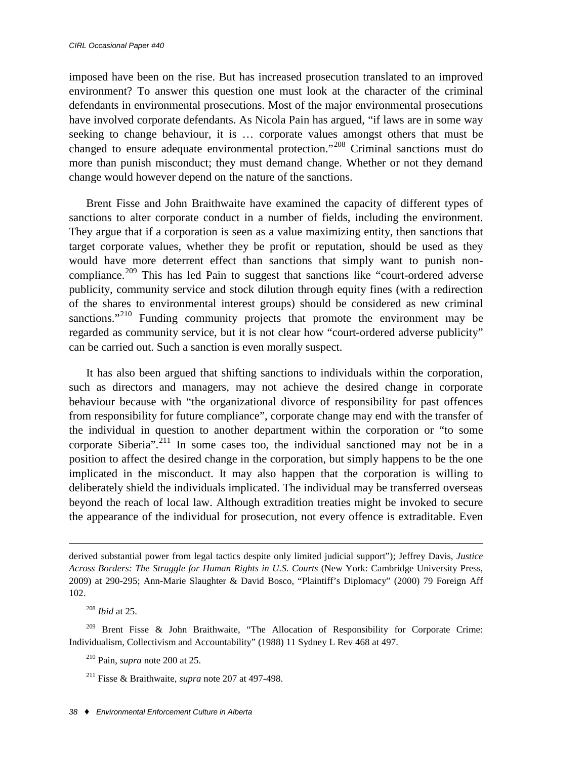imposed have been on the rise. But has increased prosecution translated to an improved environment? To answer this question one must look at the character of the criminal defendants in environmental prosecutions. Most of the major environmental prosecutions have involved corporate defendants. As Nicola Pain has argued, "if laws are in some way seeking to change behaviour, it is … corporate values amongst others that must be changed to ensure adequate environmental protection."[208](#page-50-0) Criminal sanctions must do more than punish misconduct; they must demand change. Whether or not they demand change would however depend on the nature of the sanctions.

Brent Fisse and John Braithwaite have examined the capacity of different types of sanctions to alter corporate conduct in a number of fields, including the environment. They argue that if a corporation is seen as a value maximizing entity, then sanctions that target corporate values, whether they be profit or reputation, should be used as they would have more deterrent effect than sanctions that simply want to punish non-compliance.<sup>[209](#page-50-1)</sup> This has led Pain to suggest that sanctions like "court-ordered adverse" publicity, community service and stock dilution through equity fines (with a redirection of the shares to environmental interest groups) should be considered as new criminal sanctions."<sup>[210](#page-50-2)</sup> Funding community projects that promote the environment may be regarded as community service, but it is not clear how "court-ordered adverse publicity" can be carried out. Such a sanction is even morally suspect.

It has also been argued that shifting sanctions to individuals within the corporation, such as directors and managers, may not achieve the desired change in corporate behaviour because with "the organizational divorce of responsibility for past offences from responsibility for future compliance", corporate change may end with the transfer of the individual in question to another department within the corporation or "to some corporate Siberia".<sup>[211](#page-50-3)</sup> In some cases too, the individual sanctioned may not be in a position to affect the desired change in the corporation, but simply happens to be the one implicated in the misconduct. It may also happen that the corporation is willing to deliberately shield the individuals implicated. The individual may be transferred overseas beyond the reach of local law. Although extradition treaties might be invoked to secure the appearance of the individual for prosecution, not every offence is extraditable. Even

<sup>208</sup> *Ibid* at 25.

 $\overline{a}$ 

<span id="page-50-3"></span><span id="page-50-2"></span><span id="page-50-1"></span><span id="page-50-0"></span><sup>209</sup> Brent Fisse & John Braithwaite, "The Allocation of Responsibility for Corporate Crime: Individualism, Collectivism and Accountability" (1988) 11 Sydney L Rev 468 at 497.

<sup>210</sup> Pain, *supra* note 200 at 25.

derived substantial power from legal tactics despite only limited judicial support"); Jeffrey Davis, *Justice Across Borders: The Struggle for Human Rights in U.S. Courts* (New York: Cambridge University Press, 2009) at 290-295; Ann-Marie Slaughter & David Bosco, "Plaintiff's Diplomacy" (2000) 79 Foreign Aff 102.

<sup>211</sup> Fisse & Braithwaite, *supra* note 207 at 497-498.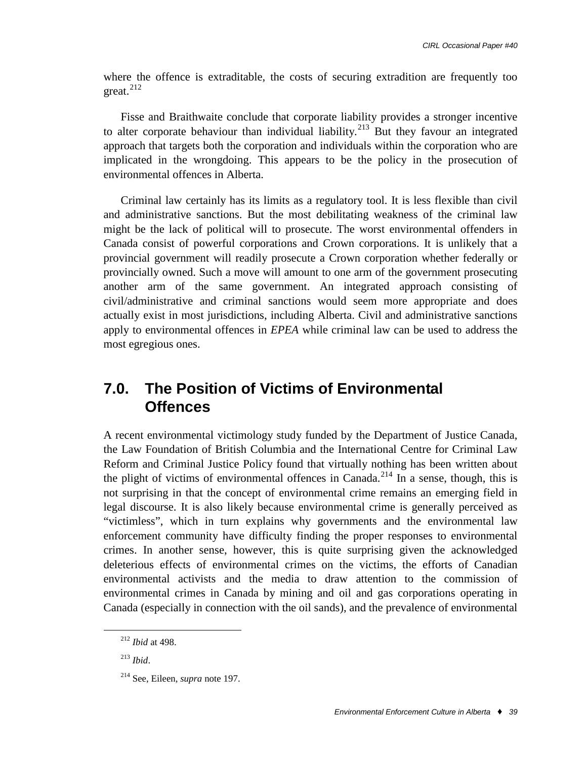where the offence is extraditable, the costs of securing extradition are frequently too great.<sup>[212](#page-51-0)</sup>

Fisse and Braithwaite conclude that corporate liability provides a stronger incentive to alter corporate behaviour than individual liability.<sup>[213](#page-51-1)</sup> But they favour an integrated approach that targets both the corporation and individuals within the corporation who are implicated in the wrongdoing. This appears to be the policy in the prosecution of environmental offences in Alberta.

Criminal law certainly has its limits as a regulatory tool. It is less flexible than civil and administrative sanctions. But the most debilitating weakness of the criminal law might be the lack of political will to prosecute. The worst environmental offenders in Canada consist of powerful corporations and Crown corporations. It is unlikely that a provincial government will readily prosecute a Crown corporation whether federally or provincially owned. Such a move will amount to one arm of the government prosecuting another arm of the same government. An integrated approach consisting of civil/administrative and criminal sanctions would seem more appropriate and does actually exist in most jurisdictions, including Alberta. Civil and administrative sanctions apply to environmental offences in *EPEA* while criminal law can be used to address the most egregious ones.

## **7.0. The Position of Victims of Environmental Offences**

A recent environmental victimology study funded by the Department of Justice Canada, the Law Foundation of British Columbia and the International Centre for Criminal Law Reform and Criminal Justice Policy found that virtually nothing has been written about the plight of victims of environmental offences in Canada.<sup>[214](#page-51-2)</sup> In a sense, though, this is not surprising in that the concept of environmental crime remains an emerging field in legal discourse. It is also likely because environmental crime is generally perceived as "victimless", which in turn explains why governments and the environmental law enforcement community have difficulty finding the proper responses to environmental crimes. In another sense, however, this is quite surprising given the acknowledged deleterious effects of environmental crimes on the victims, the efforts of Canadian environmental activists and the media to draw attention to the commission of environmental crimes in Canada by mining and oil and gas corporations operating in Canada (especially in connection with the oil sands), and the prevalence of environmental

<span id="page-51-0"></span><sup>212</sup> *Ibid* at 498.

<span id="page-51-1"></span><sup>213</sup> *Ibid*.

<span id="page-51-2"></span><sup>214</sup> See, Eileen, *supra* note 197.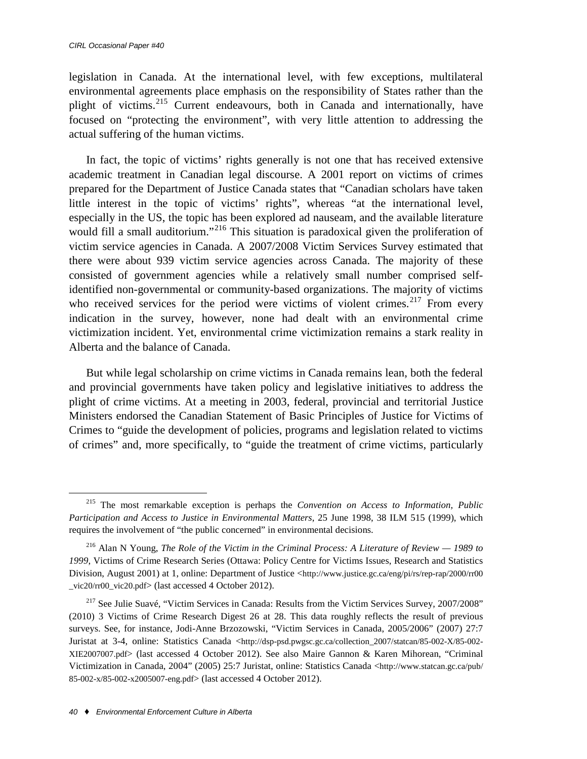legislation in Canada. At the international level, with few exceptions, multilateral environmental agreements place emphasis on the responsibility of States rather than the plight of victims.[215](#page-52-0) Current endeavours, both in Canada and internationally, have focused on "protecting the environment", with very little attention to addressing the actual suffering of the human victims.

In fact, the topic of victims' rights generally is not one that has received extensive academic treatment in Canadian legal discourse. A 2001 report on victims of crimes prepared for the Department of Justice Canada states that "Canadian scholars have taken little interest in the topic of victims' rights", whereas "at the international level, especially in the US, the topic has been explored ad nauseam, and the available literature would fill a small auditorium."<sup>[216](#page-52-1)</sup> This situation is paradoxical given the proliferation of victim service agencies in Canada. A 2007/2008 Victim Services Survey estimated that there were about 939 victim service agencies across Canada. The majority of these consisted of government agencies while a relatively small number comprised selfidentified non-governmental or community-based organizations. The majority of victims who received services for the period were victims of violent crimes.<sup>[217](#page-52-2)</sup> From every indication in the survey, however, none had dealt with an environmental crime victimization incident. Yet, environmental crime victimization remains a stark reality in Alberta and the balance of Canada.

But while legal scholarship on crime victims in Canada remains lean, both the federal and provincial governments have taken policy and legislative initiatives to address the plight of crime victims. At a meeting in 2003, federal, provincial and territorial Justice Ministers endorsed the Canadian Statement of Basic Principles of Justice for Victims of Crimes to "guide the development of policies, programs and legislation related to victims of crimes" and, more specifically, to "guide the treatment of crime victims, particularly

<span id="page-52-0"></span><sup>215</sup> The most remarkable exception is perhaps the *Convention on Access to Information, Public Participation and Access to Justice in Environmental Matters*, 25 June 1998, 38 ILM 515 (1999), which requires the involvement of "the public concerned" in environmental decisions.

<span id="page-52-1"></span><sup>216</sup> Alan N Young, *The Role of the Victim in the Criminal Process: A Literature of Review — 1989 to 1999*, Victims of Crime Research Series (Ottawa: Policy Centre for Victims Issues, Research and Statistics Division, August 2001) at 1, online: Department of Justice <http://www.justice.gc.ca/eng/pi/rs/rep-rap/2000/rr00 \_vic20/rr00\_vic20.pdf> (last accessed 4 October 2012).

<span id="page-52-2"></span> $2^{217}$  See Julie Suavé, "Victim Services in Canada: Results from the Victim Services Survey, 2007/2008" (2010) 3 Victims of Crime Research Digest 26 at 28. This data roughly reflects the result of previous surveys. See, for instance, Jodi-Anne Brzozowski, "Victim Services in Canada, 2005/2006" (2007) 27:7 Juristat at 3-4, online: Statistics Canada <http://dsp-psd.pwgsc.gc.ca/collection\_2007/statcan/85-002-X/85-002- XIE2007007.pdf> (last accessed 4 October 2012). See also Maire Gannon & Karen Mihorean, "Criminal Victimization in Canada, 2004" (2005) 25:7 Juristat, online: Statistics Canada <http://www.statcan.gc.ca/pub/ 85-002-x/85-002-x2005007-eng.pdf> (last accessed 4 October 2012).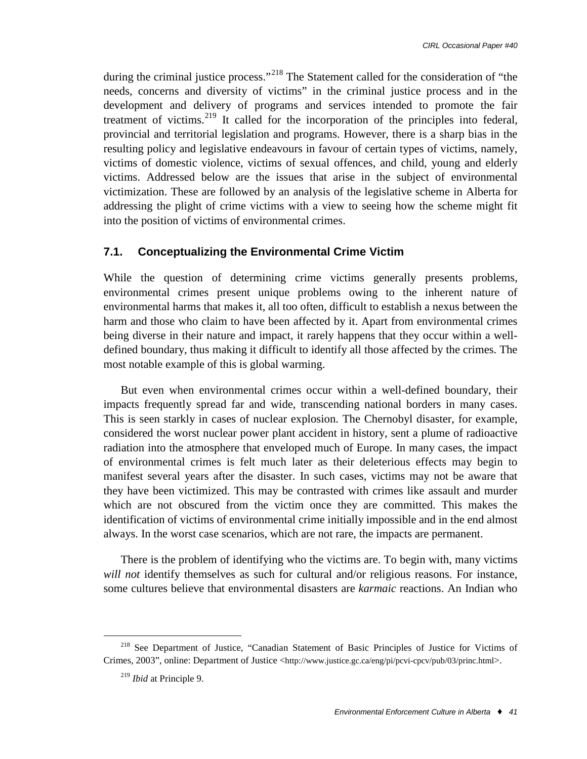during the criminal justice process."<sup>[218](#page-53-0)</sup> The Statement called for the consideration of "the needs, concerns and diversity of victims" in the criminal justice process and in the development and delivery of programs and services intended to promote the fair treatment of victims.<sup>[219](#page-53-1)</sup> It called for the incorporation of the principles into federal, provincial and territorial legislation and programs. However, there is a sharp bias in the resulting policy and legislative endeavours in favour of certain types of victims, namely, victims of domestic violence, victims of sexual offences, and child, young and elderly victims. Addressed below are the issues that arise in the subject of environmental victimization. These are followed by an analysis of the legislative scheme in Alberta for addressing the plight of crime victims with a view to seeing how the scheme might fit into the position of victims of environmental crimes.

#### **7.1. Conceptualizing the Environmental Crime Victim**

While the question of determining crime victims generally presents problems, environmental crimes present unique problems owing to the inherent nature of environmental harms that makes it, all too often, difficult to establish a nexus between the harm and those who claim to have been affected by it. Apart from environmental crimes being diverse in their nature and impact, it rarely happens that they occur within a welldefined boundary, thus making it difficult to identify all those affected by the crimes. The most notable example of this is global warming.

But even when environmental crimes occur within a well-defined boundary, their impacts frequently spread far and wide, transcending national borders in many cases. This is seen starkly in cases of nuclear explosion. The Chernobyl disaster, for example, considered the worst nuclear power plant accident in history, sent a plume of radioactive radiation into the atmosphere that enveloped much of Europe. In many cases, the impact of environmental crimes is felt much later as their deleterious effects may begin to manifest several years after the disaster. In such cases, victims may not be aware that they have been victimized. This may be contrasted with crimes like assault and murder which are not obscured from the victim once they are committed. This makes the identification of victims of environmental crime initially impossible and in the end almost always. In the worst case scenarios, which are not rare, the impacts are permanent.

There is the problem of identifying who the victims are. To begin with, many victims *will not* identify themselves as such for cultural and/or religious reasons. For instance, some cultures believe that environmental disasters are *karmaic* reactions. An Indian who

<span id="page-53-1"></span><span id="page-53-0"></span><sup>218</sup> See Department of Justice, "Canadian Statement of Basic Principles of Justice for Victims of Crimes, 2003", online: Department of Justice <http://www.justice.gc.ca/eng/pi/pcvi-cpcv/pub/03/princ.html>.

<sup>219</sup> *Ibid* at Principle 9.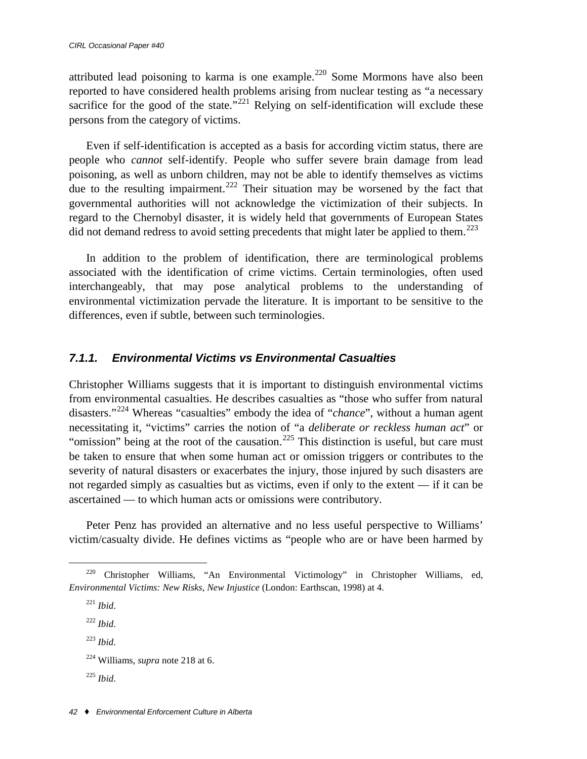attributed lead poisoning to karma is one example.<sup>[220](#page-54-0)</sup> Some Mormons have also been reported to have considered health problems arising from nuclear testing as "a necessary sacrifice for the good of the state."<sup>[221](#page-54-1)</sup> Relying on self-identification will exclude these persons from the category of victims.

Even if self-identification is accepted as a basis for according victim status, there are people who *cannot* self-identify. People who suffer severe brain damage from lead poisoning, as well as unborn children, may not be able to identify themselves as victims due to the resulting impairment.<sup>[222](#page-54-2)</sup> Their situation may be worsened by the fact that governmental authorities will not acknowledge the victimization of their subjects. In regard to the Chernobyl disaster, it is widely held that governments of European States did not demand redress to avoid setting precedents that might later be applied to them.<sup>[223](#page-54-3)</sup>

In addition to the problem of identification, there are terminological problems associated with the identification of crime victims. Certain terminologies, often used interchangeably, that may pose analytical problems to the understanding of environmental victimization pervade the literature. It is important to be sensitive to the differences, even if subtle, between such terminologies.

#### *7.1.1. Environmental Victims vs Environmental Casualties*

Christopher Williams suggests that it is important to distinguish environmental victims from environmental casualties. He describes casualties as "those who suffer from natural disasters."[224](#page-54-4) Whereas "casualties" embody the idea of "*chance*", without a human agent necessitating it, "victims" carries the notion of "a *deliberate or reckless human act*" or "omission" being at the root of the causation.<sup>[225](#page-54-5)</sup> This distinction is useful, but care must be taken to ensure that when some human act or omission triggers or contributes to the severity of natural disasters or exacerbates the injury, those injured by such disasters are not regarded simply as casualties but as victims, even if only to the extent — if it can be ascertained — to which human acts or omissions were contributory.

Peter Penz has provided an alternative and no less useful perspective to Williams' victim/casualty divide. He defines victims as "people who are or have been harmed by

 $\overline{a}$ 

<span id="page-54-3"></span><sup>223</sup> *Ibid*.

<span id="page-54-5"></span><sup>225</sup> *Ibid*.

<span id="page-54-2"></span><span id="page-54-1"></span><span id="page-54-0"></span><sup>220</sup> Christopher Williams, "An Environmental Victimology" in Christopher Williams, ed, *Environmental Victims: New Risks, New Injustice* (London: Earthscan, 1998) at 4.

<sup>221</sup> *Ibid*.

<sup>222</sup> *Ibid*.

<span id="page-54-4"></span><sup>224</sup> Williams, *supra* note 218 at 6.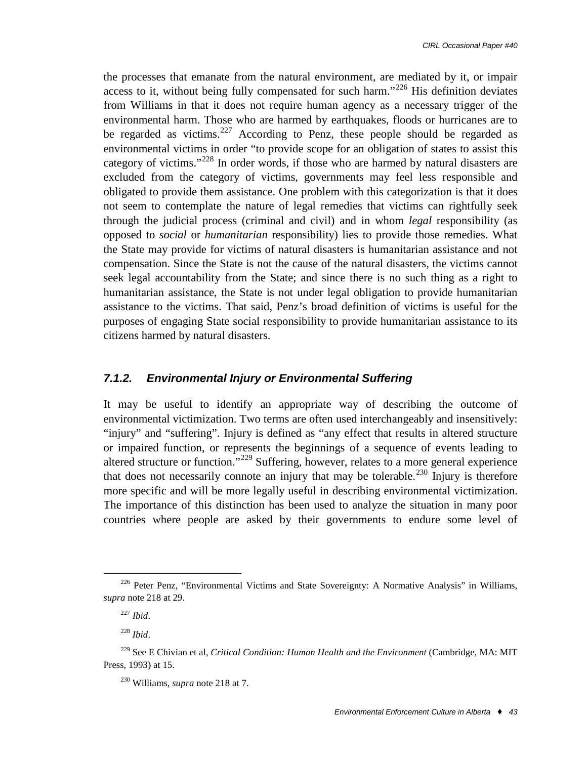the processes that emanate from the natural environment, are mediated by it, or impair access to it, without being fully compensated for such harm."<sup>[226](#page-55-0)</sup> His definition deviates from Williams in that it does not require human agency as a necessary trigger of the environmental harm. Those who are harmed by earthquakes, floods or hurricanes are to be regarded as victims.  $227$  According to Penz, these people should be regarded as environmental victims in order "to provide scope for an obligation of states to assist this category of victims."<sup>[228](#page-55-2)</sup> In order words, if those who are harmed by natural disasters are excluded from the category of victims, governments may feel less responsible and obligated to provide them assistance. One problem with this categorization is that it does not seem to contemplate the nature of legal remedies that victims can rightfully seek through the judicial process (criminal and civil) and in whom *legal* responsibility (as opposed to *social* or *humanitarian* responsibility) lies to provide those remedies. What the State may provide for victims of natural disasters is humanitarian assistance and not compensation. Since the State is not the cause of the natural disasters, the victims cannot seek legal accountability from the State; and since there is no such thing as a right to humanitarian assistance, the State is not under legal obligation to provide humanitarian assistance to the victims. That said, Penz's broad definition of victims is useful for the purposes of engaging State social responsibility to provide humanitarian assistance to its citizens harmed by natural disasters.

#### *7.1.2. Environmental Injury or Environmental Suffering*

It may be useful to identify an appropriate way of describing the outcome of environmental victimization. Two terms are often used interchangeably and insensitively: "injury" and "suffering". Injury is defined as "any effect that results in altered structure or impaired function, or represents the beginnings of a sequence of events leading to altered structure or function."<sup>[229](#page-55-3)</sup> Suffering, however, relates to a more general experience that does not necessarily connote an injury that may be tolerable.<sup>[230](#page-55-4)</sup> Injury is therefore more specific and will be more legally useful in describing environmental victimization. The importance of this distinction has been used to analyze the situation in many poor countries where people are asked by their governments to endure some level of

<span id="page-55-1"></span><span id="page-55-0"></span><sup>&</sup>lt;sup>226</sup> Peter Penz, "Environmental Victims and State Sovereignty: A Normative Analysis" in Williams, *supra* note 218 at 29.

<sup>227</sup> *Ibid*.

<sup>228</sup> *Ibid*.

<span id="page-55-4"></span><span id="page-55-3"></span><span id="page-55-2"></span><sup>229</sup> See E Chivian et al, *Critical Condition: Human Health and the Environment* (Cambridge, MA: MIT Press, 1993) at 15.

<sup>230</sup> Williams, *supra* note 218 at 7.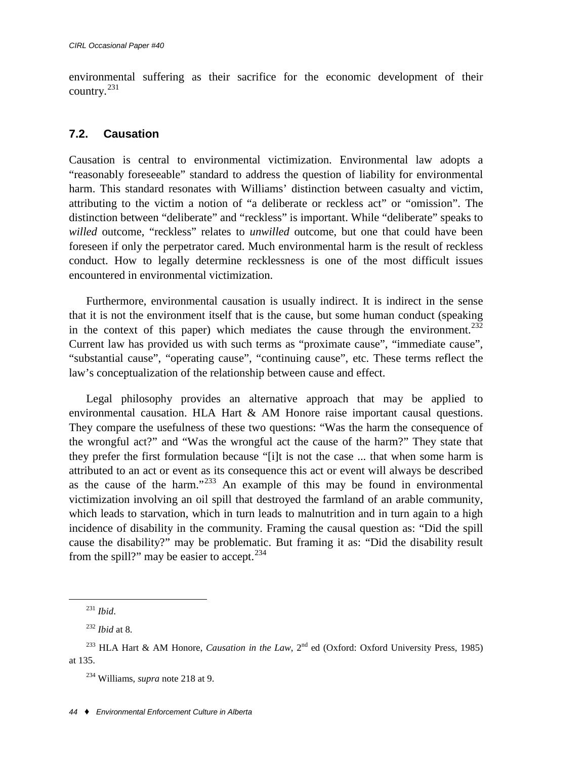environmental suffering as their sacrifice for the economic development of their country.[231](#page-56-0)

#### **7.2. Causation**

Causation is central to environmental victimization. Environmental law adopts a "reasonably foreseeable" standard to address the question of liability for environmental harm. This standard resonates with Williams' distinction between casualty and victim, attributing to the victim a notion of "a deliberate or reckless act" or "omission". The distinction between "deliberate" and "reckless" is important. While "deliberate" speaks to *willed* outcome, "reckless" relates to *unwilled* outcome, but one that could have been foreseen if only the perpetrator cared. Much environmental harm is the result of reckless conduct. How to legally determine recklessness is one of the most difficult issues encountered in environmental victimization.

Furthermore, environmental causation is usually indirect. It is indirect in the sense that it is not the environment itself that is the cause, but some human conduct (speaking in the context of this paper) which mediates the cause through the environment.<sup>[232](#page-56-1)</sup> Current law has provided us with such terms as "proximate cause", "immediate cause", "substantial cause", "operating cause", "continuing cause", etc. These terms reflect the law's conceptualization of the relationship between cause and effect.

Legal philosophy provides an alternative approach that may be applied to environmental causation. HLA Hart & AM Honore raise important causal questions. They compare the usefulness of these two questions: "Was the harm the consequence of the wrongful act?" and "Was the wrongful act the cause of the harm?" They state that they prefer the first formulation because "[i]t is not the case ... that when some harm is attributed to an act or event as its consequence this act or event will always be described as the cause of the harm." $233$  An example of this may be found in environmental victimization involving an oil spill that destroyed the farmland of an arable community, which leads to starvation, which in turn leads to malnutrition and in turn again to a high incidence of disability in the community. Framing the causal question as: "Did the spill cause the disability?" may be problematic. But framing it as: "Did the disability result from the spill?" may be easier to accept. $234$ 

<sup>231</sup> *Ibid*.

<sup>232</sup> *Ibid* at 8.

<span id="page-56-3"></span><span id="page-56-2"></span><span id="page-56-1"></span><span id="page-56-0"></span><sup>&</sup>lt;sup>233</sup> HLA Hart & AM Honore, *Causation in the Law*, 2<sup>nd</sup> ed (Oxford: Oxford University Press, 1985) at 135.

<sup>234</sup> Williams, *supra* note 218 at 9.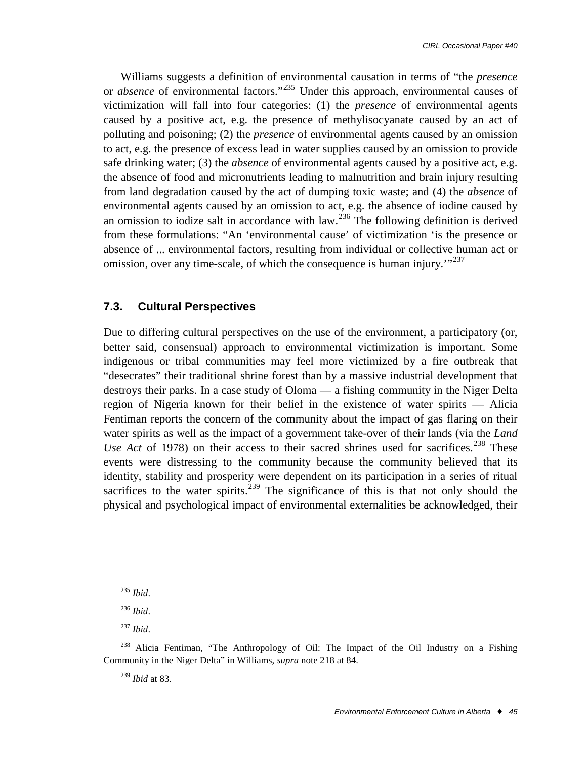Williams suggests a definition of environmental causation in terms of "the *presence* or *absence* of environmental factors."[235](#page-57-0) Under this approach, environmental causes of victimization will fall into four categories: (1) the *presence* of environmental agents caused by a positive act, e.g. the presence of methylisocyanate caused by an act of polluting and poisoning; (2) the *presence* of environmental agents caused by an omission to act, e.g. the presence of excess lead in water supplies caused by an omission to provide safe drinking water; (3) the *absence* of environmental agents caused by a positive act, e.g. the absence of food and micronutrients leading to malnutrition and brain injury resulting from land degradation caused by the act of dumping toxic waste; and (4) the *absence* of environmental agents caused by an omission to act, e.g. the absence of iodine caused by an omission to iodize salt in accordance with  $law<sup>236</sup>$  $law<sup>236</sup>$  $law<sup>236</sup>$ . The following definition is derived from these formulations: "An 'environmental cause' of victimization 'is the presence or absence of ... environmental factors, resulting from individual or collective human act or omission, over any time-scale, of which the consequence is human injury.<sup>'"[237](#page-57-2)</sup>

#### **7.3. Cultural Perspectives**

Due to differing cultural perspectives on the use of the environment, a participatory (or, better said, consensual) approach to environmental victimization is important. Some indigenous or tribal communities may feel more victimized by a fire outbreak that "desecrates" their traditional shrine forest than by a massive industrial development that destroys their parks. In a case study of Oloma — a fishing community in the Niger Delta region of Nigeria known for their belief in the existence of water spirits — Alicia Fentiman reports the concern of the community about the impact of gas flaring on their water spirits as well as the impact of a government take-over of their lands (via the *Land Use Act* of 1978) on their access to their sacred shrines used for sacrifices.<sup>[238](#page-57-3)</sup> These events were distressing to the community because the community believed that its identity, stability and prosperity were dependent on its participation in a series of ritual sacrifices to the water spirits.<sup>[239](#page-57-4)</sup> The significance of this is that not only should the physical and psychological impact of environmental externalities be acknowledged, their

<span id="page-57-0"></span> $\overline{a}$ 

<sup>239</sup> *Ibid* at 83.

<sup>235</sup> *Ibid*.

<sup>236</sup> *Ibid*.

<sup>237</sup> *Ibid*.

<span id="page-57-4"></span><span id="page-57-3"></span><span id="page-57-2"></span><span id="page-57-1"></span><sup>&</sup>lt;sup>238</sup> Alicia Fentiman, "The Anthropology of Oil: The Impact of the Oil Industry on a Fishing Community in the Niger Delta" in Williams, *supra* note 218 at 84.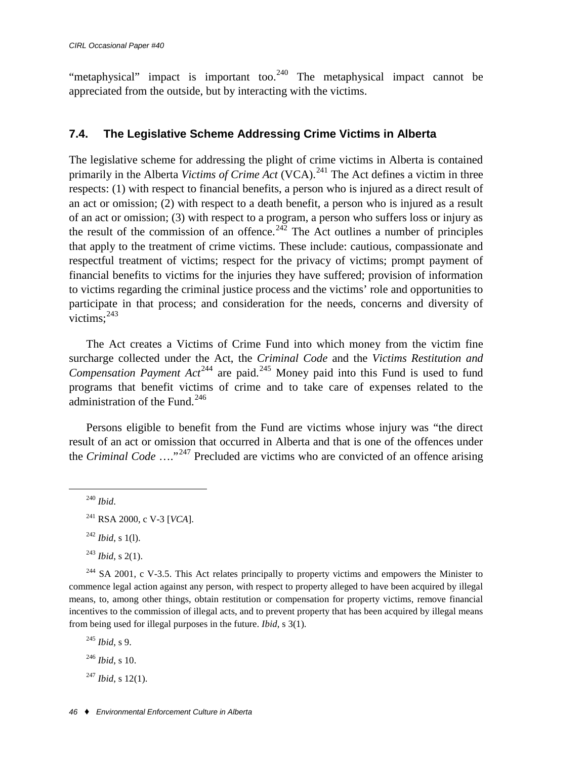"metaphysical" impact is important too.<sup>[240](#page-58-0)</sup> The metaphysical impact cannot be appreciated from the outside, but by interacting with the victims.

## **7.4. The Legislative Scheme Addressing Crime Victims in Alberta**

The legislative scheme for addressing the plight of crime victims in Alberta is contained primarily in the Alberta *Victims of Crime Act* (VCA). [241](#page-58-1) The Act defines a victim in three respects: (1) with respect to financial benefits, a person who is injured as a direct result of an act or omission; (2) with respect to a death benefit, a person who is injured as a result of an act or omission; (3) with respect to a program, a person who suffers loss or injury as the result of the commission of an offence.  $242$  The Act outlines a number of principles that apply to the treatment of crime victims. These include: cautious, compassionate and respectful treatment of victims; respect for the privacy of victims; prompt payment of financial benefits to victims for the injuries they have suffered; provision of information to victims regarding the criminal justice process and the victims' role and opportunities to participate in that process; and consideration for the needs, concerns and diversity of victims: $^{243}$  $^{243}$  $^{243}$ 

The Act creates a Victims of Crime Fund into which money from the victim fine surcharge collected under the Act, the *Criminal Code* and the *Victims Restitution and Compensation Payment Act*<sup>[244](#page-58-4)</sup> are paid.<sup>[245](#page-58-5)</sup> Money paid into this Fund is used to fund programs that benefit victims of crime and to take care of expenses related to the administration of the Fund. $^{246}$  $^{246}$  $^{246}$ 

Persons eligible to benefit from the Fund are victims whose injury was "the direct result of an act or omission that occurred in Alberta and that is one of the offences under the *Criminal Code* …."[247](#page-58-7) Precluded are victims who are convicted of an offence arising

<span id="page-58-1"></span><span id="page-58-0"></span> $\overline{a}$ 

- <sup>242</sup> *Ibid*, s 1(l).
- <sup>243</sup> *Ibid*, s 2(1).

<span id="page-58-4"></span><span id="page-58-3"></span><span id="page-58-2"></span><sup>244</sup> SA 2001, c V-3.5. This Act relates principally to property victims and empowers the Minister to commence legal action against any person, with respect to property alleged to have been acquired by illegal means, to, among other things, obtain restitution or compensation for property victims, remove financial incentives to the commission of illegal acts, and to prevent property that has been acquired by illegal means from being used for illegal purposes in the future. *Ibid*, s 3(1).

<span id="page-58-5"></span><sup>245</sup> *Ibid*, s 9.

<span id="page-58-6"></span><sup>246</sup> *Ibid*, s 10.

<span id="page-58-7"></span><sup>247</sup> *Ibid*, s 12(1).

<sup>240</sup> *Ibid*.

<sup>241</sup> RSA 2000, c V-3 [*VCA*].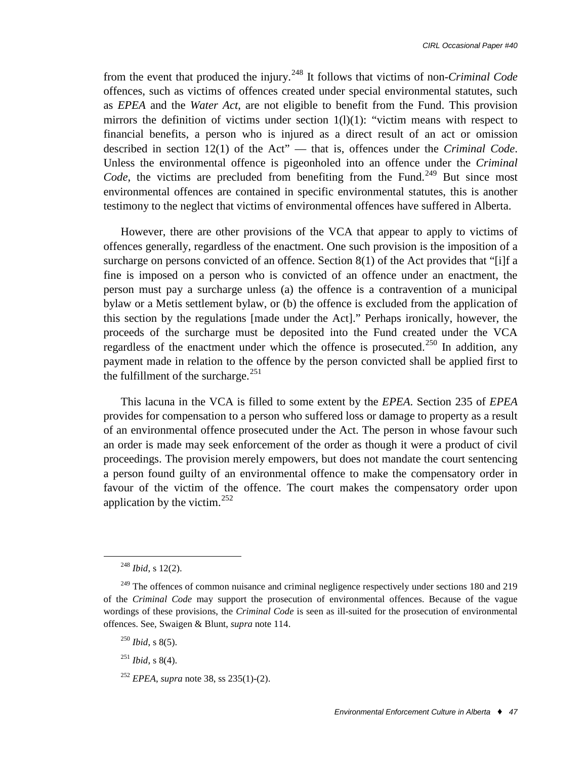from the event that produced the injury.[248](#page-59-0) It follows that victims of non-*Criminal Code* offences, such as victims of offences created under special environmental statutes, such as *EPEA* and the *Water Act*, are not eligible to benefit from the Fund. This provision mirrors the definition of victims under section  $1(1)(1)$ : "victim means with respect to financial benefits, a person who is injured as a direct result of an act or omission described in section 12(1) of the Act" — that is, offences under the *Criminal Code*. Unless the environmental offence is pigeonholed into an offence under the *Criminal Code*, the victims are precluded from benefiting from the Fund.<sup>[249](#page-59-1)</sup> But since most environmental offences are contained in specific environmental statutes, this is another testimony to the neglect that victims of environmental offences have suffered in Alberta.

However, there are other provisions of the VCA that appear to apply to victims of offences generally, regardless of the enactment. One such provision is the imposition of a surcharge on persons convicted of an offence. Section 8(1) of the Act provides that "[i]f a fine is imposed on a person who is convicted of an offence under an enactment, the person must pay a surcharge unless (a) the offence is a contravention of a municipal bylaw or a Metis settlement bylaw, or (b) the offence is excluded from the application of this section by the regulations [made under the Act]." Perhaps ironically, however, the proceeds of the surcharge must be deposited into the Fund created under the VCA regardless of the enactment under which the offence is prosecuted.<sup>[250](#page-59-2)</sup> In addition, any payment made in relation to the offence by the person convicted shall be applied first to the fulfillment of the surcharge.<sup>[251](#page-59-3)</sup>

This lacuna in the VCA is filled to some extent by the *EPEA*. Section 235 of *EPEA* provides for compensation to a person who suffered loss or damage to property as a result of an environmental offence prosecuted under the Act. The person in whose favour such an order is made may seek enforcement of the order as though it were a product of civil proceedings. The provision merely empowers, but does not mandate the court sentencing a person found guilty of an environmental offence to make the compensatory order in favour of the victim of the offence. The court makes the compensatory order upon application by the victim.<sup>[252](#page-59-4)</sup>

<sup>248</sup> *Ibid*, s 12(2).

<span id="page-59-2"></span><span id="page-59-1"></span><span id="page-59-0"></span><sup>&</sup>lt;sup>249</sup> The offences of common nuisance and criminal negligence respectively under sections 180 and 219 of the *Criminal Code* may support the prosecution of environmental offences. Because of the vague wordings of these provisions, the *Criminal Code* is seen as ill-suited for the prosecution of environmental offences. See, Swaigen & Blunt, *supra* note 114.

<sup>250</sup> *Ibid*, s 8(5).

<span id="page-59-3"></span><sup>251</sup> *Ibid*, s 8(4).

<span id="page-59-4"></span><sup>252</sup> *EPEA*, *supra* note 38, ss 235(1)-(2).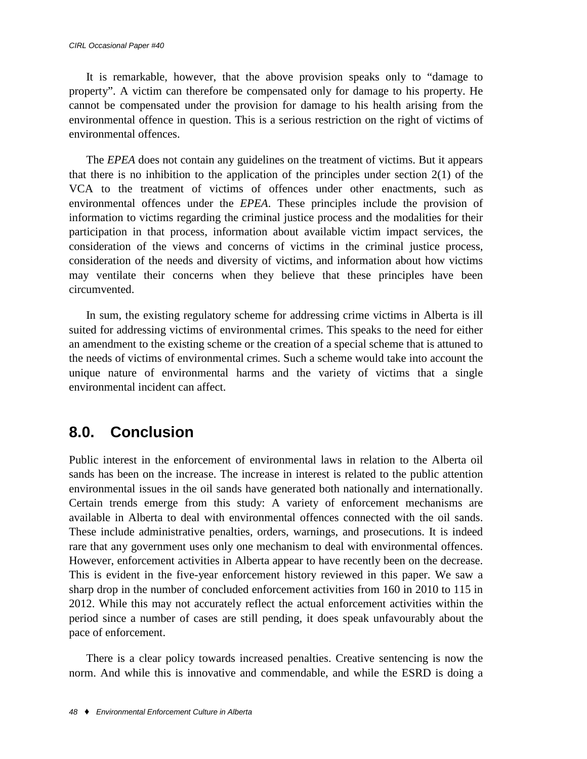It is remarkable, however, that the above provision speaks only to "damage to property". A victim can therefore be compensated only for damage to his property. He cannot be compensated under the provision for damage to his health arising from the environmental offence in question. This is a serious restriction on the right of victims of environmental offences.

The *EPEA* does not contain any guidelines on the treatment of victims. But it appears that there is no inhibition to the application of the principles under section  $2(1)$  of the VCA to the treatment of victims of offences under other enactments, such as environmental offences under the *EPEA*. These principles include the provision of information to victims regarding the criminal justice process and the modalities for their participation in that process, information about available victim impact services, the consideration of the views and concerns of victims in the criminal justice process, consideration of the needs and diversity of victims, and information about how victims may ventilate their concerns when they believe that these principles have been circumvented.

In sum, the existing regulatory scheme for addressing crime victims in Alberta is ill suited for addressing victims of environmental crimes. This speaks to the need for either an amendment to the existing scheme or the creation of a special scheme that is attuned to the needs of victims of environmental crimes. Such a scheme would take into account the unique nature of environmental harms and the variety of victims that a single environmental incident can affect.

# **8.0. Conclusion**

Public interest in the enforcement of environmental laws in relation to the Alberta oil sands has been on the increase. The increase in interest is related to the public attention environmental issues in the oil sands have generated both nationally and internationally. Certain trends emerge from this study: A variety of enforcement mechanisms are available in Alberta to deal with environmental offences connected with the oil sands. These include administrative penalties, orders, warnings, and prosecutions. It is indeed rare that any government uses only one mechanism to deal with environmental offences. However, enforcement activities in Alberta appear to have recently been on the decrease. This is evident in the five-year enforcement history reviewed in this paper. We saw a sharp drop in the number of concluded enforcement activities from 160 in 2010 to 115 in 2012. While this may not accurately reflect the actual enforcement activities within the period since a number of cases are still pending, it does speak unfavourably about the pace of enforcement.

There is a clear policy towards increased penalties. Creative sentencing is now the norm. And while this is innovative and commendable, and while the ESRD is doing a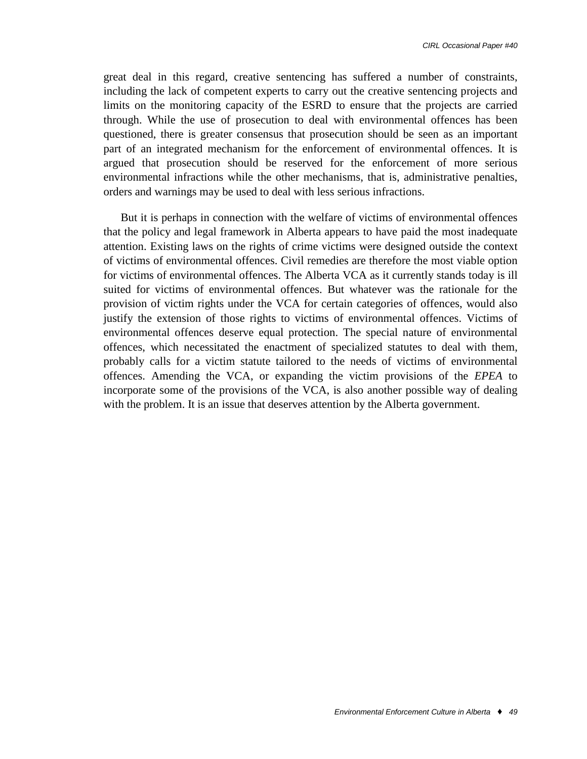great deal in this regard, creative sentencing has suffered a number of constraints, including the lack of competent experts to carry out the creative sentencing projects and limits on the monitoring capacity of the ESRD to ensure that the projects are carried through. While the use of prosecution to deal with environmental offences has been questioned, there is greater consensus that prosecution should be seen as an important part of an integrated mechanism for the enforcement of environmental offences. It is argued that prosecution should be reserved for the enforcement of more serious environmental infractions while the other mechanisms, that is, administrative penalties, orders and warnings may be used to deal with less serious infractions.

But it is perhaps in connection with the welfare of victims of environmental offences that the policy and legal framework in Alberta appears to have paid the most inadequate attention. Existing laws on the rights of crime victims were designed outside the context of victims of environmental offences. Civil remedies are therefore the most viable option for victims of environmental offences. The Alberta VCA as it currently stands today is ill suited for victims of environmental offences. But whatever was the rationale for the provision of victim rights under the VCA for certain categories of offences, would also justify the extension of those rights to victims of environmental offences. Victims of environmental offences deserve equal protection. The special nature of environmental offences, which necessitated the enactment of specialized statutes to deal with them, probably calls for a victim statute tailored to the needs of victims of environmental offences. Amending the VCA, or expanding the victim provisions of the *EPEA* to incorporate some of the provisions of the VCA, is also another possible way of dealing with the problem. It is an issue that deserves attention by the Alberta government.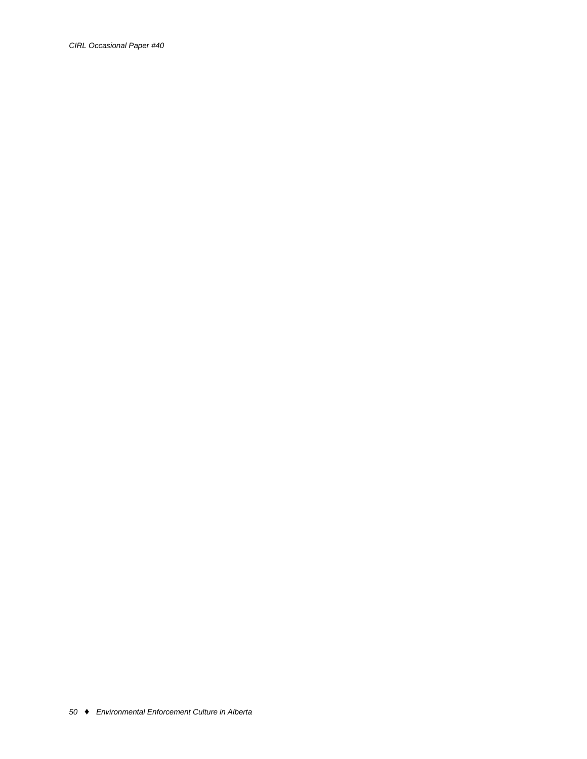*CIRL Occasional Paper #40*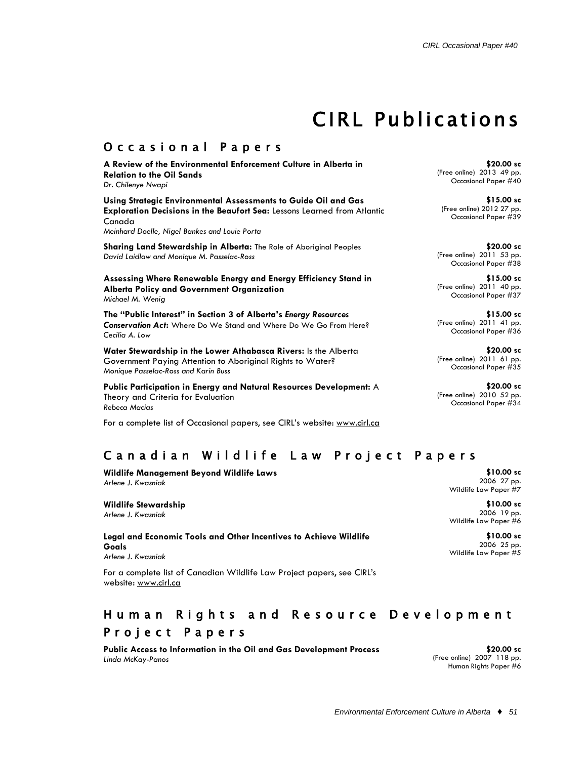# CIRL Publications

## Occasional Papers

**A Review of the Environmental Enforcement Culture in Alberta in Relation to the Oil Sands** *Dr. Chilenye Nwapi*

**Using Strategic Environmental Assessments to Guide Oil and Gas Exploration Decisions in the Beaufort Sea:** Lessons Learned from Atlantic Canada

*Meinhard Doelle, Nigel Bankes and Louie Porta*

**Sharing Land Stewardship in Alberta:** The Role of Aboriginal Peoples *David Laidlaw and Monique M. Passelac-Ross*

**Assessing Where Renewable Energy and Energy Efficiency Stand in Alberta Policy and Government Organization** *Michael M. Wenig*

**The "Public Interest" in Section 3 of Alberta's** *Energy Resources Conservation Act***:** Where Do We Stand and Where Do We Go From Here? *Cecilia A. Low*

**Water Stewardship in the Lower Athabasca Rivers:** Is the Alberta Government Paying Attention to Aboriginal Rights to Water? *Monique Passelac-Ross and Karin Buss*

**Public Participation in Energy and Natural Resources Development:** A Theory and Criteria for Evaluation *Rebeca Macias*

For a complete list of Occasional papers, see CIRL's website: www.cirl.ca

**\$20.00 sc** (Free online) 2013 49 pp. Occasional Paper #40

**\$15.00 sc** (Free online) 2012 27 pp. Occasional Paper #39

**\$20.00 sc** (Free online) 2011 53 pp. Occasional Paper #38

**\$15.00 sc** (Free online) 2011 40 pp. Occasional Paper #37

**\$15.00 sc** (Free online) 2011 41 pp. Occasional Paper #36

**\$20.00 sc** (Free online) 2011 61 pp. Occasional Paper #35

**\$20.00 sc** (Free online) 2010 52 pp. Occasional Paper #34

> **\$10.00 sc** 2006 27 pp. Wildlife Law Paper #7

> **\$10.00 sc** 2006 19 pp. Wildlife Law Paper #6

> **\$10.00 sc** 2006 25 pp. Wildlife Law Paper #5

## Canadian Wildlife Law Project Papers

**Wildlife Management Beyond Wildlife Laws** *Arlene J. Kwasniak*

**Wildlife Stewardship** *Arlene J. Kwasniak*

**Legal and Economic Tools and Other Incentives to Achieve Wildlife Goals** *Arlene J. Kwasniak*

For a complete list of Canadian Wildlife Law Project papers, see CIRL's website: www.cirl.ca

## Human Rights and Resource Development Project Papers

**Public Access to Information in the Oil and Gas Development Process** *Linda McKay-Panos*

**\$20.00 sc** (Free online) 2007 118 pp. Human Rights Paper #6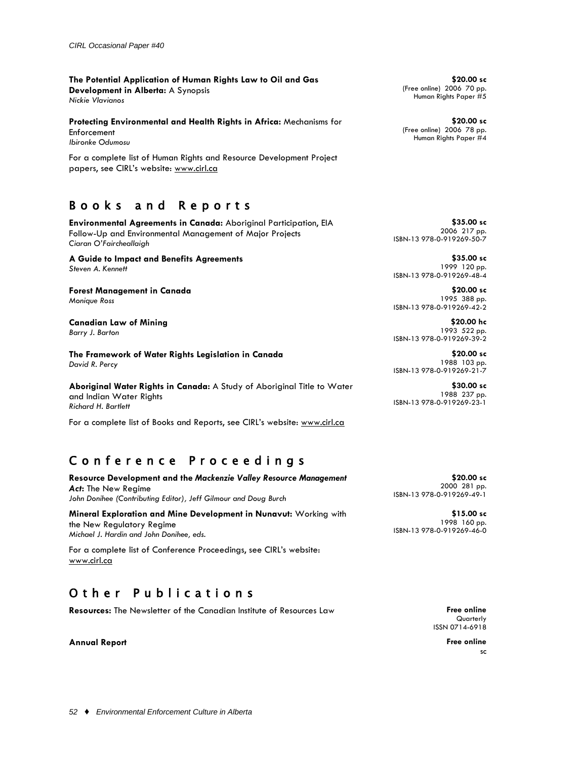**The Potential Application of Human Rights Law to Oil and Gas Development in Alberta:** A Synopsis *Nickie Vlavianos*

**Protecting Environmental and Health Rights in Africa:** Mechanisms for Enforcement *Ibironke Odumosu*

For a complete list of Human Rights and Resource Development Project papers, see CIRL's website: www.cirl.ca

### Books and Reports

**Environmental Agreements in Canada:** Aboriginal Participation, EIA Follow-Up and Environmental Management of Major Projects *Ciaran O'Faircheallaigh*

**A Guide to Impact and Benefits Agreements** *Steven A. Kennett*

**Forest Management in Canada** *Monique Ross*

**Canadian Law of Mining** *Barry J. Barton*

**The Framework of Water Rights Legislation in Canada** *David R. Percy*

**Aboriginal Water Rights in Canada:** A Study of Aboriginal Title to Water and Indian Water Rights *Richard H. Bartlett*

For a complete list of Books and Reports, see CIRL's website: www.cirl.ca

## Conference Proceedings

**Resource Development and the** *Mackenzie Valley Resource Management Act***:** The New Regime *John Donihee (Contributing Editor), Jeff Gilmour and Doug Burch*

**Mineral Exploration and Mine Development in Nunavut:** Working with the New Regulatory Regime *Michael J. Hardin and John Donihee, eds.*

For a complete list of Conference Proceedings, see CIRL's website: www.cirl.ca

## Other Publications

**Resources:** The Newsletter of the Canadian Institute of Resources Law **Free online** 

**Annual Report Free online**

**\$20.00 sc** (Free online) 2006 70 pp. Human Rights Paper #5

**\$20.00 sc** (Free online) 2006 78 pp. Human Rights Paper #4

**\$35.00 sc** 2006 217 pp. ISBN-13 978-0-919269-50-7

**\$35.00 sc** 1999 120 pp. ISBN-13 978-0-919269-48-4

**\$20.00 sc** 1995 388 pp. ISBN-13 978-0-919269-42-2

**\$20.00 hc** 1993 522 pp. ISBN-13 978-0-919269-39-2

**\$20.00 sc** 1988 103 pp. ISBN-13 978-0-919269-21-7

**\$30.00 sc** 1988 237 pp. ISBN-13 978-0-919269-23-1

**\$20.00 sc** 2000 281 pp. ISBN-13 978-0-919269-49-1

**\$15.00 sc** 1998 160 pp. ISBN-13 978-0-919269-46-0

> Quarterly ISSN 0714-6918

> > sc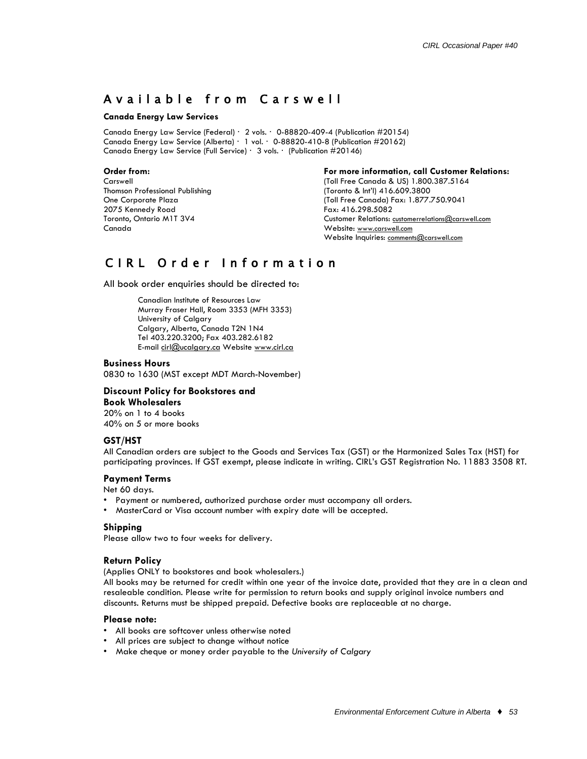## Available from Carswell

#### **Canada Energy Law Services**

Canada Energy Law Service (Federal) · 2 vols. · 0-88820-409-4 (Publication #20154) Canada Energy Law Service (Alberta) · 1 vol. · 0-88820-410-8 (Publication #20162) Canada Energy Law Service (Full Service) · 3 vols. · (Publication #20146)

#### **Order from:**

Carswell Thomson Professional Publishing One Corporate Plaza 2075 Kennedy Road Toronto, Ontario M1T 3V4 Canada

#### **For more information, call Customer Relations:** (Toll Free Canada & US) 1.800.387.5164 (Toronto & Int'l) 416.609.3800 (Toll Free Canada) Fax: 1.877.750.9041 Fax: 416.298.5082 Customer Relations: customerrelations@carswell.com Website: www.carswell.com Website Inquiries: comments@carswell.com

## CIRL Order Information

All book order enquiries should be directed to:

Canadian Institute of Resources Law Murray Fraser Hall, Room 3353 (MFH 3353) University of Calgary Calgary, Alberta, Canada T2N 1N4 Tel 403.220.3200; Fax 403.282.6182 E-mail cirl@ucalgary.ca Website www.cirl.ca

#### **Business Hours**

0830 to 1630 (MST except MDT March-November)

#### **Discount Policy for Bookstores and Book Wholesalers**

20% on 1 to 4 books 40% on 5 or more books

#### **GST/HST**

All Canadian orders are subject to the Goods and Services Tax (GST) or the Harmonized Sales Tax (HST) for participating provinces. If GST exempt, please indicate in writing. CIRL's GST Registration No. 11883 3508 RT.

#### **Payment Terms**

Net 60 days.

- Payment or numbered, authorized purchase order must accompany all orders.
- MasterCard or Visa account number with expiry date will be accepted.

#### **Shipping**

Please allow two to four weeks for delivery.

#### **Return Policy**

(Applies ONLY to bookstores and book wholesalers.)

All books may be returned for credit within one year of the invoice date, provided that they are in a clean and resaleable condition. Please write for permission to return books and supply original invoice numbers and discounts. Returns must be shipped prepaid. Defective books are replaceable at no charge.

#### **Please note:**

- All books are softcover unless otherwise noted
- All prices are subject to change without notice
- Make cheque or money order payable to the *University of Calgary*